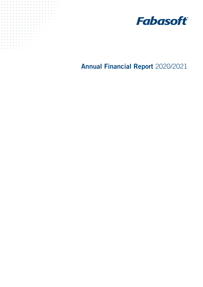



Annual Financial Report 2020/2021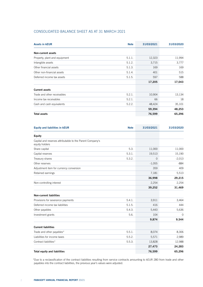# CONSOLIDATED BALANCE SHEET AS AT 31 MARCH 2021

| <b>Assets in kEUR</b>         | <b>Note</b> | 31/03/2021 | 31/03/2020 |
|-------------------------------|-------------|------------|------------|
| Non-current assets            |             |            |            |
| Property, plant and equipment | 5.1.1.      | 12,323     | 11,994     |
| Intangible assets             | 5.1.2.      | 3,715      | 3,777      |
| Other financial assets        | 5.1.3.      | 169        | 169        |
| Other non-financial assets    | 5.1.4.      | 401        | 515        |
| Deferred income tax assets    | 5.1.5.      | 597        | 588        |
|                               |             | 17,205     | 17,043     |
| <b>Current assets</b>         |             |            |            |
| Trade and other receivables   | 5.2.1.      | 10,904     | 13,134     |
| Income tax receivables        | 5.2.1.      | 66         | 18         |
| Cash and cash equivalents     | 5.2.2.      | 48,424     | 35,101     |
|                               |             | 59,394     | 48,253     |
| <b>Total assets</b>           |             | 76,599     | 65,296     |

| <b>Equity and liabilities in kEUR</b>                                       | <b>Note</b> | 31/03/2021 | 31/03/2020  |
|-----------------------------------------------------------------------------|-------------|------------|-------------|
| Equity                                                                      |             |            |             |
| Capital and reserves attributable to the Parent Company's<br>equity holders |             |            |             |
| Share capital                                                               | 5.3.        | 11,000     | 11,000      |
| Capital reserves                                                            | 5.3.1.      | 19,513     | 15,190      |
| Treasury shares                                                             | 5.3.2.      | $\Omega$   | $-2,013$    |
| Other reserves                                                              |             | $-1,055$   | $-884$      |
| Adjustment item for currency conversion                                     |             | 359        | 409         |
| Retained earnings                                                           |             | 7,181      | 5,513       |
|                                                                             |             | 36,998     | 29,215      |
| Non-controlling interest                                                    |             | 2,254      | 2,254       |
|                                                                             |             | 39,252     | 31,469      |
| <b>Non-current liabilities</b>                                              |             |            |             |
| Provisions for severance payments                                           | 5.4.1.      | 3,911      | 3,464       |
| Deferred income tax liabilities                                             | 5.1.5.      | 416        | 444         |
| Other payables                                                              | 5.4.3.      | 5,443      | 5,636       |
| Investment grants                                                           | 5.6.        | 104        | $\mathbf 0$ |
|                                                                             |             | 9,874      | 9,544       |
| <b>Current liabilities</b>                                                  |             |            |             |
| Trade and other payables*                                                   | 5.5.1.      | 8,074      | 8,306       |
| Liabilities for income taxes                                                | 5.5.2.      | 5,571      | 2,989       |
| Contract liabilities*                                                       | 5.5.3.      | 13,828     | 12,988      |
|                                                                             |             | 27,473     | 24,283      |
| <b>Total equity and liabilities</b>                                         |             | 76,599     | 65,296      |

\*Due to a reclassification of the contract liabilities resulting from service contracts amounting to kEUR 280 from trade and other payables into the contract liabilities, the previous year's values were adjusted.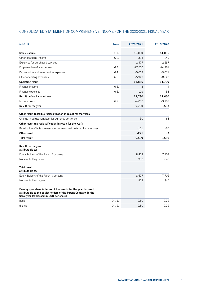|  | CONSOLIDATED STATEMENT OF COMPREHENSIVE INCOME FOR THE 2020/2021 FISCAL YEAR |  |
|--|------------------------------------------------------------------------------|--|
|--|------------------------------------------------------------------------------|--|

| in kEUR                                                                                                                                                                           | <b>Note</b> | 2020/2021 | 2019/2020 |
|-----------------------------------------------------------------------------------------------------------------------------------------------------------------------------------|-------------|-----------|-----------|
| Sales revenue                                                                                                                                                                     | 6.1.        | 55,090    | 51,056    |
| Other operating income                                                                                                                                                            | 6.2.        | 394       | 249       |
| Expenses for purchased services                                                                                                                                                   |             | $-2,477$  | $-2,237$  |
| Employee benefits expenses                                                                                                                                                        | 6.3.        | $-27,510$ | $-24,261$ |
| Depreciation and amortisation expenses                                                                                                                                            | 6.4.        | $-5,668$  | $-5,071$  |
| Other operating expenses                                                                                                                                                          | 6.5.        | $-5,943$  | $-8,027$  |
| Operating result                                                                                                                                                                  |             | 13,886    | 11,709    |
| Finance income                                                                                                                                                                    | 6.6.        | 3         | 4         |
| Finance expenses                                                                                                                                                                  | 6.6.        | $-109$    | $-53$     |
| Result before income taxes                                                                                                                                                        |             | 13,780    | 11,660    |
| Income taxes                                                                                                                                                                      | 6.7.        | $-4,050$  | $-3,107$  |
| Result for the year                                                                                                                                                               |             | 9,730     | 8,553     |
| Other result (possible reclassification in result for the year):                                                                                                                  |             |           |           |
| Change in adjustment item for currency conversion                                                                                                                                 |             | $-50$     | 63        |
| Other result (no reclassification in result for the year):                                                                                                                        |             |           |           |
| Revaluation effects – severance payments net deferred income taxes                                                                                                                |             | $-171$    | -66       |
| Other result                                                                                                                                                                      |             | $-221$    | $-3$      |
| <b>Total result</b>                                                                                                                                                               |             | 9,509     | 8,550     |
| Result for the year<br>attributable to:                                                                                                                                           |             |           |           |
| Equity holders of the Parent Company                                                                                                                                              |             | 8,818     | 7,708     |
| Non-controlling interest                                                                                                                                                          |             | 912       | 845       |
| <b>Total result</b><br>attributable to:                                                                                                                                           |             |           |           |
| Equity holders of the Parent Company                                                                                                                                              |             | 8,597     | 7,705     |
| Non-controlling interest                                                                                                                                                          |             | 912       | 845       |
| Earnings per share in terms of the results for the year for result<br>attributable to the equity holders of the Parent Company in the<br>fiscal year (expressed in EUR per share) |             |           |           |
| basic                                                                                                                                                                             | 9.1.1.      | 0.80      | 0.72      |
| diluted                                                                                                                                                                           | 9.1.2.      | 0.80      | 0.72      |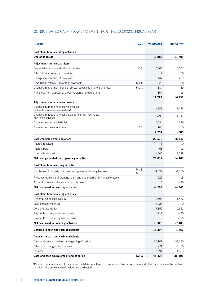| CONSOLIDATED CASH FLOW STATEMENT FOR THE 2020/2021 FISCAL YEAR |  |
|----------------------------------------------------------------|--|
|----------------------------------------------------------------|--|

| in kEUR                                                                            | <b>Note</b>      | 2020/2021     | 2019/2020 |
|------------------------------------------------------------------------------------|------------------|---------------|-----------|
| Cash flows from operating activities                                               |                  |               |           |
| <b>Operating result</b>                                                            |                  | 13,886        | 11,709    |
| Adjustments in non-cash items                                                      |                  |               |           |
| Depreciation and amortisation expenses                                             | 6.4.             | 5,668         | 5,071     |
| Effects from currency conversion                                                   |                  | 7             | $-76$     |
| Changes in non-current provisions                                                  |                  | 447           | 239       |
| Revaluation effects - severance payments                                           | 5.4.1.           | $-228$        | -88       |
| Changes in other non-financial assets recognised in profit and loss                | 5.1.4.           | 114           | $-39$     |
| Profit/loss from disposal of property, plant and equipment                         |                  | $-107$        | 16        |
|                                                                                    |                  | 19,788        | 16,832    |
| Adjustments in net current assets                                                  |                  |               |           |
| Changes in trade and other receivables<br>(without income tax receivables)         |                  | 1,949         | $-1,246$  |
| Changes in trade and other payables (without income tax<br>and lease liabilities)* |                  | $-296$        | 1,147     |
| Changes in contract liabilities*                                                   |                  | 1,034         | $-286$    |
| Changes in investment grants                                                       | 5.6.             | 104           | $\Omega$  |
|                                                                                    |                  | 2,791         | $-385$    |
| Cash generated from operations                                                     |                  | 22,579        | 16,447    |
| Interest received                                                                  |                  | 3             | 0         |
| Interest paid                                                                      |                  | $-68$         | $-12$     |
| Income taxes paid                                                                  |                  | $-1,502$      | $-2,328$  |
| Net cash generated from operating activities                                       |                  | 21,012        | 14,107    |
| Cash flows from investing activities                                               |                  |               |           |
| Purchases of property, plant and equipment and intangible assets                   | 5.1.1.<br>5.1.2. | $-4,527$      | $-4,376$  |
| Proceeds from sale of property, plant and equipment and intangible assets          |                  | 229           | 15        |
| Acquisition of subsidiaries less cash acquired                                     |                  | $\Omega$      | -480      |
| Net cash used in investing activities                                              |                  | $-4,298$      | $-4,841$  |
| Cash flows from financing activities                                               |                  |               |           |
| Redemption of lease liability                                                      |                  | $-1,594$      | $-1,436$  |
| Sale of treasury shares                                                            |                  | 6,336         | 0         |
| Dividend distribution                                                              |                  | $-7,150$      | $-5,361$  |
| Payments to non-controlling interest                                               |                  | $-912$        | -480      |
| Payments for the repayment of loans                                                |                  | $\mathcal{O}$ | $-126$    |
| Net cash used in financing activities                                              |                  | $-3,320$      | $-7,403$  |
| Changes in cash and cash equivalents                                               |                  | 13,394        | 1,863     |
| Changes in cash and cash equivalents                                               |                  |               |           |
| Cash and cash equivalents at beginning of period                                   |                  | 35,101        | 33,170    |
| Effect of exchange rates changes                                                   |                  | -71           | 68        |
| Increase                                                                           |                  | 13,394        | 1,863     |
| Cash and cash equivalents at end of period                                         | 5.2.2.           | 48,424        | 35,101    |

\*Due to a reclassification of the contract liabilities resulting from service contracts from trade and other payables into the contract liabilities, the previous year's values were adjusted.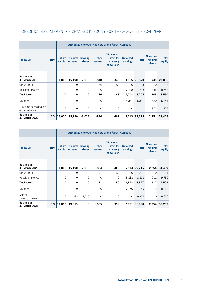|                                             |             |                | Attributable to equity holders of the Parent Company |                            |                          |                                                  |                             |              |                                         |                        |
|---------------------------------------------|-------------|----------------|------------------------------------------------------|----------------------------|--------------------------|--------------------------------------------------|-----------------------------|--------------|-----------------------------------------|------------------------|
| in kEUR                                     | <b>Note</b> | <b>Share</b>   | capital reserves                                     | Capital Treasury<br>shares | <b>Other</b><br>reserves | Adjustment<br>item for<br>currency<br>conversion | <b>Retained</b><br>earnings | <b>Total</b> | Non-con-<br>trolling<br><i>interest</i> | <b>Total</b><br>equity |
| <b>Balance at</b><br>31 March 2019          |             | 11,000         | 15,190                                               | $-2,013$                   | $-818$                   | 346                                              |                             | 3,165 26,870 | 936                                     | 27,806                 |
| Other result                                |             | 0              | $\Omega$                                             | $\mathbf{0}$               | -66                      | 63                                               | $\Omega$                    | $-3$         | $\circ$                                 | $-3$                   |
| Result for the year                         |             | $\Omega$       | $\Omega$                                             | $\mathbf{0}$               | $\Omega$                 | $\mathcal{O}$                                    | 7,708                       | 7,708        | 845                                     | 8,553                  |
| <b>Total result</b>                         |             | 0              | 0                                                    | 0                          | $-66$                    | 63                                               | 7,708                       | 7,705        | 845                                     | 8,550                  |
| Dividend                                    |             | $\overline{O}$ | $\Omega$                                             | $\circ$                    | $\mathbf 0$              | $\circ$                                          | $-5,361$                    | $-5,361$     | $-480$                                  | $-5,841$               |
| First time consolidation<br>of subsidiaries |             | $\Omega$       | $\Omega$                                             | $\Omega$                   | $\Omega$                 | $\Omega$                                         | $\Omega$                    | $\Omega$     | 953                                     | 953                    |
| <b>Balance at</b><br>31 March 2020          |             | 5.3. 11,000    | 15,190                                               | $-2,013$                   | -884                     | 409                                              |                             | 5,513 29,215 | 2,254                                   | 31,469                 |

# CONSOLIDATED STATEMENT OF CHANGES IN EQUITY FOR THE 2020/2021 FISCAL YEAR

|                                    |             |               | Attributable to equity holders of the Parent Company |                            |                          |                                                         |                             |              |                                  |                        |
|------------------------------------|-------------|---------------|------------------------------------------------------|----------------------------|--------------------------|---------------------------------------------------------|-----------------------------|--------------|----------------------------------|------------------------|
| in kEUR                            | <b>Note</b> | <b>Share</b>  | capital reserves                                     | Capital Treasury<br>shares | <b>Other</b><br>reserves | <b>Adjustment</b><br>item for<br>currency<br>conversion | <b>Retained</b><br>earnings | <b>Total</b> | Non-con-<br>trolling<br>interest | <b>Total</b><br>equity |
| <b>Balance</b> at<br>31 March 2020 |             | 11,000        | 15,190                                               | $-2,013$                   | -884                     | 409                                                     |                             | 5,513 29,215 | 2,254                            | 31,469                 |
| Other result                       |             | $\mathcal{O}$ | $\mathbf 0$                                          | $\circ$                    | $-171$                   | $-50$                                                   | $\Omega$                    | $-221$       | $\mathbf{0}$                     | $-221$                 |
| Result for the year                |             | $\circ$       | $\mathbf 0$                                          | $\circ$                    | $\mathbf 0$              | 0                                                       | 8,818                       | 8,818        | 912                              | 9,730                  |
| <b>Total result</b>                |             | 0             | 0                                                    | 0                          | $-171$                   | -50                                                     | 8,818                       | 8,597        | 912                              | 9,509                  |
| Dividend                           |             | $\Omega$      | $\circ$                                              | $\overline{0}$             | $\Omega$                 | $\overline{O}$                                          | $-7,150$                    | $-7,150$     | $-912$                           | $-8,062$               |
| Sale of<br>treasury shares         |             | $\Omega$      | 4,323                                                | 2,013                      | $\circ$                  | 0                                                       | $\circ$                     | 6,336        | $\circ$                          | 6,336                  |
| <b>Balance</b> at<br>31 March 2021 |             | $5.3.$ 11,000 | 19,513                                               | 0                          | $-1,055$                 | 359                                                     |                             | 7,181 36,998 |                                  | 2,254 39,252           |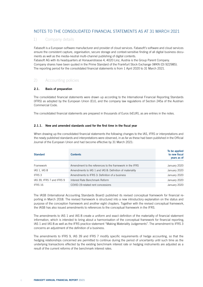# NOTES TO THE CONSOLIDATED FINANCIAL STATEMENTS AS AT 31 MARCH 2021

# 1) Company details

Fabasoft is a European software manufacturer and provider of cloud services. Fabasoft's software and cloud services ensure the consistent capture, organisation, secure storage and context-sensitive finding of all digital business documents as well as the media-neutral multi-channel publishing of digital contents.

Fabasoft AG with its headquarters at Honauerstrasse 4, 4020 Linz, Austria is the Group Parent Company. Company shares have been quoted in the Prime Standard of the Frankfurt Stock Exchange (WKN (D) 922985). The reporting period for the consolidated financial statements is from 1 April 2020 to 31 March 2021.

# 2) Accounting policies

# 2.1. Basis of preparation

The consolidated financial statements were drawn up according to the International Financial Reporting Standards (IFRS) as adopted by the European Union (EU), and the company law regulations of Section 245a of the Austrian Commercial Code.

The consolidated financial statements are prepared in thousands of Euros (kEUR), as are entries in the notes.

# 2.1.1. New and amended standards used for the first time in the fiscal year

When drawing up the consolidated financial statements the following changes to the IAS, IFRS or interpretations and the newly published standards and interpretations were observed, in as far as these had been published in the Official Journal of the European Union and had become effective by 31 March 2021:

| <b>Standard</b>           | <b>Contents</b>                                          | To be applied<br>to new fiscal<br>years as of<br>January 2020<br>January 2020<br>January 2020 |
|---------------------------|----------------------------------------------------------|-----------------------------------------------------------------------------------------------|
|                           |                                                          |                                                                                               |
| Framework                 | Amendment to the references to the framework in the IFRS |                                                                                               |
| IAS 1, IAS 8              | Amendments to IAS 1 and IAS 8: Definition of materiality |                                                                                               |
| IFRS 3                    | Amendments to IFRS 3: Definition of a business           |                                                                                               |
| IAS 39, IFRS 7 and IFRS 9 | Interest Rate Benchmark Reform                           | January 2020                                                                                  |
| IFRS 16                   | COVID-19-related rent concessions                        | January 2020                                                                                  |

The IASB (International Accounting Standards Board) published its revised conceptual framework for financial reporting in March 2018. The revised framework is structured into a new introductory explanation on the status and purpose of the conception framework and another eight chapters. Together with the revised conceptual framework, the IASB has also issued amendments to references to the conceptual framework in the IFRS.

The amendments to IAS 1 and IAS 8 create a uniform and exact definition of the materiality of financial statement information, which is intended to bring about a harmonisation of the conceptual framework for financial reporting, IAS 1 and IAS 8 as well as the IFRS practice statement "Making Materiality Judgements". The amendment to IFRS 3 concerns an adjustment of the definition of a business.

The amendments to IFRS 9, IAS 39 and IFRS 7 modify specific requirements of hedge accounting, so that the hedging relationships concerned are permitted to continue during the period of uncertainty until such time as the underlying transactions effected by the existing benchmark interest rate or hedging instruments are adjusted as a result of the current reforms of the benchmark interest rates.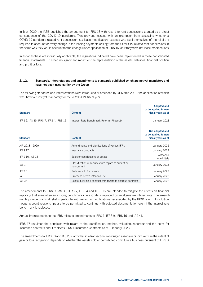In May 2020 the IASB published the amendment to IFRS 16 with regard to rent concessions granted as a direct consequence of the COVID-19 pandemic. This provides lessees with an exemption from assessing whether a COVID-19 pandemic-related rent concession is a lease modification. Lessees who avail themselves of the relief are required to account for every change in the leasing payments arising from the COVID-19-related rent concessions in the same way they would account for the change under application of IFRS 16, as if they were not lease modifications.

In as far as these are individually applicable, the regulations indicated have been implemented in these consolidated financial statements. This had no significant impact on the representation of the assets, liabilities, financial position and profit or loss.

## 2.1.2. Standards, interpretations and amendments to standards published which are not yet mandatory and have not been used earlier by the Group

The following standards and interpretations were introduced or amended by 31 March 2021, the application of which was, however, not yet mandatory for the 2020/2021 fiscal year:

| <b>Standard</b>                         | <b>Content</b>                                                         | <b>Adopted and</b><br>to be applied to new<br>fiscal years as of |
|-----------------------------------------|------------------------------------------------------------------------|------------------------------------------------------------------|
|                                         |                                                                        |                                                                  |
| IFRS 9, IAS 39, IFRS 7, IFRS 4, IFRS 16 | Interest Rate Benchmark Reform (Phase 2)                               | January 2021                                                     |
| <b>Standard</b>                         | <b>Content</b>                                                         | Not adopted and<br>to be applied to new<br>fiscal years as of    |
|                                         |                                                                        |                                                                  |
| AIP 2018 - 2020                         | Amendments and clarifications of various IFRS                          | January 2022                                                     |
| IFRS 17                                 | Insurance contracts                                                    | January 2023                                                     |
| <b>IFRS 10, IAS 28</b>                  | Sales or contributions of assets                                       | Postponed<br>indefinitely                                        |
| IAS 1                                   | Classification of liabilities with regard to current or<br>non-current | January 2023                                                     |
| IFRS 3                                  | Reference to framework                                                 | January 2022                                                     |
| <b>IAS 16</b>                           | Proceeds before intended use                                           | January 2022                                                     |
| <b>IAS 37</b>                           | Cost of fulfilling a contract with regard to onerous contracts         | January 2022                                                     |

The amendments to IFRS 9, IAS 39, IFRS 7, IFRS 4 and IFRS 16 are intended to mitigate the effects on financial reporting that arise when an existing benchmark interest rate is replaced by an alternative interest rate. The amendments provide practical relief in particular with regard to modifications necessitated by the IBOR reform. In addition, hedge account relationships are to be permitted to continue with adjusted documentation even if the interest rate benchmark is replaced.

Annual improvements to the IFRS relate to amendments to IFRS 1, IFRS 9, IFRS 16 und IAS 41.

IFRS 17 regulates the principles with regard to the identification, method, valuation, reporting and the notes for insurance contracts and it replaces IFRS 4 Insurance Contracts as of 1 January 2023.

The amendments to IFRS 10 and IAS 28 clarify that in a transaction involving an associate or joint venture the extent of gain or loss recognition depends on whether the assets sold or contributed constitute a business pursuant to IFRS 3.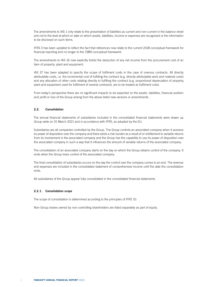The amendments to IAS 1 only relate to the presentation of liabilities as current and non-current in the balance sheet and not to the level at which or date on which assets, liabilities, income or expenses are recognized or the information to be disclosed on such items.

IFRS 3 has been updated to reflect the fact that references now relate to the current 2018 conceptual framework for financial reporting and no longer to the 1989 conceptual framework.

The amendments to IAS 16 now explicitly forbid the deduction of any net income from the procurement cost of an item of property, plant and equipment.

IAS 37 has been adapted to specify the scope of fulfilment costs in the case of onerous contracts. All directly attributable costs, i.e. the incremental cost of fulfilling the contract (e.g. directly attributable work and material costs) and any allocation of other costs relating directly to fulfilling the contract (e.g. proportional depreciation of property, plant and equipment used for fulfilment of several contracts), are to be treated as fulfilment costs.

From today's perspective there are no significant impacts to be expected on the assets, liabilities, financial position and profit or loss of the Group arising from the above listed new versions or amendments.

## 2.2. Consolidation

The annual financial statements of subsidiaries included in the consolidated financial statements were drawn up Group-wide on 31 March 2021 and in accordance with IFRS, as adopted by the EU.

Subsidiaries are all companies controlled by the Group. The Group controls an associated company when it possesses power of disposition over the company and there exists a risk burden as a result of or entitlement to variable returns from its involvement in the associated company and the Group has the capability to use its power of disposition over the associated company in such a way that it influences the amount of variable returns of the associated company.

The consolidation of an associated company starts on the day on which the Group obtains control of the company. It ends when the Group loses control of the associated company.

The final consolidation of subsidiaries occurs on the day the control over the company comes to an end. The revenue and expenses are included in the consolidated statement of comprehensive income until the date the consolidation ends.

All subsidiaries of the Group appear fully consolidated in the consolidated financial statements.

#### 2.2.1. Consolidation scope

The scope of consolidation is determined according to the principles of IFRS 10.

Non-Group shares owned by non-controlling shareholders are listed separately as part of equity.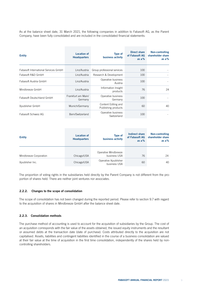As at the balance sheet date, 31 March 2021, the following companies in addition to Fabasoft AG, as the Parent Company, have been fully consolidated and are included in the consolidated financial statements:

| <b>Entity</b>                        | <b>Location of</b><br><b>Headquarters</b> | <b>Type of</b><br>business activity        | Direct share<br>of Fabasoft AG<br>as $a\%$ | Non-controlling<br>shareholder share<br>as $a\%$ |
|--------------------------------------|-------------------------------------------|--------------------------------------------|--------------------------------------------|--------------------------------------------------|
| Fabasoft International Services GmbH | Linz/Austria                              | Group professional services                | 100                                        |                                                  |
| Fabasoft R&D GmbH                    | Linz/Austria                              | Research & Development                     | 100                                        |                                                  |
| Fabasoft Austria GmbH                | Linz/Austria                              | Operative business<br>Austria              | 100                                        |                                                  |
| Mindbreeze GmbH                      | Linz/Austria                              | Information Insight<br>products            | 76                                         | 24                                               |
| Fabasoft Deutschland GmbH            | Frankfurt am Main/<br>Germany             | Operative business<br>Germany              | 100                                        |                                                  |
| Xpublisher GmbH                      | Munich/Germany                            | Content Editing and<br>Publishing products | 60                                         | 40                                               |
| Fabasoft Schweiz AG                  | Bern/Switzerland                          | Operative business<br>Switzerland          | 100                                        |                                                  |

| <b>Entity</b>          | <b>Location of</b><br><b>Headquarters</b> | <b>Type of</b><br>business activity  | Indirect share<br>of Fabasoft AG<br>as $a\%$ | Non-controlling<br>shareholder share<br>as $a\%$ |  |
|------------------------|-------------------------------------------|--------------------------------------|----------------------------------------------|--------------------------------------------------|--|
| Mindbreeze Corporation | Chicago/USA                               | Operative Mindbreeze<br>business USA | 76                                           | 24                                               |  |
| Xpublisher Inc.        | Chicago/USA                               | Operative Xpublisher<br>business USA | 60                                           | 40                                               |  |

The proportion of voting rights in the subsidiaries held directly by the Parent Company is not different from the proportion of shares held. There are neither joint ventures nor associates.

### 2.2.2. Changes to the scope of consolidation

The scope of consolidation has not been changed during the reported period. Please refer to section 9.7 with regard to the acquisition of shares in Mindbreeze GmbH after the balance sheet date.

# 2.2.3. Consolidation methods

The purchase method of accounting is used to account for the acquisition of subsidiaries by the Group. The cost of an acquisition corresponds with the fair value of the assets obtained, the issued equity instruments and the resultant or assumed debts at the transaction date (date of purchase). Costs attributed directly to the acquisition are not capitalised. Assets, liabilities and contingent liabilities identified in the course of a business consolidation are valued at their fair value at the time of acquisition in the first time consolidation, independently of the shares held by noncontrolling shareholders.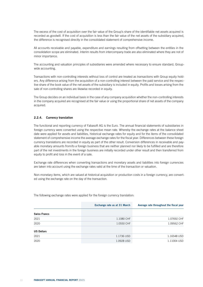The excess of the cost of acquisition over the fair value of the Group's share of the identifiable net assets acquired is recorded as goodwill. If the cost of acquisition is less than the fair value of the net assets of the subsidiary acquired, the difference is recognised directly in the consolidated statement of comprehensive income.

All accounts receivable and payable, expenditure and earnings resulting from offsetting between the entities in the consolidation scope are eliminated. Interim results from intercompany trade are also eliminated where they are not of minor importance.

The accounting and valuation principles of subsidiaries were amended where necessary to ensure standard, Groupwide accounting.

Transactions with non-controlling interests without loss of control are treated as transactions with Group equity holders. Any difference arising from the acquisition of a non-controlling interest between the paid service and the respective share of the book value of the net assets of the subsidiary is included in equity. Profits and losses arising from the sale of non-controlling shares are likewise recorded in equity.

The Group decides on an individual basis in the case of any company acquisition whether the non-controlling interests in the company acquired are recognised at the fair value or using the proportional share of net assets of the company acquired.

# 2.2.4. Currency translation

The functional and reporting currency of Fabasoft AG is the Euro. The annual financial statements of subsidiaries in foreign currency were converted using the respective mean rate. Whereby the exchange rates at the balance sheet date were applied for assets and liabilities, historical exchange rates for equity and for the items of the consolidated statement of comprehensive income the average exchange rates for the fiscal year. Differences between these foreign currency translations are recorded in equity as part of the other result. Conversion differences in receivable and payable monetary amounts from/to a foreign business that are neither planned nor likely to be fulfilled and are therefore part of the net investments in the foreign business are initially recorded under other result and then transferred from equity to profit and loss in the event of a sale.

Exchange rate differences when converting transactions and monetary assets and liabilities into foreign currencies are taken into account using the exchange rates valid at the time of the transaction or valuation.

Non-monetary items, which are valued at historical acquisition or production costs in a foreign currency, are converted using the exchange rate on the day of the transaction.

|                     | Exchange rate as at 31 March | Average rate throughout the fiscal year |
|---------------------|------------------------------|-----------------------------------------|
| <b>Swiss Francs</b> |                              |                                         |
| 2021                | 1.1080 CHF                   | 1.07692 CHF                             |
| 2020                | 1.0550 CHF                   | 1.09562 CHF                             |
| <b>US Dollars</b>   |                              |                                         |
| 2021                | 1.1736 USD                   | 1.16548 USD                             |
| 2020                | 1.0928 USD                   | 1.11004 USD                             |

The following exchange rates were applied for the foreign currency translation: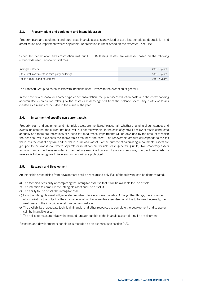### 2.3. Property, plant and equipment and intangible assets

Property, plant and equipment and purchased intangible assets are valued at cost, less scheduled depreciation and amortisation and impairment where applicable. Depreciation is linear based on the expected useful life.

Scheduled depreciation and amortisation (without IFRS 16 leasing assets) are assessed based on the following Group-wide useful economic lifetimes:

| Intangible assets                               | 2 to 10 years |
|-------------------------------------------------|---------------|
| Structural investments in third party buildings | 5 to 10 years |
| Office furniture and equipment                  | 2 to 15 years |

The Fabasoft Group holds no assets with indefinite useful lives with the exception of goodwill.

In the case of a disposal or another type of deconsolidation, the purchase/production costs and the corresponding accumulated depreciation relating to the assets are derecognised from the balance sheet. Any profits or losses created as a result are included in the result of the year.

#### 2.4. Impairment of specific non-current assets

Property, plant and equipment and intangible assets are monitored to ascertain whether changing circumstances and events indicate that the current net book value is not recoverable. In the case of goodwill a relevant test is conducted annually or if there are indications of a need for impairment. Impairments will be devalued by the amount to which the net book value exceeds the recoverable amount of the asset. The recoverable amount corresponds to the fair value less the cost of disposal and the value in use of an asset. For the purpose of calculating impairments, assets are grouped to the lowest level where separate cash inflows are feasible (cash-generating units). Non-monetary assets for which impairment was reported in the past are examined on each balance sheet date, in order to establish if a reversal is to be recognised. Reversals for goodwill are prohibited.

## 2.5. Research and Development

An intangible asset arising from development shall be recognised only if all of the following can be demonstrated:

- a) The technical feasibility of completing the intangible asset so that it will be available for use or sale.
- b) The intention to complete the intangible asset and use or sell it.
- c) The ability to use or sell the intangible asset.
- d) How the intangible asset will generate probable future economic benefits. Among other things, the existence of a market for the output of the intangible asset or the intangible asset itself or, if it is to be used internally, the usefulness of the intangible asset can be demonstrated.
- e) The availability of adequate technical, financial and other resources to complete the development and to use or sell the intangible asset.
- f) The ability to measure reliably the expenditure attributable to the intangible asset during its development.

Research and development expenditure is recorded as an expense (see section 9.2).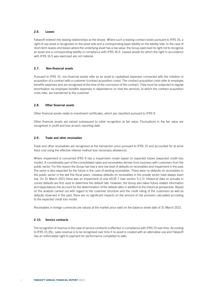### 2.6. Leases

Fabasoft entered into leasing relationships as the lessee. Where such a leasing contract exists pursuant to IFRS 16, a right-of-use asset is recognised on the asset side and a corresponding lease liability on the liability side. In the case of short-term leases and leases where the underlying asset has a low value, the Group exercised its right not to recognise an asset and a corresponding liability in compliance with IFRS 16.5. Leased assets for which the right in accordance with IFRS 16.5 was exercised are not material.

## 2.7. Non-financial assets

Pursuant to IFRS 15, non-financial assets refer as an asset to capitalised expenses connected with the initiation or acquisition of a contract with a customer (contract acquisition costs). The contract acquisition costs refer to employee benefits expenses and are recognised at the time of the conclusion of the contract. They must be subjected to regular amortisation via employee benefits expenses in dependence on how the services, to which the contract acquisition costs refer, are transferred to the customer.

### 2.8. Other financial assets

Other financial assets relate to investment certificates, which are classified pursuant to IFRS 9.

Other financial assets are valued subsequent to initial recognition at fair value. Fluctuations in the fair value are recognised in profit and loss at each reporting date.

#### 2.9. Trade and other receivables

Trade and other receivables are recognised at the transaction price pursuant to IFRS 15 and accounted for at amortised cost using the effective interest method less necessary allowances.

Where impairment is concerned IFRS 9 has a impairment model based on expected losses (expected credit loss model). A considerable part of the consolidated sales and receivables derives from business with customers from the public sector. For this reason the Group has had a very low level of defaults on receivables and impairment in the past. The same is also expected for the future in the case of existing receivables. There were no defaults on receivables in the public sector in the last five fiscal years. Likewise defaults on receivables in the private sector have always been low. On 31 March 2021 there was an impairment of only kEUR 7 (see section 5.2.1). Historical data on actually incurred defaults are first used to determine the default rate. However, the Group also takes future-related information and expectations into account for the determination of the default rates in addition to the historical perspective. Based on the analysis carried out with regard to the customer structure and the credit rating of the customers as well as defaults observed in the past, there are no significant impacts on the amount of risk provision calculated according to the expected credit loss model.

Receivables in foreign currencies are valued at the market price valid on the balance sheet date of 31 March 2021.

### 2.10. Service contracts

The recognition of revenue in the case of service contracts is effected, in compliance with IFRS 15 over time. According to IFRS 15.35c, sales revenue is to be recognised over time if no asset is created with an alternative use and Fabasoft has an enforceable right to payment for performance completed to date.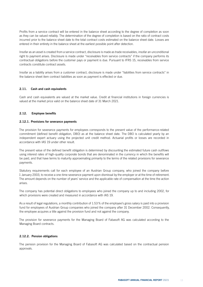Profits from a service contract will be entered in the balance sheet according to the degree of completion as soon as they can be valued reliably. The determination of the degree of completion is based on the ratio of contract costs incurred prior to the balance sheet date to the total contract costs estimated on the balance sheet date. Losses are entered in their entirety in the balance sheet at the earliest possible point after detection.

Insofar as an asset is created from a service contract, disclosure is made as trade receivables, insofar an unconditional right to payment arises. Disclosure is made under "receivables from service contracts" if the company performs its contractual obligations before the customer pays or payment is due. Pursuant to IFRS 15, receivables from service contracts constitute contract assets.

Insofar as a liability arises from a customer contract, disclosure is made under "liabilities from service contracts" in the balance sheet item contract liabilities as soon as payment is effected or due.

### 2.11. Cash and cash equivalents

Cash and cash equivalents are valued at the market value. Credit at financial institutions in foreign currencies is valued at the market price valid on the balance sheet date of 31 March 2021.

## 2.12. Employee benefits

#### 2.12.1. Provisions for severance payments

The provision for severance payments for employees corresponds to the present value of the performance-related commitment (defined benefit obligation, DBO) as at the balance sheet date. The DBO is calculated yearly by an independent expert actuary using the projected unit credit method. Actuarial profits or losses are recorded in accordance with IAS 19 under other result.

The present value of the defined benefit obligation is determined by discounting the estimated future cash outflows using interest rates of high-quality corporate bonds that are denominated in the currency in which the benefits will be paid, and that have terms to maturity approximating primarily to the terms of the related provisions for severance payments.

Statutory requirements call for each employee of an Austrian Group company, who joined the company before 1 January 2003, to receive a one-time severance payment upon dismissal by the employer or at the time of retirement. The amount depends on the number of years' service and the applicable rate of compensation at the time the action arises.

The company has potential direct obligations to employees who joined the company up to and including 2002, for which provisions were created and measured in accordance with IAS 19.

As a result of legal regulations, a monthly contribution of 1.53% of the employee's gross salary is paid into a provision fund for employees of Austrian Group companies who joined the company after 31 December 2002. Consequently, the employee acquires a title against the provision fund and not against the company.

The provision for severance payments for the Managing Board of Fabasoft AG was calculated according to the Managing Board contracts.

#### 2.12.2. Pension obligations

The pension provision for the Managing Board of Fabasoft AG was calculated based on the contractual pension approvals.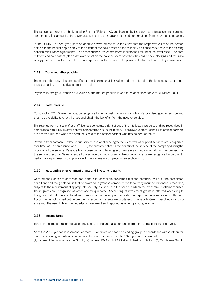The pension approvals for the Managing Board of Fabasoft AG are financed by fixed payments to pension reinsurance agreements. The amount of the cover assets is based on regularly obtained confirmations from insurance companies.

In the 2014/2015 fiscal year, pension approvals were amended to the effect that the respective claim of the person entitled to the benefit applies only to the extent of the cover asset on the respective balance sheet date of the existing pension reinsurance agreements. As a consequence, the commitment is set to the amount of the cover asset. The commitment and cover asset (plan assets) are offset on the balance sheet based on the congruency, pledging and the insolvency-proof nature of the asset. There are no portions of the provisions for pensions that are not covered by reinsurances.

### 2.13. Trade and other payables

Trade and other payables are specified at the beginning at fair value and are entered in the balance sheet at amortised cost using the effective interest method.

Payables in foreign currencies are valued at the market price valid on the balance sheet date of 31 March 2021.

### 2.14. Sales revenue

Pursuant to IFRS 15 revenue must be recognised when a customer obtains control of a promised good or service and thus has the ability to direct the use and obtain the benefits from the good or service.

The revenue from the sale of one-off licences constitute a right of use of the intellectual property and are recognised in compliance with IFRS 15 after control is transferred at a point in time. Sales revenue from licensing to project partners are deemed realised when the product is sold to the project partner who has no right of return.

Revenue from software update, cloud service and appliance agreements as well as support services are recognised over time, as, in compliance with IFRS 15, the customer obtains the benefit of the service of the company during the provision of the service. Revenue from consulting and training activities are also recognised during the provision of the service over time. Sales revenue from service contracts based in fixed-price projects are recognised according to performance progress in compliance with the degree of completion (see section 2.10).

## 2.15. Accounting of government grants and investment grants

Government grants are only recorded if there is reasonable assurance that the company will fulfil the associated conditions and the grants will in fact be awarded. A grant as compensation for already incurred expenses is recorded, subject to the requirement of appropriate security, as income in the period in which the respective entitlement arises. These grants are recognised as other operating income. Accounting of investment grants is effected according to the gross method, there is therefore no reduction in the acquisition costs, but reporting as a separate liability item. Accounting is not carried out before the corresponding assets are capitalised. The liability item is dissolved in accordance with the useful life of the underlying investment and reported as other operating income.

## 2.16. Income taxes

Taxes on income are recorded according to cause and are based on profits from the corresponding fiscal year.

As of the 2006 year of assessment Fabasoft AG operates as a top-tier leading group in accordance with Austrian tax law. The following subsidiaries are included as Group members in the 2021 year of assessment: (1) Fabasoft International Services GmbH, (2) Fabasoft R&D GmbH, (3) Fabasoft Austria GmbH and (4) Mindbreeze GmbH.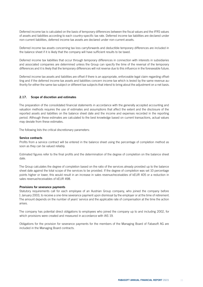Deferred income tax is calculated on the basis of temporary differences between the fiscal values and the IFRS values of assets and liabilities according to each country-specific tax rate. Deferred income tax liabilities are declared under non-current liabilities, deferred income tax assets are declared under non-current assets.

Deferred income tax assets concerning tax loss carryforwards and deductible temporary differences are included in the balance sheet if it is likely that the company will have sufficient results to be taxed.

Deferred income tax liabilities that occur through temporary differences in connection with interests in subsidiaries and associated companies are determined unless the Group can specify the time of the reversal of the temporary differences and it is likely that the temporary differences will not reverse due to this influence in the foreseeable future.

Deferred income tax assets and liabilities are offset if there is an appropriate, enforceable legal claim regarding offsetting and if the deferred income tax assets and liabilities concern income tax which is levied by the same revenue authority for either the same tax subject or different tax subjects that intend to bring about the adjustment on a net basis.

#### 2.17. Scope of discretion and estimates

The preparation of the consolidated financial statements in accordance with the generally accepted accounting and valuation methods requires the use of estimates and assumptions that affect the extent and the disclosure of the reported assets and liabilities on the balance sheet date and the income and expenses recorded in the reporting period. Although these estimates are calculated to the best knowledge based on current transactions, actual values may deviate from these estimates.

The following lists the critical discretionary parameters:

#### Service contracts

Profits from a service contract will be entered in the balance sheet using the percentage of completion method as soon as they can be valued reliably.

Estimated figures refer to the final profits and the determination of the degree of completion on the balance sheet date.

The Group calculates the degree of completion based on the ratio of the services already provided up to the balance sheet date against the total scope of the services to be provided. If the degree of completion was set 10 percentage points higher or lower, this would result in an increase in sales revenue/receivables of kEUR 405 or a reduction in sales revenue/receivables of kEUR 498.

#### Provisions for severance payments

Statutory requirements call for each employee of an Austrian Group company, who joined the company before 1 January 2003, to receive a one-time severance payment upon dismissal by the employer or at the time of retirement. The amount depends on the number of years' service and the applicable rate of compensation at the time the action arises.

The company has potential direct obligations to employees who joined the company up to and including 2002, for which provisions were created and measured in accordance with IAS 19.

Obligations for the provision for severance payments for the members of the Managing Board of Fabasoft AG are included in the Managing Board contracts.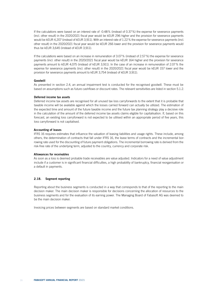If the calculations were based on an interest rate of -0.48% (instead of 0.37%) the expense for severance payments (incl. other result) in the 2020/2021 fiscal year would be kEUR 296 higher and the provision for severance payments would be kEUR 4,207 (instead of kEUR 3,911). With an interest rate of 1.22% the expense for severance payments (incl. other result) in the 2020/2021 fiscal year would be kEUR 266 lower and the provision for severance payments would thus be kEUR 3,645 (instead of kEUR 3,911).

If the calculations were based on an increase in remuneration of 3.07% (instead of 2.57%) the expense for severance payments (incl. other result) in the 2020/2021 fiscal year would be kEUR 164 higher and the provision for severance payments amount to kEUR 4,075 (instead of kEUR 3,911). In the case of an increase in remuneration of 2.07% the expense for severance payments (incl. other result) in the 2020/2021 fiscal year would be kEUR 157 lower and the provision for severance payments amount to kEUR 3,754 (instead of kEUR 3,911).

#### Goodwill

As presented in section 2.4, an annual impairment test is conducted for the recognised goodwill. These must be based on assumptions such as future cashflows or discount rates. The relevant sensitivities are listed in section 5.1.2.

### Deferred income tax assets

Deferred income tax assets are recognised for all unused tax loss carryforwards to the extent that it is probable that taxable income will be available against which the losses carried forward can actually be utilized. The estimation of the expected time and amount of the future taxable income and the future tax planning strategy play a decisive role in the calculation of the amount of the deferred income tax assets claims eligible for capitalisation. If, based on this forecast, an existing loss carryforward is not expected to be utilised within an appropriate period of five years, this loss carryforward is not capitalised.

#### Accounting of leases

IFRS 16 requires estimates that influence the valuation of leasing liabilities and usage rights. These include, among others, the determination of contracts that fall under IFRS 16, the lease terms of contracts and the incremental borrowing rate used for the discounting of future payment obligations. The incremental borrowing rate is derived from the risk-free rate of the underlying term, adjusted to the country, currency and corporate risk.

#### Allowances for receivables

As soon as a loss is deemed probable trade receivables are value adjusted. Indicators for a need of value adjustment include if a customer is in significant financial difficulties, a high probability of bankruptcy, financial reorganisation or a default in payments.

#### 2.18. Segment reporting

Reporting about the business segments is conducted in a way that corresponds to that of the reporting to the main decision maker. The main decision maker is responsible for decisions concerning the allocation of resources to the business segments and for the evaluation of its earning power. The Managing Board of Fabasoft AG was deemed to be the main decision maker.

Invoicing prices between segments are based on standard market conditions.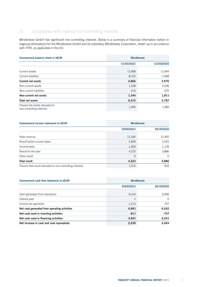# 3) Subsidiaries with material non-controlling interests

Mindbreeze GmbH has significant non-controlling interests. Below is a summary of financial information before intragroup eliminations for the Mindbreeze GmbH and its subsidiary Mindbreeze Corporation, drawn up in accordance with IFRS, as applicable in the EU.

| Summarised balance sheet in KEUR                             | <b>Mindbreeze</b> |            |
|--------------------------------------------------------------|-------------------|------------|
|                                                              | 31/03/2021        | 31/03/2020 |
| Current assets                                               | 12,968            | 11,644     |
| Current liabilities                                          | $-8,102$          | $-7,668$   |
| <b>Current net assets</b>                                    | 4,866             | 3,976      |
| Non-current assets                                           | 1,558             | 2,036      |
| Non-current liabilities                                      | $-214$            | $-225$     |
| Non-current net assets                                       | 1,344             | 1,811      |
| Total net assets                                             | 6,210             | 5,787      |
| Thereof net assets allocated to<br>non-controlling interests | 1,490             | 1,389      |

| Summarised income statement in <b>KEUR</b>                  |           | <b>Mindbreeze</b> |  |
|-------------------------------------------------------------|-----------|-------------------|--|
|                                                             | 2020/2021 | 2019/2020         |  |
| Sales revenue                                               | 13,180    | 12,402            |  |
| Result before income taxes                                  | 5,829     | 5,025             |  |
| Income taxes                                                | $-1,606$  | $-1,139$          |  |
| Result for the year                                         | 4,223     | 3,886             |  |
| Other result                                                | $\Omega$  | $\Omega$          |  |
| <b>Total result</b>                                         | 4,223     | 3,886             |  |
| Thereof total result allocated to non-controlling interests | 1,014     | 933               |  |

| Summarised cash flow statement in KEUR       | <b>Mindbreeze</b> |           |
|----------------------------------------------|-------------------|-----------|
|                                              | 2020/2021         | 2019/2020 |
| Cash generated from operations               | 8,104             | 6,999     |
| Interest paid                                | $\Omega$          | $\Omega$  |
| Income tax payments                          | $-1,213$          | $-757$    |
| Net cash generated from operating activities | 6,891             | 6,242     |
| Net cash used in investing activities        | $-811$            | $-757$    |
| Net cash used in financing activities        | $-3.841$          | $-2,031$  |
| Net increase in cash and cash equivalents    | 2,239             | 3,454     |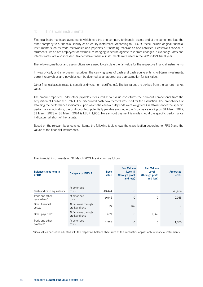# 4) Financial instruments

Financial instruments are agreements which lead the one company to financial assets and at the same time lead the other company to a financial liability or an equity instrument. According to IFRS 9, these include original financial instruments such as trade receivables and payables or financing receivables and liabilities. Derivative financial instruments, which are employed for example as hedging to secure against risks from changes in exchange rates and interest rates, are also included. No derivative financial instruments were used in the 2020/2021 fiscal year.

The following methods and assumptions were used to calculate the fair value for the respective financial instruments:

In view of daily and short-term maturities, the carrying value of cash and cash equivalents, short-term investments, current receivables and payables can be deemed as an appropriate approximation for fair value.

Other financial assets relate to securities (investment certificates). The fair values are derived from the current market value.

The amount reported under other payables measured at fair value constitutes the earn-out components from the acquisition of Xpublisher GmbH. The discounted cash flow method was used for the evaluation. The probabilities of attaining the performance indicators upon which the earn-out depends were weighted. On attainment of the specific performance indicators, the undiscounted, potentially payable amount in the fiscal years ending on 31 March 2022, 31 March 2023 or 31 March 2024 is kEUR 1,900. No earn-out payment is made should the specific performance indicators fall short of the targets.

Based on the relevant balance sheet items, the following table shows the classification according to IFRS 9 and the values of the financial instruments.

| <b>Balance sheet item in</b><br><b>kEUR</b> | <b>Category to IFRS 9</b>                | <b>Book</b><br>value | Fair Value -<br>Level II<br>(through profit)<br>and loss) | Fair Value -<br>Level III<br>(through profit)<br>and loss) | <b>Amortised</b><br>costs |
|---------------------------------------------|------------------------------------------|----------------------|-----------------------------------------------------------|------------------------------------------------------------|---------------------------|
| Cash and cash equivalents                   | At amortised<br>costs                    | 48,424               | $\mathbf 0$                                               | $\Omega$                                                   | 48,424                    |
| Trade and other<br>receivables*             | At amortised<br>costs                    | 9.945                | $\mathbf 0$                                               | $\circ$                                                    | 9,945                     |
| Other financial<br>assets                   | At fair value through<br>profit and loss | 169                  | 169                                                       | $\mathbf 0$                                                | $\Omega$                  |
| Other payables*                             | At fair value through<br>profit and loss | 1,669                | 0                                                         | 1,669                                                      | $\Omega$                  |
| Trade and other<br>payables*                | At amortised<br>costs                    | 1.765                | 0                                                         | $\mathbf 0$                                                | 1.765                     |

The financial instruments on 31 March 2021 break down as follows:

\*Book values cannot be adjusted with the respective balance sheet item as this itemisation applies only to financial instruments.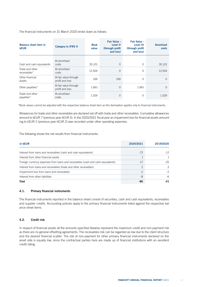The financial instruments on 31 March 2020 broke down as follows:

| <b>Balance sheet item in</b><br><b>kEUR</b> | <b>Category to IFRS 9</b>                | <b>Book</b><br>value | Fair Value -<br>Level II<br>(through profit)<br>and loss) | Fair Value -<br>Level III<br>(through profit)<br>and loss) | <b>Amortised</b><br>costs |
|---------------------------------------------|------------------------------------------|----------------------|-----------------------------------------------------------|------------------------------------------------------------|---------------------------|
| Cash and cash equivalents                   | At amortised<br>costs                    | 35,101               | $\overline{0}$                                            | $\Omega$                                                   | 35,101                    |
| Trade and other<br>receivables*             | At amortised<br>costs                    | 12,504               | $\overline{0}$                                            | $\circ$                                                    | 12,504                    |
| Other financial<br>assets                   | At fair value through<br>profit and loss | 169                  | 169                                                       | $\Omega$                                                   | $\Omega$                  |
| Other payables*                             | At fair value through<br>profit and loss | 1.661                | $\overline{0}$                                            | 1,661                                                      | $\Omega$                  |
| Trade and other<br>payables*                | At amortised<br>costs                    | 1,529                | 0                                                         | $\circ$                                                    | 1,529                     |

\*Book values cannot be adjusted with the respective balance sheet item as this itemisation applies only to financial instruments.

Allowances for trade and other receivables are declared set off with trade and other receivables. Cumulative allowances amount to kEUR 7 (previous year kEUR 5). In the 2020/2021 fiscal year an impairment loss for financial assets amounting to kEUR 2 (previous year kEUR 2) was recorded under other operating expenses.

The following shows the net results from financial instruments:

| in kEUR                                                                          | 2020/2021     | 2019/2020 |
|----------------------------------------------------------------------------------|---------------|-----------|
| Interest from loans and receivables (cash and cash equivalents)                  | $-72$         | $-12$     |
| Interest from other financial assets                                             |               |           |
| Foreign currency expenses from loans and receivables (cash and cash equivalents) | $-17$         | $-25$     |
| Interest from loans and receivables (trade and other receivables)                | $\mathcal{P}$ | 3         |
| Impairment loss from loans and receivables                                       | $-2$          | $-2$      |
| Interest from other liabilities                                                  | -8            | -6        |
| Total                                                                            | -96           | -41       |

# 4.1. Primary financial instruments

The financial instruments reported in the balance sheet consist of securities, cash and cash equivalents, receivables and supplier credits. Accounting policies apply to the primary financial instruments listed against the respective balance sheet items.

# 4.2. Credit risk

In respect of financial assets all the amounts specified likewise represent the maximum credit and non-payment risk as there are no general offsetting agreements. The receivables risk can be regarded as low due to the client structure and the desired financial scatter. The risk of non-payment for other primary financial instruments declared on the asset side is equally low, since the contractual parties here are made up of financial institutions with an excellent credit rating.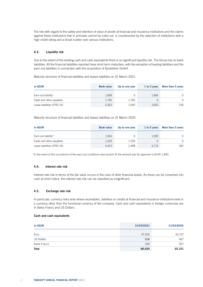The risk with regard to the safety and retention of value of assets at financial and insurance institutions and the claims against these institutions that in principle cannot be ruled out, is counteracted by the selection of institutions with a high credit rating and a broad scatter over various institutions.

# 4.3. Liquidity risk

Due to the extent of the existing cash and cash equivalents there is no significant liquidity risk. The Group has no bank liabilities. All the financial liabilities reported have short-term maturities, with the exception of leasing liabilities and the earn-out liabilities in connection with the acquisition of Xpublisher GmbH.

Maturity structure of financial liabilities and leases liabilities on 31 March 2021:

| in kEUR                     | <b>Book value</b> | Up to one year | 1 to 5 years | More than 5 years |
|-----------------------------|-------------------|----------------|--------------|-------------------|
| Earn-out liability*         | 1.669             | 0              | 1.695        | $\Omega$          |
| Trade and other payables    | 1.765             | 1.765          |              | $\Omega$          |
| Lease liabilities (IFRS 16) | 5.422             | 1.645          | 3,651        | 156               |

Maturity structure of financial liabilities and leases liabilities on 31 March 2020:

| in kEUR                     | <b>Book value</b> | Up to one year | 1 to 5 years | More than 5 years |
|-----------------------------|-------------------|----------------|--------------|-------------------|
| Earn-out liability*         | 1.661             |                | 1.695        | $\Omega$          |
| Trade and other payables    | 1.529             | 1.529          |              | $\Omega$          |
| Lease liabilities (IFRS 16) | 5,415             | 1.408          | 3.710        | 342               |

\*In the event of the occurrence of the earn-out conditions (see section 4) the amount due for payment is kEUR 1,900.

# 4.4. Interest rate risk

Interest rate risk in terms of the fair value occurs in the case of other financial assets. As these can be converted into cash at short notice, the interest rate risk can be classified as insignificant.

# 4.5. Exchange rate risk

In particular, currency risks arise where receivables, liabilities or credits at financial and insurance institutions exist in a currency other than the functional currency of the company. Cash and cash equivalents in foreign currencies are in Swiss Francs and US Dollars.

#### Cash and cash equivalents

| in kEUR           | 31/03/2021 | 31/03/2020 |
|-------------------|------------|------------|
| Euro              | 47,254     | 33,737     |
| <b>US Dollars</b> | 838        | 407        |
| Swiss Francs      | 332        | 957        |
| <b>Total</b>      | 48,424     | 35,101     |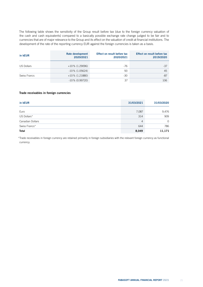The following table shows the sensitivity of the Group result before tax (due to the foreign currency valuation of the cash and cash equivalents) compared to a basically possible exchange rate change judged to be fair and to currencies that are of major relevance to the Group and its effect on the valuation of credit at financial institutions. The development of the rate of the reporting currency EUR against the foreign currencies is taken as a basis.

| in kEUR           | Rate development<br>2020/2021 | Effect on result before tax<br>2020/2021 | Effect on result before tax<br>2019/2020 |
|-------------------|-------------------------------|------------------------------------------|------------------------------------------|
| <b>US Dollars</b> | $+10\%$ (1.29096)             | $-76$                                    | $-37$                                    |
|                   | $-10\%$ (1.05624)             | 93                                       | 45                                       |
| Swiss Francs      | $+10\%$ (1.21880)             | $-30$                                    | -87                                      |
|                   | $-10\%$ (0.99720)             | 37                                       | 106                                      |

## Trade receivables in foreign currencies

| in kEUR                 | 31/03/2021 | 31/03/2020 |
|-------------------------|------------|------------|
| Euro                    | 7,087      | 9,476      |
| US Dollars*             | 314        | 909        |
| <b>Canadian Dollars</b> | 4          | $\Omega$   |
| Swiss Francs*           | 644        | 786        |
| <b>Total</b>            | 8,049      | 11,171     |

\*Trade receivables in foreign currency are retained primarily in foreign subsidiaries with the relevant foreign currency as functional currency.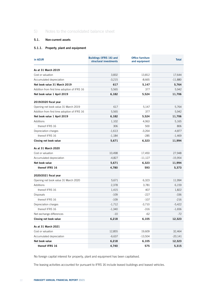# 5) Notes to the consolidated balance sheet

# 5.1. Non-current assets

# 5.1.1. Property, plant and equipment

| in kEUR                                      | Buildings (IFRS 16) and<br>structural investments | <b>Office furniture</b><br>and equipment | <b>Total</b> |
|----------------------------------------------|---------------------------------------------------|------------------------------------------|--------------|
| As at 31 March 2019                          |                                                   |                                          |              |
| Cost or valuation                            | 3,832                                             | 13,812                                   | 17,644       |
| Accumulated depreciation                     | $-3,215$                                          | $-8,665$                                 | $-11,880$    |
| Net book value 31 March 2019                 | 617                                               | 5,147                                    | 5,764        |
| Addition from first time adoption of IFRS 16 | 5,565                                             | 377                                      | 5,942        |
| Net book value 1 April 2019                  | 6,182                                             | 5,524                                    | 11,706       |
| 2019/2020 fiscal year                        |                                                   |                                          |              |
| Opening net book value 31 March 2019         | 617                                               | 5,147                                    | 5,764        |
| Addition from first time adoption of IFRS 16 | 5,565                                             | 377                                      | 5,942        |
| Net book value 1 April 2019                  | 6,182                                             | 5,524                                    | 11,706       |
| Additions                                    | 1,102                                             | 4,063                                    | 5,165        |
| thereof IFRS 16                              | 306                                               | 500                                      | 806          |
| Depreciation charges                         | $-1,613$                                          | $-3,264$                                 | $-4,877$     |
| thereof IFRS 16                              | $-1,184$                                          | $-285$                                   | $-1,469$     |
| Closing net book value                       | 5,671                                             | 6,323                                    | 11,994       |
| As at 31 March 2020                          |                                                   |                                          |              |
| Cost or valuation                            | 10,498                                            | 17,450                                   | 27,948       |
| Accumulated depreciation                     | $-4,827$                                          | -11,127                                  | $-15,954$    |
| Net book value                               | 5,671                                             | 6,323                                    | 11,994       |
| thereof IFRS 16                              | 4,780                                             | 593                                      | 5,373        |
| 2020/2021 fiscal year                        |                                                   |                                          |              |
| Opening net book value 31 March 2020         | 5,671                                             | 6,323                                    | 11,994       |
| Additions                                    | 2,378                                             | 3,781                                    | 6,159        |
| thereof IFRS 16                              | 1,415                                             | 407                                      | 1,822        |
| <b>Disposals</b>                             | $-109$                                            | $-227$                                   | $-336$       |
| thereof IFRS 16                              | $-109$                                            | $-107$                                   | $-216$       |
| Depreciation charges                         | $-1,712$                                          | $-3,710$                                 | $-5,422$     |
| thereof IFRS 16                              | $-1,340$                                          | $-316$                                   | $-1,656$     |
| Net exchange differences                     | $-10$                                             | $-62$                                    | $-72$        |
| Closing net book value                       | 6,218                                             | 6,105                                    | 12,323       |
| As at 31 March 2021                          |                                                   |                                          |              |
| Cost or valuation                            | 12,855                                            | 19,609                                   | 32,464       |
| Accumulated depreciation                     | $-6,637$                                          | $-13,504$                                | $-20,141$    |
| Net book value                               | 6,218                                             | 6,105                                    | 12,323       |
| thereof IFRS 16                              | 4,740                                             | 575                                      | 5,315        |

No foreign capital interest for property, plant and equipment has been capitalised.

The leasing activities accounted for pursuant to IFRS 16 include leased buildings and leased vehicles.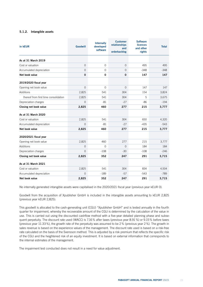# 5.1.2. Intangible assets

| in kEUR                               | <b>Goodwill</b> | <b>Internally</b><br>developed<br>software | <b>Customer</b><br>relationships<br>and<br>orderbacklog | <b>Software</b><br><b>licences</b><br>and other<br>rights | <b>Total</b> |
|---------------------------------------|-----------------|--------------------------------------------|---------------------------------------------------------|-----------------------------------------------------------|--------------|
| As at 31 March 2019                   |                 |                                            |                                                         |                                                           |              |
| Cost or valuation                     | $\overline{0}$  | $\mathbf{O}$                               | $\overline{0}$                                          | 495                                                       | 495          |
| Accumulated depreciation              | $\overline{0}$  | $\mathbf{O}$                               | 0                                                       | $-348$                                                    | $-348$       |
| Net book value                        | $\mathbf 0$     | 0                                          | 0                                                       | 147                                                       | 147          |
| 2019/2020 fiscal year                 |                 |                                            |                                                         |                                                           |              |
| Opening net book value                | $\overline{0}$  | $\overline{0}$                             | $\overline{O}$                                          | 147                                                       | 147          |
| Additions                             | 2,825           | 541                                        | 304                                                     | 154                                                       | 3,824        |
| thereof from first time consolidation | 2,825           | 541                                        | 304                                                     | 5                                                         | 3,675        |
| Depreciation charges                  | $\Omega$        | -81                                        | $-27$                                                   | -86                                                       | $-194$       |
| Closing net book value                | 2,825           | 460                                        | 277                                                     | 215                                                       | 3,777        |
| As at 31 March 2020                   |                 |                                            |                                                         |                                                           |              |
| Cost or valuation                     | 2,825           | 541                                        | 304                                                     | 650                                                       | 4,320        |
| Accumulated depreciation              | $\Omega$        | $-81$                                      | $-27$                                                   | $-435$                                                    | $-543$       |
| Net book value                        | 2,825           | 460                                        | 277                                                     | 215                                                       | 3,777        |
| 2020/2021 fiscal year                 |                 |                                            |                                                         |                                                           |              |
| Opening net book value                | 2,825           | 460                                        | 277                                                     | 215                                                       | 3,777        |
| Additions                             | $\Omega$        | $\Omega$                                   | $\overline{0}$                                          | 184                                                       | 184          |
| Depreciation charges                  | $\Omega$        | $-108$                                     | $-30$                                                   | $-108$                                                    | $-246$       |
| Closing net book value                | 2,825           | 352                                        | 247                                                     | 291                                                       | 3,715        |
| As at 31 March 2021                   |                 |                                            |                                                         |                                                           |              |
| Cost or valuation                     | 2,825           | 541                                        | 304                                                     | 834                                                       | 4,504        |
| Accumulated depreciation              | $\Omega$        | $-189$                                     | $-57$                                                   | $-543$                                                    | $-789$       |
| Net book value                        | 2,825           | 352                                        | 247                                                     | 291                                                       | 3,715        |

No internally generated intangible assets were capitalised in the 2020/2021 fiscal year (previous year kEUR 0).

Goodwill from the acquisition of Xpublisher GmbH is included in the intangible assets amounting to kEUR 2,825 (previous year kEUR 2,825).

This goodwill is allocated to the cash-generating unit (CGU) "Xpublisher GmbH" and is tested annually in the fourth quarter for impairment, whereby the recoverable amount of the CGU is determined by the calculation of the value in use. This is carried out using the discounted cashflow method with a five-year detailed planning phase and subsequent perpetuity. The discount rate used (WACC) is 7.16% after taxes (previous year 8.91%) or 9.15% before taxes (previous year 11.33%), the growth rate of the perpetuity was assumed to be 2% (previous year 2%). The growth in sales revenue is based on the experience values of the management. The discount rate used is based on a risk-free rate calculated on the basis of the Svensson method. This is adjusted by a risk premium that reflects the specific risk of the CGU and the heightened risk of an equity investment. It is based on external information that corresponds to the internal estimates of the management.

The impairment test conducted does not result in a need for value adjustment.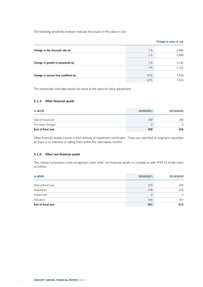The following sensitivity analyses indicate the impact of the value in use:

|                                    |        | Change in value in use |
|------------------------------------|--------|------------------------|
| Change in the discount rate by     | 1%     | $-2,685$               |
|                                    | $-1%$  | 3,990                  |
| Change in growth in perpetuity by  | 1%     | 3,142                  |
|                                    | $-1%$  | $-2,122$               |
| Change in annual free cashflows by | 10%    | 1,524                  |
|                                    | $-10%$ | $-1,524$               |

The sensitivities indicated would not result in the need for value adjustment.

# 5.1.3. Other financial assets

| in kEUR              | 2020/2021 | 2019/2020 |
|----------------------|-----------|-----------|
| Start of fiscal year | 169       | 169       |
| Fair value changes   |           | $\Omega$  |
| End of fiscal year   | 169       | 169       |

Other financial assets consist in their entirety of investment certificates. These are classified as long-term securities as there is no intention of selling them within the next twelve months.

### 5.1.4. Other non-financial assets

The contract acquisition costs recognised under other non-financial assets in compliance with IFRS 15 break down as follows:

| in kEUR              | 2020/2021 | 2019/2020 |
|----------------------|-----------|-----------|
| Start of fiscal year | 515       | 476       |
| <b>Dissolution</b>   | $-278$    | $-218$    |
| Impairment           | $\Omega$  | $\Omega$  |
| Allocation           | 164       | 257       |
| End of fiscal year   | 401       | 515       |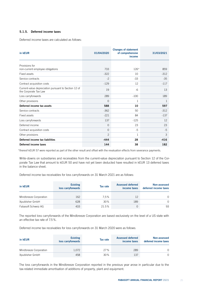# 5.1.5. Deferred income taxes

Deferred income taxes are calculated as follows:

| in kEUR                                                                       | 01/04/2020 | <b>Changes of statement</b><br>of comprehensive<br>income | 31/03/2021 |
|-------------------------------------------------------------------------------|------------|-----------------------------------------------------------|------------|
| Provisions for                                                                |            |                                                           |            |
| non-current employee obligations                                              | 733        | $126*$                                                    | 859        |
| Fixed assets                                                                  | $-322$     | 10                                                        | $-312$     |
| Service contracts                                                             | $-2$       | $-33$                                                     | $-35$      |
| Contract acquisition costs                                                    | $-129$     | 12                                                        | $-117$     |
| Current-value depreciation pursuant to Section 12 of<br>the Corporate Tax Law | 19         | $-6$                                                      | 13         |
| Loss carryforwards                                                            | 289        | $-100$                                                    | 189        |
| Other provisions                                                              | $\Omega$   | 1                                                         | 1          |
| Deferred income tax assets                                                    | 588        | 10                                                        | 597        |
| Service contracts                                                             | $-362$     | 50                                                        | $-312$     |
| Fixed assets                                                                  | $-221$     | 84                                                        | $-137$     |
| Loss carryforwards                                                            | 137        | $-125$                                                    | 12         |
| Deferred income                                                               | $\Omega$   | 23                                                        | 23         |
| Contract acquisition costs                                                    | $\Omega$   | $-5$                                                      | $-5$       |
| Other provisions                                                              | 2          | $\mathbf{1}$                                              | 3          |
| Deferred income tax liabilities                                               | $-444$     | 28                                                        | $-416$     |
| Deferred income taxes                                                         | 144        | 38                                                        | 182        |

\*thereof kEUR 57 were reported as part of the other result and offset with the revaluation effects from severance payments.

Write-downs on subsidiaries and receivables from the current-value depreciation pursuant to Section 12 of the Corporate Tax Law that amount to kEUR 50 and have not vet been deducted have resulted in kEUR 13 deferred taxes in the balance sheet.

Deferred income tax receivables for loss carryforwards on 31 March 2021 are as follows:

| in kEUR                | <b>Existing</b><br>loss carryforwards | Tax rate | <b>Assessed deferred</b><br>income taxes | Non-assessed<br>deferred income taxes |
|------------------------|---------------------------------------|----------|------------------------------------------|---------------------------------------|
| Mindbreeze Corporation | 162                                   | 7.5%     | 12                                       | $\Omega$                              |
| Xpublisher GmbH        | 628                                   | 30%      | 189                                      | $\Omega$                              |
| Fabasoft Schweiz AG    | 433                                   | 21.5%    |                                          | 93                                    |

The reported loss carryforwards of the Mindbreeze Corporation are based exclusively on the level of a US state with an effective tax rate of 7.5%.

Deferred income tax receivables for loss carryforwards on 31 March 2020 were as follows:

| in kEUR                | <b>Existing</b><br>loss carryforwards | Tax rate | <b>Assessed deferred</b><br>income taxes | Non-assessed<br>deferred income taxes |
|------------------------|---------------------------------------|----------|------------------------------------------|---------------------------------------|
| Mindbreeze Corporation | 1.072                                 | 27%      | 289                                      | $\Omega$                              |
| Xpublisher GmbH        | 458                                   | 30%      | 137                                      | $\Omega$                              |

The loss carryforwards in the Mindbreeze Corporation reported in the previous year arose in particular due to the tax-related immediate amortisation of additions of property, plant and equipment.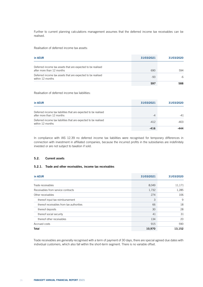Further to current planning calculations management assumes that the deferred income tax receivables can be realised.

Realisation of deferred income tax assets:

| in kEUR                                                                                  | 31/03/2021 | 31/03/2020 |
|------------------------------------------------------------------------------------------|------------|------------|
| Deferred income tax assets that are expected to be realised<br>after more than 12 months | 690        | 594        |
| Deferred income tax assets that are expected to be realised<br>within 12 months          | $-93$      | $-6$       |
|                                                                                          | 597        | 588        |

Realisation of deferred income tax liabilities:

| in kEUR                                                                                       | 31/03/2021 | 31/03/2020 |
|-----------------------------------------------------------------------------------------------|------------|------------|
| Deferred income tax liabilities that are expected to be realised<br>after more than 12 months | $-4$       | $-41$      |
| Deferred income tax liabilities that are expected to be realised<br>within 12 months          | $-412$     | -403       |
|                                                                                               | $-416$     | 444.       |

In compliance with IAS 12.39 no deferred income tax liabilities were recognised for temporary differences in connection with investment in affiliated companies, because the incurred profits in the subsidiaries are indefinitely invested or are not subject to taxation if sold.

# 5.2. Current assets

## 5.2.1. Trade and other receivables, income tax receivables

| in kEUR                                  | 31/03/2021 | 31/03/2020 |
|------------------------------------------|------------|------------|
| Trade receivables                        | 8,049      | 11,171     |
|                                          |            |            |
| Receivables from service contracts       | 1,732      | 1,285      |
| Other receivables                        | 274        | 106        |
| thereof input tax reimbursement          | 3          | 9          |
| thereof receivables from tax authorities | 66         | 18         |
| thereof deposits                         | 30         | 28         |
| thereof social security                  | 41         | 31         |
| thereof other receivables                | 134        | 20         |
| Accrued costs                            | 915        | 590        |
| <b>Total</b>                             | 10,970     | 13,152     |

Trade receivables are generally recognised with a term of payment of 30 days, there are special agreed due dates with individual customers, which also fall within the short-term segment. There is no variable offset.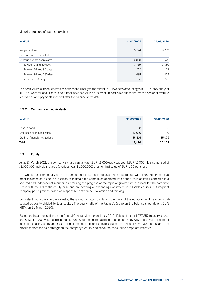Maturity structure of trade receivables:

| in kEUR                     | 31/03/2021 | 31/03/2020 |
|-----------------------------|------------|------------|
| Not yet mature              | 5,224      | 9,259      |
| Overdue and depreciated     | 7          | 5          |
| Overdue but not depreciated | 2,818      | 1,907      |
| Between 1 and 60 days       | 1,759      | 1,130      |
| Between 61 and 90 days      | 505        | 22         |
| Between 91 and 180 days     | 498        | 463        |
| More than 180 days          | 56         | 292        |

The book values of trade receivables correspond closely to the fair value. Allowances amounting to kEUR 7 (previous year kEUR 5) were formed. There is no further need for value adjustment, in particular due to the branch sector of overdue receivables and payments received after the balance sheet date.

### 5.2.2. Cash and cash equivalents

| in kEUR                          | 31/03/2021 | 31/03/2020 |
|----------------------------------|------------|------------|
| Cash in hand                     | 8          | 6          |
| Safe-keeping in bank safes       | 12,000     | $\Omega$   |
| Credit at financial institutions | 35.416     | 35,095     |
| <b>Total</b>                     | 48.424     | 35,101     |

# 5.3. Equity

As at 31 March 2021, the company's share capital was kEUR 11,000 (previous year kEUR 11,000). It is comprised of 11,000,000 individual shares (previous year 11,000,000) at a nominal value of EUR 1.00 per share.

The Group considers equity as those components to be declared as such in accordance with IFRS. Equity management focusses on being in a position to maintain the companies operated within the Group as going concerns in a secured and independent manner, on assuring the progress of the topic of growth that is critical for the corporate Group with the aid of the equity base and on investing or expanding investment of utilisable equity in future-proof company participations based on responsible entrepreneurial action and thinking.

Consistent with others in the industry, the Group monitors capital on the basis of the equity ratio. This ratio is calculated as equity divided by total capital. The equity ratio of the Fabasoft Group on the balance sheet date is 51% (48% on 31 March 2020).

Based on the authorisation by the Annual General Meeting on 1 July 2019, Fabasoft sold all 277,257 treasury shares on 20 April 2020, which corresponds to 2.52% of the share capital of the company, by way of a private placement to institutional investors under exclusion of the subscription rights to a placement price of EUR 23.50 per share. The proceeds from the sale strengthen the company's equity and serve the announced corporate interests.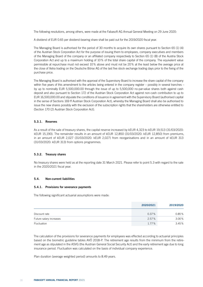The following resolutions, among others, were made at the Fabasoft AG Annual General Meeting on 29 June 2020:

A dividend of EUR 0.65 per dividend-bearing share shall be paid out for the 2019/2020 fiscal year.

The Managing Board is authorised for the period of 30 months to acquire its own shares pursuant to Section 65 (1) (4) of the Austrian Stock Corporation Act for the purpose of issuing them to employees, company executives and members of the Managing Board of the company or an affiliated company respectively to Section 65 (1) (8) of the Austria Stock Corporation Act and up to a maximum holding of 10% of the total share capital of the company. The equivalent value permissible at repurchase must not exceed 10% above and must not be 20% at the least below the average price at the close of Xetra trading on the Deutsche Börse AG of the last five stock exchange trading days prior to the fixing of the purchase price.

The Managing Board is authorised with the approval of the Supervisory Board to increase the share capital of the company within five years of this amendment to the articles being entered in the company register – possibly in several tranches – by up to nominally EUR 5,500,000.00 through the issue of up to 5,500,000 no-par-value shares both against cash deposit and also pursuant to Section 172 of the Austrian Stock Corporation Act against non-cash contribution to up to EUR 16,500,000.00 and stipulate the conditions of issuance in agreement with the Supervisory Board (authorised capital in the sense of Sections 169 ff Austrian Stock Corporation Act), whereby the Managing Board shall also be authorised to issue the new shares possibly with the exclusion of the subscription rights that the shareholders are otherwise entitled to (Section 170 (2) Austrian Stock Corporation Act).

### 5.3.1. Reserves

As a result of the sale of treasury shares, the capital reserve increased by kEUR 4,323 to kEUR 19,513 (31/03/2020: kEUR 15,190). The remainder results in an amount of kEUR 12,850 (31/03/2020: kEUR 12,850) from premiums, in an amount of kEUR 2,027 (31/03/2020: kEUR 2,027) from reorganisations and in an amount of kEUR 313 (31/03/2020: kEUR 313) from options programmes.

#### 5.3.2. Treasury shares

No treasury shares were held as at the reporting date 31 March 2021. Please refer to point 5.3 with regard to the sale in the 2020/2021 fiscal year.

#### 5.4. Non-current liabilities

#### 5.4.1. Provisions for severance payments

The following significant actuarial assumptions were made:

|                         | 2020/2021 | 2019/2020 |
|-------------------------|-----------|-----------|
| Discount rate           | 0.37%     | 0.85%     |
| Future salary increases | 2.57%     | 3.00%     |
| Fluctuation             | $1.77\%$  | 3.45%     |

The calculation of the provisions for severance payments for employees was effected according to actuarial principles based on the biometric guideline tables AVÖ 2018-P. The retirement age results from the minimum from the retirement age as stipulated in the ASVG (the Austrian General Social Security Act) and the early retirement age due to long insurance period. Fluctuation was calculated on the basis of individual company experience.

Plan duration (average weighted period) amounts to 8.49 years.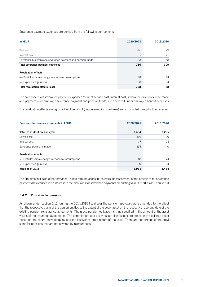Severance payment expenses are derived from the following components:

| in kEUR                                                    | 2020/2021 | 2019/2020 |
|------------------------------------------------------------|-----------|-----------|
|                                                            |           |           |
| Service cost                                               | 516       | 129       |
| Interest cost                                              | 17        | 22        |
| Payments into employee severance payment and pension funds | 183       | 158       |
| Total severance payment expenses                           | 716       | 309       |
| <b>Revaluation effects</b>                                 |           |           |
| -/+ Profit/loss from change to economic assumptions        | 48        | 74        |
| $-/-$ Experience gain/loss                                 | 180       | 14        |
| Total revaluation effects (loss)                           | 228       | 88        |

The components of severance payment expenses (current service cost, interest cost, severance payments to be made and payments into employee severance payment and pension funds) are disclosed under employee benefit expenses.

The revaluation effects are reported in other result (net deferred income taxes) and concluded through other reserves.

| Provisions for severance payments in KEUR           | 2020/2021 | 2019/2020 |
|-----------------------------------------------------|-----------|-----------|
| Value as at 31/3 previous year                      | 3,464     | 3,225     |
| Service cost                                        | 516       | 129       |
| Interest cost                                       | 17        | 22        |
| Severance payments made                             | $-314$    | $\Omega$  |
| <b>Revaluation effects</b>                          |           |           |
| -/+ Profit/loss from change to economic assumptions | 48        | 74        |
| -/+ Experience gain/loss                            | 180       | 14        |
| Value as at 31/3                                    | 3,911     | 3,464     |

The first-time inclusion of performance-related remunerations in the basis for assessment of the provisions for severance payments has resulted in an increase in the provisions for severance payments amounting to kEUR 281 as at 1 April 2020.

#### 5.4.2. Provisions for pensions

As shown under section 2.12, during the 2014/2015 fiscal year the pension approvals were amended to the effect that the respective claim of the person entitled to the extent of the cover asset on the respective reporting date of the existing pension reinsurance agreements. The gross pension obligation is thus specified in the amount of the asset values of the insurance agreements. The commitment and cover asset (plan assets) are offset on the balance sheet based on the congruency, pledging and the insolvency-proof nature of the asset. There are no portions of the provisions for pensions that are not covered by reinsurances.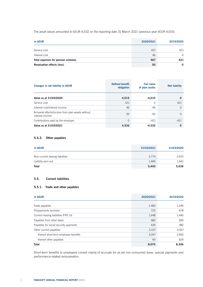The asset values amounted to kEUR 4,532 on the reporting date 31 March 2021 (previous year kEUR 4,015).

| in kEUR                            | 2020/2021 | 2019/2020 |
|------------------------------------|-----------|-----------|
| Service cost                       | 421       | 421       |
| Interest cost                      | 46        | $\cap$    |
| Total expenses for pension schemes | 467       | 421       |
| <b>Revaluation effects (loss)</b>  | 50        | 0         |

| Changes in net liability in <b>KEUR</b>                              | <b>Defined benefit</b><br>obligation | <b>Fair value</b><br>of plan assets | <b>Net liability</b> |
|----------------------------------------------------------------------|--------------------------------------|-------------------------------------|----------------------|
| Value as at 31/03/2020                                               | 4,015                                | $-4,015$                            | $\Omega$             |
| Service cost                                                         | 421                                  | $\Omega$                            | 421                  |
| Interest cost/interest income                                        | 46                                   | $-46$                               | $\Omega$             |
| Actuarial effects/income from plan assets without<br>interest income | 50                                   | -50                                 | $\Omega$             |
| Contributions paid by the employer                                   | $\Omega$                             | $-421$                              | $-421$               |
| Value as at 31/03/2021                                               | 4,532                                | $-4,532$                            | 0                    |

# 5.4.3. Other payables

| in kEUR                         | 31/03/2021 | 31/03/2020 |
|---------------------------------|------------|------------|
| Non-current leasing liabilities | 3.774      | 3,975      |
| Liability earn-out              | 1,669      | 1,661      |
| <b>Total</b>                    | 5,443      | 5,636      |

# 5.5. Current liabilities

# 5.5.1. Trade and other payables

| in kEUR                               | 2020/2021 | 2019/2020 |
|---------------------------------------|-----------|-----------|
| Trade payables                        | 1,483     | 1,249     |
| Prepayments received                  | 725       | 678       |
| Current leasing liabilities IFRS 16   | 1,648     | 1,440     |
| Payables from other taxes             | 682       | 990       |
| Payables for social security payments | 429       | 382       |
| Other current payables                | 3,107     | 3,567     |
| thereof short-term employee benefits  | 3,047     | 2,943     |
| thereof other payables                | 60        | 624       |
| <b>Total</b>                          | 8,074     | 8,306     |

Short-term benefits to employees consist mainly of accruals for as yet non-consumed leave, special payments and performance-related remuneration.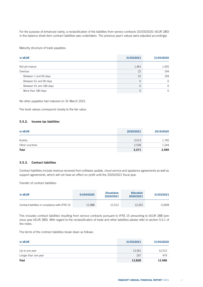For the purpose of enhanced clarity, a reclassification of the liabilities from service contracts (31/03/2020: kEUR 280) in the balance sheet item contract liabilities was undertaken. The previous year's values were adjusted accordingly.

Maturity structure of trade payables:

| in kEUR                 | 31/03/2021 | 31/03/2020 |
|-------------------------|------------|------------|
| Not yet mature          | 1,461      | 1,055      |
| Overdue                 | 22         | 194        |
| Between 1 and 60 days   | 22         | 194        |
| Between 61 and 90 days  | 0          | $\Omega$   |
| Between 91 and 180 days | 0          | $\Omega$   |
| More than 180 days      | 0          | 0          |

No other payables had matured on 31 March 2021.

The book values correspond closely to the fair value.

### 5.5.2. Income tax liabilities

| in kEUR         | 2020/2021 | 2019/2020 |
|-----------------|-----------|-----------|
| Austria         | 3,013     | 1,745     |
| Other countries | 2,558     | 1,244     |
| <b>Total</b>    | 5,571     | 2,989     |

# 5.5.3. Contract liabilities

Contract liabilities include revenue received from software update, cloud service and appliance agreements as well as support agreements, which will not have an effect on profit until the 2020/2021 fiscal year.

Transfer of contract liabilities:

| in kEUR                                         | 01/04/2020 | <b>Dissolution</b><br>2020/2021 | <b>Allocation</b><br>2020/2021 | 31/03/2021 |
|-------------------------------------------------|------------|---------------------------------|--------------------------------|------------|
| Contract liabilities in compliance with IFRS 15 | 12,988     | -12.512                         | 13,352                         | 13.828     |

This includes contract liabilities resulting from service contracts pursuant to IFRS 15 amounting to kEUR 288 (previous year kEUR 280). With regard to the reclassification of trade and other liabilities please refer to section 5.5.1 of the notes.

The terms of the contract liabilities break down as follows:

| in kEUR              | 31/03/2021 | 31/03/2020 |
|----------------------|------------|------------|
| Up to one year       | 13,561     | 12,512     |
| Longer than one year | 267        | 476        |
| <b>Total</b>         | 13,828     | 12,988     |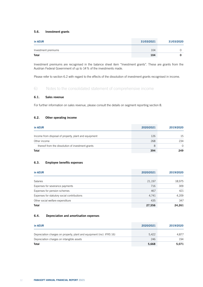# 5.6. Investment grants

| in kEUR             | 31/03/2021 | 31/03/2020 |
|---------------------|------------|------------|
| Investment premiums | 104        |            |
| <b>Total</b>        | 104        |            |

Investment premiums are recognised in the balance sheet item "Investment grants". These are grants from the Austrian Federal Government of up to 14% of the investments made.

Please refer to section 6.2 with regard to the effects of the dissolution of investment grants recognised in income.

# 6) Notes to the consolidated statement of comprehensive income

# 6.1. Sales revenue

For further information on sales revenue, please consult the details on segment reporting section 8.

# 6.2. Other operating income

| in kEUR                                               | 2020/2021 | 2019/2020 |
|-------------------------------------------------------|-----------|-----------|
| Income from disposal of property, plant and equipment | 126       | 15        |
| Other income                                          | 268       | 234       |
| thereof from the dissolution of investment grants     | 8         | $\cap$    |
| <b>Total</b>                                          | 394       | 249       |

# 6.3. Employee benefits expenses

| in kEUR                                     | 2020/2021 | 2019/2020 |
|---------------------------------------------|-----------|-----------|
| <b>Salaries</b>                             | 21,197    | 18,975    |
| Expenses for severance payments             | 716       | 309       |
| Expenses for pension schemes                | 467       | 421       |
| Expenses for statutory social contributions | 4,741     | 4,209     |
| Other social welfare expenditure            | 435       | 347       |
| <b>Total</b>                                | 27,556    | 24.261    |

# 6.4. Depreciation and amortisation expenses

| in kEUR                                                               | 2020/2021 | 2019/2020 |
|-----------------------------------------------------------------------|-----------|-----------|
| Depreciation charges on property, plant and equipment (incl. IFRS 16) | 5.422     | 4.877     |
| Depreciation charges on intangible assets                             | 246       | 194       |
| <b>Total</b>                                                          | 5,668     | 5.071     |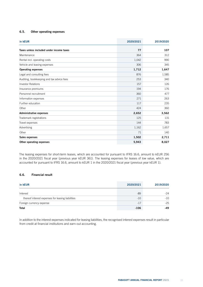# 6.5. Other operating expenses

| in kEUR                                   | 2020/2021 | 2019/2020 |
|-------------------------------------------|-----------|-----------|
| Taxes unless included under income taxes  | 77        | 107       |
| Maintenance                               | 364       | 312       |
| Rental incl. operating costs              | 1,042     | 990       |
| Vehicle and leasing expenses              | 306       | 345       |
| <b>Operating expenses</b>                 | 1,712     | 1,647     |
| Legal and consulting fees                 | 876       | 1,585     |
| Auditing, bookkeeping and tax advice fees | 253       | 340       |
| <b>Investor Relations</b>                 | 157       | 126       |
| Insurance premiums                        | 194       | 176       |
| Personnel recruitment                     | 360       | 477       |
| Information expenses                      | 271       | 263       |
| Further education                         | 117       | 235       |
| Other                                     | 424       | 360       |
| <b>Administrative expenses</b>            | 2,652     | 3,562     |
| Trademark registrations                   | 125       | 131       |
| Travel expenses                           | 144       | 783       |
| Advertising                               | 1,162     | 1,657     |
| Other                                     | 71        | 140       |
| Sales expenses                            | 1,502     | 2,711     |
| Other operating expenses                  | 5,943     | 8,027     |

The leasing expenses for short-term leases, which are accounted for pursuant to IFRS 16.6, amount to kEUR 256 in the 2020/2021 fiscal year (previous year kEUR 361). The leasing expenses for leases of low value, which are accounted for pursuant to IFRS 16.6, amount to kEUR 1 in the 2020/2021 fiscal year (previous year kEUR 1).

# 6.6. Financial result

| in kEUR                                           | 2020/2021 | 2019/2020 |
|---------------------------------------------------|-----------|-----------|
| Interest                                          | -89       | $-24$     |
| thereof interest expenses for leasing liabilities | $-10$     | $-10$     |
| Foreign currency expense                          | $-17$     | $-25$     |
| <b>Total</b>                                      | $-106$    | $-49$     |

In addition to the interest expenses indicated for leasing liabilities, the recognised interest expenses result in particular from credit at financial institutions and earn-out accounting.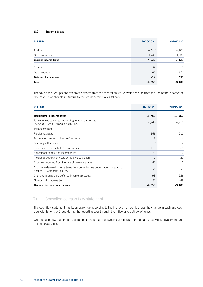# 6.7. Income taxes

| in kEUR                     | 2020/2021 | 2019/2020 |
|-----------------------------|-----------|-----------|
| Austria                     | $-2,287$  | $-2,100$  |
| Other countries             | $-1,749$  | $-1,338$  |
| <b>Current income taxes</b> | $-4,036$  | $-3,438$  |
| Austria                     | 46        | 10        |
| Other countries             | $-60$     | 321       |
| Deferred income taxes       | $-14$     | 331       |
| <b>Total</b>                | $-4,050$  | $-3,107$  |

The tax on the Group's pre-tax profit deviates from the theoretical value, which results from the use of the income tax rate of 25% applicable in Austria to the result before tax as follows:

| in kEUR                                                                                                     | 2020/2021 | 2019/2020 |  |
|-------------------------------------------------------------------------------------------------------------|-----------|-----------|--|
| <b>Result before income taxes</b>                                                                           | 13,780    | 11,660    |  |
| Tax expenses calculated according to Austrian tax rate<br>2020/2021: 25% (previous year: 25%)               | $-3,445$  | $-2,915$  |  |
| Tax effects from:                                                                                           |           |           |  |
| Foreign tax rates                                                                                           | $-356$    | $-212$    |  |
| Tax-free income and other tax-free items                                                                    | 8         | 14        |  |
| Currency differences                                                                                        | 7         | 14        |  |
| Expenses not deductible for tax purposes                                                                    | $-110$    | $-50$     |  |
| Adjustment to deferred income taxes                                                                         | $-131$    | $\Omega$  |  |
| Incidental acquisition costs company acquisition                                                            | $\Omega$  | $-29$     |  |
| Expenses incurred from the sale of treasury shares                                                          | 45        | $\Omega$  |  |
| Change in deferred income taxes from current-value depreciation pursuant to<br>Section 12 Corporate Tax Law | $-6$      | $-7$      |  |
| Changes in unapplied deferred income tax assets                                                             | $-93$     | 126       |  |
| Non-periodic income tax                                                                                     | 31        | $-48$     |  |
| Declared income tax expenses                                                                                | $-4,050$  | $-3,107$  |  |

# 7) Consolidated cash flow statement

The cash flow statement has been drawn up according to the indirect method. It shows the change in cash and cash equivalents for the Group during the reporting year through the inflow and outflow of funds.

On the cash flow statement, a differentiation is made between cash flows from operating activities, investment and financing activities.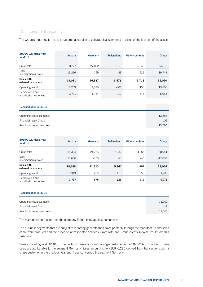# 8) Segment reporting

The Group's reporting format is structured according to geographical segments in terms of the location of the assets.

| 2020/2021 fiscal year<br>in kEUR          | Austria   | Germany | <b>Switzerland</b> | <b>Other countries</b> | Group     |
|-------------------------------------------|-----------|---------|--------------------|------------------------|-----------|
| Gross sales                               | 38,277    | 27,052  | 3,559              | 5,945                  | 74,833    |
| Less<br>intersegmental sales              | $-19,266$ | $-165$  | -83                | $-229$                 | $-19,743$ |
| Sales with<br>external customers          | 19,011    | 26,887  | 3,476              | 5,716                  | 55,090    |
| Operating result                          | 9,239     | 4,998   | $-506$             | 155                    | 13,886    |
| Depreciation and<br>amortisation expenses | 3,711     | 1,184   | 127                | 646                    | 5,668     |

#### Reconciliation in kEUR

| Operating result segments  | 13,886 |
|----------------------------|--------|
| Financial result Group     | $-106$ |
| Result before income taxes | 13.780 |

| 2019/2020 fiscal year<br>in kEUR          | Austria   | Germany | <b>Switzerland</b> | <b>Other countries</b> | Group     |
|-------------------------------------------|-----------|---------|--------------------|------------------------|-----------|
| Gross sales                               | 36,304    | 21,753  | 5,932              | 4,955                  | 68,944    |
| Less<br>intersegmental sales              | $-17,636$ | -133    | $-71$              | -48                    | $-17,888$ |
| Sales with<br>external customers          | 18,668    | 21,620  | 5,861              | 4,907                  | 51,056    |
| Operating result                          | 8,343     | 3,200   | 113                | 53                     | 11,709    |
| Depreciation and<br>amortisation expenses | 3,757     | 575     | 123                | 616                    | 5,071     |

#### Reconciliation in kEUR

| Operating result segments  | 11.709 |
|----------------------------|--------|
| Financial result Group     | -49    |
| Result before income taxes | 11,660 |

The main decision makers see the company from a geographical perspective.

The business segments that are subject to reporting generate their sales primarily through the manufacture and sales of software products and the provision of associated services. Sales with non-Group clients likewise result from this business.

Sales amounting to kEUR 10,501 derive from transactions with a single customer in the 2020/2021 fiscal year. These sales are attributable to the segment Germany. Sales amounting to kEUR 6,296 derived from transactions with a single customer in the previous year and these concerned the segment Germany.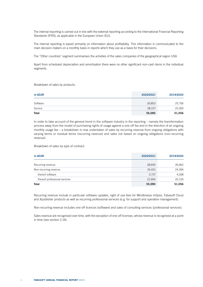The internal reporting is carried out in line with the external reporting according to the International Financial Reporting Standards (IFRS), as applicable in the European Union (EU).

The internal reporting is based primarily on information about profitability. This information is communicated to the main decision makers on a monthly basis in reports which they use as a basis for their decisions.

The "Other countries" segment summarises the activities of the sales companies of the geographical region USA.

Apart from scheduled depreciation and amortisation there were no other significant non-cash items in the individual segments.

Breakdown of sales by products:

| in kEUR      | 2020/2021 | 2019/2020 |
|--------------|-----------|-----------|
| Software     | 26,853    | 25,756    |
| Service      | 28,237    | 25,300    |
| <b>Total</b> | 55,090    | 51,056    |

In order to take account of the general trend in the software industry in the reporting – namely the transformation process away from the model of purchasing rights of usage against a one-off fee and in the direction of an ongoing monthly usage fee – a breakdown is now undertaken of sales by recurring revenue from ongoing obligations with varying terms or residual terms (recurring revenue) and sales not based on ongoing obligations (non-recurring revenue).

Breakdown of sales by type of contract:

| in kEUR                       | 2020/2021 | 2019/2020 |
|-------------------------------|-----------|-----------|
| Recurring revenue             | 28,659    | 26,662    |
| Non-recurring revenue         | 26,431    | 24,394    |
| thereof software              | 3,737     | 4,268     |
| thereof professional services | 22.694    | 20,126    |
| <b>Total</b>                  | 55,090    | 51,056    |

Recurring revenue include in particular software updates, right of use fees for Mindbreeze InSpire, Fabasoft Cloud and Xpublisher products as well as recurring professional services (e.g. for support and operation management).

Non-recurring revenue includes one-off licences (software) and sales of consulting services (professional services).

Sales revenue are recognised over time, with the exception of one-off licenses, whose revenue is recognised at a point in time (see section 2.14).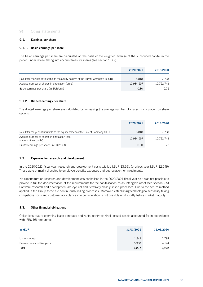# 9) Other statements

# 9.1. Earnings per share

# 9.1.1. Basic earnings per share

The basic earnings per share are calculated on the basis of the weighted average of the subscribed capital in the period under review taking into account treasury shares (see section 5.3.2).

|                                                                                     | 2020/2021  | 2019/2020  |
|-------------------------------------------------------------------------------------|------------|------------|
| Result for the year attributable to the equity holders of the Parent Company (kEUR) | 8.818      | 7.708      |
| Average number of shares in circulation (units)                                     | 10.984.597 | 10.722.743 |
| Basic earnings per share (in EUR/unit)                                              | 0.80       | 0.72       |

# 9.1.2. Diluted earnings per share

The diluted earnings per share are calculated by increasing the average number of shares in circulation by share options.

|                                                                                     | 2020/2021  | 2019/2020  |
|-------------------------------------------------------------------------------------|------------|------------|
| Result for the year attributable to the equity holders of the Parent Company (kEUR) | 8.818      | 7.708      |
| Average number of shares in circulation incl.<br>share options (units)              | 10.984.597 | 10,722,743 |
| Diluted earnings per share (in EUR/unit)                                            | 0.80       | 0.72       |

# 9.2. Expenses for research and development

In the 2020/2021 fiscal year, research and development costs totalled kEUR 13,961 (previous year kEUR 12,049). These were primarily allocated to employee benefits expenses and depreciation for investments.

No expenditure on research and development was capitalised in the 2020/2021 fiscal year as it was not possible to provide in full the documentation of the requirements for the capitalisation as an intangible asset (see section 2.5). Software research and development are cyclical and iteratively closely linked processes. Due to the scrum method applied in the Group these are continuously rolling processes. Moreover, establishing technological feasibility taking competitive costs and customer acceptance into consideration is not possible until shortly before market maturity.

# 9.3. Other financial obligations

Obligations due to operating lease contracts and rental contracts (incl. leased assets accounted for in accordance with IFRS 16) amount to:

| in kEUR                    | 31/03/2021 | 31/03/2020 |
|----------------------------|------------|------------|
| Up to one year             | 1,847      | 1,798      |
| Between one and five years | 5,360      | 4,174      |
| Total                      | 7,207      | 5,972      |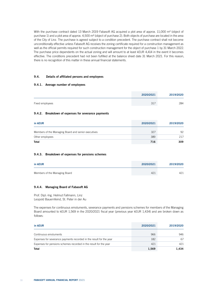With the purchase contract dated 13 March 2019 Fabasoft AG acquired a plot area of approx. 11,000 m<sup>2</sup> (object of purchase 1) and a plot area of approx. 4,500 m² (object of purchase 2). Both objects of purchase are located in the area of the City of Linz. The purchase is agreed subject to a condition precedent. The purchase contract shall not become unconditionally effective unless Fabasoft AG receives the zoning certificate required for a construction management as well as the official permits required for such construction management for the object of purchase 1 by 31 March 2022. The purchase price dependents on the actual zoning and will amount to at least kEUR 4,414 in the event it becomes effective. The conditions precedent had not been fulfilled at the balance sheet date 31 March 2021. For this reason, there is no recognition of this matter in these annual financial statements.

# 9.4. Details of affiliated persons and employees

### 9.4.1. Average number of employees

|                 | 2020/2021 | 2019/2020 |
|-----------------|-----------|-----------|
| Fixed employees | 317       | 284       |

### 9.4.2. Breakdown of expenses for severance payments

| in kEUR                                             | 2020/2021 | 2019/2020 |
|-----------------------------------------------------|-----------|-----------|
| Members of the Managing Board and senior executives | 327       | 92        |
| Other employees                                     | 389       | 217       |
| <b>Total</b>                                        | 716       | 309       |

# 9.4.3. Breakdown of expenses for pensions schemes

| in kEUR                       | 2020/2021 | 2019/2020 |
|-------------------------------|-----------|-----------|
| Members of the Managing Board | 421       | 421       |

## 9.4.4. Managing Board of Fabasoft AG

Prof. Dipl.-Ing. Helmut Fallmann, Linz Leopold Bauernfeind, St. Peter in der Au

The expenses for continuous emoluments, severance payments and pensions schemes for members of the Managing Board amounted to kEUR 1,569 in the 2020/2021 fiscal year (previous year kEUR 1,434) and are broken down as follows:

| in kEUR                                                             | 2020/2021 | 2019/2020 |
|---------------------------------------------------------------------|-----------|-----------|
| Continuous emoluments                                               | 966       | 946       |
| Expenses for severance payments recorded in the result for the year | 182       | 67        |
| Expenses for pensions schemes recorded in the result for the year   | 421       | 421       |
| <b>Total</b>                                                        | 1,569     | 1.434     |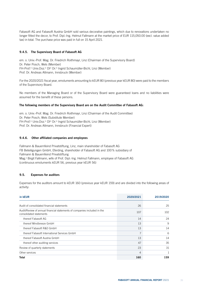Fabasoft AG and Fabasoft Austria GmbH sold various decorative paintings, which due to renovations undertaken no longer fitted the decor, to Prof. Dipl.-Ing. Helmut Fallmann at the market price of EUR 115,050.00 (excl. value added tax) in total. The purchase price was paid in full on 15 April 2021.

# 9.4.5. The Supervisory Board of Fabasoft AG

em. o. Univ.-Prof. Mag. Dr. Friedrich Roithmayr, Linz (Chairman of the Supervisory Board) Dr. Peter Posch, Wels (Member) FH-Prof.<sup>in</sup> Univ.Doz.<sup>in</sup> DI<sup>in</sup> Dr.<sup>in</sup> Ingrid Schaumüller-Bichl, Linz (Member) Prof. Dr. Andreas Altmann, Innsbruck (Member)

For the 2020/2021 fiscal year, emoluments amounting to kEUR 80 (previous year kEUR 80) were paid to the members of the Supervisory Board.

No members of the Managing Board or of the Supervisory Board were guaranteed loans and no liabilities were assumed for the benefit of these persons.

# The following members of the Supervisory Board are on the Audit Committee of Fabasoft AG:

em. o. Univ.-Prof. Mag. Dr. Friedrich Roithmayr, Linz (Chairman of the Audit Committee) Dr. Peter Posch, Wels (Substitute Member) FH-Prof.<sup>in</sup> Univ.Doz.<sup>in</sup> DI<sup>in</sup> Dr.<sup>in</sup> Ingrid Schaumüller-Bichl, Linz (Member) Prof. Dr. Andreas Altmann, Innsbruck (Financial Expert)

# 9.4.6. Other affiliated companies and employees

Fallmann & Bauernfeind Privatstiftung, Linz, main shareholder of Fabasoft AG FB Beteiligungen GmbH, Eferding, shareholder of Fabasoft AG and 100% subsidiary of Fallmann & Bauernfeind Privatstiftung Mag.<sup>a</sup> Birgit Fallmann, wife of Prof. Dipl.-Ing. Helmut Fallmann, employee of Fabasoft AG (continuous emoluments kEUR 56, previous year kEUR 56)

# 9.5. Expenses for auditors

Expenses for the auditors amount to kEUR 160 (previous year kEUR 159) and are divided into the following areas of activity:

| in kEUR                                                                                             | 2020/2021 | 2019/2020 |
|-----------------------------------------------------------------------------------------------------|-----------|-----------|
| Audit of consolidated financial statements                                                          | 26        | 25        |
| Audit/Review of annual financial statements of companies included in the<br>consolidated statements | 107       | 102       |
| thereof Fabasoft AG                                                                                 | 14        | 24        |
| thereof Mindbreeze GmbH                                                                             | 13        | 9         |
| thereof Fabasoft R&D GmbH                                                                           | 13        | 14        |
| thereof Fabasoft International Services GmbH                                                        | 7         | 6         |
| thereof Fabasoft Austria GmbH                                                                       | 13        | 14        |
| thereof other auditing services                                                                     | 47        | 35        |
| Review of quarterly statements                                                                      | 23        | 31        |
| Other services                                                                                      | 4         |           |
| <b>Total</b>                                                                                        | 160       | 159       |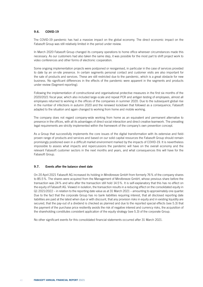# 9.6. COVID-19

The COVID-19 pandemic has had a massive impact on the global economy. The direct economic impact on the Fabasoft Group was still relatively limited in the period under review.

In March 2020 Fabasoft Group changed its company operations to home office wherever circumstances made this necessary. As our customers had also taken the same step, it was possible for the most part to shift project work to video conferences and other forms of electronic cooperation.

Some ongoing implementation projects were postponed or reorganised, in particular in the case of services provided to date by an on-site presence. In certain segments personal contact and customer visits are also important for the sale of products and services. These are still restricted due to the pandemic, which is a great obstacle for new business. No significant differences in the effects of the pandemic were apparent in the segments and products under review (Segment reporting).

Following the implementation of constructional and organisational protective measures in the first six months of the 2020/2021 fiscal year, which also included large-scale and repeat PCR and antigen testing of employees, almost all employees returned to working in the offices of the companies in summer 2020. Due to the subsequent global rise in the number of infections in autumn 2020 and the renewed lockdown that followed as a consequence, Fabasoft adapted to the situation and again changed to working from home and mobile working.

The company does not regard company-wide working from home as an equivalent and permanent alternative to presence in the offices, with all its advantages of direct social interaction and direct creative teamwork. The prevailing legal requirements are strictly implemented within the framework of the company's own prevention concept.

As a Group that successfully implements the core issues of the digital transformation with its extensive and fieldproven range of products and services and based on our solid capital resources the Fabasoft Group should remain promisingly positioned even in a difficult market environment marked by the impacts of COVID-19. It is nevertheless impossible to assess what impacts and repercussions the pandemic will have on the overall economy and the relevant Fabasoft customer sectors in the next months and years, and what consequences this will have for the Fabasoft Group.

## 9.7. Events after the balance sheet date

On 20 April 2021 Fabasoft AG increased its holding in Mindbreeze GmbH from formerly 76% of the company shares to 85.5%. The shares were acquired from the Management of Mindbreeze GmbH, whose previous share before the transaction was 24% and who after the transaction still hold 14.5%. It is self-explanatory that this has no effect on the equity of Fabasoft AG. Viewed in isolation, the transaction results in a reducing effect on the consolidated equity in Q1 2021/2022 – in relation to the reporting date value as at 31 March 2021 – amounting to approximately one quarter. Due to the fact that the corporate Group has no bank liabilities requiring interest, that all disclosed reporting date liabilities are paid at the latest when due or with discount, that any provision risks in equity and in existing liquidity are secured, that the pay-out of a dividend is checked as planned and due to the reported special effects (see 5.3) that the payment of the purchase price resiliently avoids the risk of negative interest and currency risks, the acquisition of the shareholding constitutes consistent application of the equity strategy (see 5.3) of the corporate Group.

No other significant events for this consolidated financial statements occurred after 31 March 2021.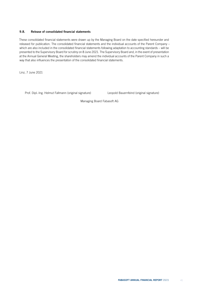# 9.8. Release of consolidated financial statements

These consolidated financial statements were drawn up by the Managing Board on the date specified hereunder and released for publication. The consolidated financial statements and the individual accounts of the Parent Company – which are also included in the consolidated financial statements following adaptation to accounting standards – will be presented to the Supervisory Board for scrutiny on 8 June 2021. The Supervisory Board and, in the event of presentation at the Annual General Meeting, the shareholders may amend the individual accounts of the Parent Company in such a way that also influences the presentation of the consolidated financial statements.

Linz, 7 June 2021

Prof. Dipl.-Ing. Helmut Fallmann (original signature) Leopold Bauernfeind (original signature)

Managing Board Fabasoft AG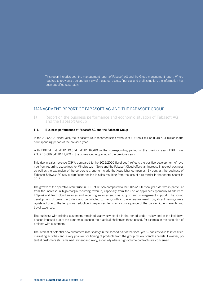This report includes both the management report of Fabasoft AG and the Group management report. Where required to provide a true and fair view of the actual assets, financial and profit situation, the information has been specified separately.

# MANAGEMENT REPORT OF FABASOFT AG AND THE FABASOFT GROUP

1) Report on the business performance and economic situation of Fabasoft AG and the Fabasoft Group

# 1.1. Business performance of Fabasoft AG and the Fabasoft Group

In the 2020/2021 fiscal year, the Fabasoft Group recorded sales revenue of EUR 55.1 million (EUR 51.1 million in the corresponding period of the previous year).

With EBITDA<sup>1)</sup> at kEUR 19,554 (kEUR 16,780 in the corresponding period of the previous year) EBIT<sup>1)</sup> was kEUR 13,886 (kEUR 11,709 in the corresponding period of the previous year).

This rise in sales revenue (7.9% compared to the 2019/2020 fiscal year) reflects the positive development of revenue from recurring usage fees for Mindbreeze InSpire and the Fabasoft Cloud offers, an increase in project business as well as the expansion of the corporate group to include the Xpublisher companies. By contrast the business of Fabasoft Schweiz AG saw a significant decline in sales resulting from the loss of a re-tender in the federal sector in 2015.

The growth of the operative result (rise in EBIT of 18.6% compared to the 2019/2020 fiscal year) derives in particular from the increase in high-margin recurring revenue, especially from the use of appliances (primarily Mindbreeze InSpire) and from cloud services and recurring services such as support and management support. The sound development of project activities also contributed to the growth in the operative result. Significant savings were registered due to the temporary reduction in expenses items as a consequence of the pandemic, e.g. events and travel expenses.

The business with existing customers remained gratifyingly stabile in the period under review and in the lockdown phases imposed due to the pandemic, despite the practical challenges these posed, for example in the execution of projects with customers.

The interest of potential new customers rose sharply in the second half of the fiscal year – not least due to intensified marketing activities and a very positive positioning of products from the group by key branch analysts. However, potential customers still remained reticent and wary, especially where high-volume contracts are concerned.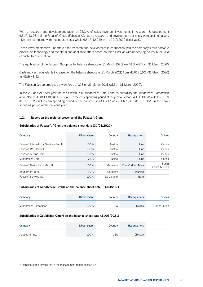With a research and development ratio<sup>1</sup> of 25.3% of sales revenue, investments in research & development (kEUR 13,961) of the Fabasoft Group (Fabasoft AG has no research and development activities) were again on a very high level compared with the industry as a whole (kEUR 12,049 in the 2019/2020 fiscal year).

These investments were undertaken for research and development in connection with the company's own software production technology and the cloud and appliance offers based on this as well as with underlying issues in the field of digital transformation.

The equity ratio<sup>1</sup> of the Fabasoft Group on the balance sheet date (31 March 2021) was 51 % (48% on 31 March 2020).

Cash and cash equivalents increased on the balance sheet date (31 March 2021) from kEUR 35,101 (31 March 2020) to kEUR 48,424.

The Fabasoft Group employed a workforce of 326 on 31 March 2021 (312 on 31 March 2020).

In the 2020/2021 fiscal year the sales revenue of Mindbreeze GmbH and its subsidiary the Mindbreeze Corporation amounted to kEUR 13,180 (kEUR 12,402 in the corresponding period of the previous year). With EBITDA<sup>1)</sup> at kEUR 7,159 (kEUR 6,328 in the corresponding period of the previous year) EBIT1) was kEUR 5,833 (kEUR 5,026 in the corresponding period of the previous year).

# 1.2. Report on the regional presence of the Fabasoft Group

# Subsidiaries of Fabasoft AG on the balance sheet date (31/03/2021)

| <b>Company</b>                       | <b>Direct share</b> | <b>Country</b> | <b>Headquarters</b> | <b>Offices</b>            |
|--------------------------------------|---------------------|----------------|---------------------|---------------------------|
| Fabasoft International Services GmbH | 100%                | Austria        | Linz                | Vienna                    |
| Fabasoft R&D GmbH                    | 100%                | Austria        | Linz                | Vienna                    |
| Fabasoft Austria GmbH                | 100%                | Austria        | Linz                | Vienna                    |
| Mindbreeze GmbH                      | 76%                 | Austria        | Linz                | Vienna                    |
| Fabasoft Deutschland GmbH            | 100%                | Germany        | Frankfurt am Main   | Berlin,<br>Erfurt, Munich |
| Xpublisher GmbH                      | 60%                 | Germany        | Munich              |                           |
| Fabasoft Schweiz AG                  | 100%                | Switzerland    | Bern                |                           |

#### Subsidiaries of Mindbreeze GmbH on the balance sheet date (31/03/2021)

| <b>Company</b>         | Direct share | <b>Country</b> | <b>Headquarters</b> | <b>Offices</b> |
|------------------------|--------------|----------------|---------------------|----------------|
| Mindbreeze Corporation | 100%         | JSA            | Chicago             | Silver Spring  |

#### Subsidiaries of Xpublisher GmbH on the balance sheet date (31/03/2021)

| <b>Company</b>  | <b>Direct share</b> | <b>Country</b> | <b>Headquarters</b> |  |
|-----------------|---------------------|----------------|---------------------|--|
| Xpublisher Inc. | 100%                | USA            | Chicago             |  |

<sup>1)</sup>Definition of the key figures in the management report section 1.4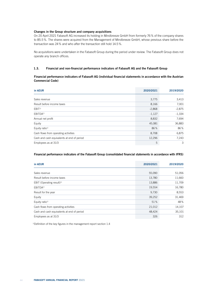# Changes in the Group structure and company acquisitions

On 20 April 2021 Fabasoft AG increased its holding in Mindbreeze GmbH from formerly 76% of the company shares to 85.5%. The shares were acquired from the Management of Mindbreeze GmbH, whose previous share before the transaction was 24% and who after the transaction still hold 14.5%.

No acquisitions were undertaken in the Fabasoft Group during the period under review. The Fabasoft Group does not operate any branch offices.

# 1.3. Financial and non-financial performance indicators of Fabasoft AG and the Fabasoft Group

# Financial performance indicators of Fabasoft AG (individual financial statements in accordance with the Austrian Commercial Code)

| in kEUR                                    | 2020/2021 | 2019/2020 |
|--------------------------------------------|-----------|-----------|
|                                            |           |           |
| Sales revenue                              | 3,775     | 3,413     |
| Result before income taxes                 | 8,166     | 7,001     |
| EBIT <sup>1</sup>                          | $-2,868$  | $-2,875$  |
| EBITDA <sup>1)</sup>                       | $-1,127$  | $-1,334$  |
| Annual net profit                          | 8,832     | 7,694     |
| Equity                                     | 45,081    | 36,883    |
| Equity ratio <sup>1)</sup>                 | 86%       | 86%       |
| Cash flows from operating activities       | 8,708     | 6,875     |
| Cash and cash equivalents at end of period | 12,296    | 7,243     |
| Employees as at 31/3                       | 5         | 3         |

# Financial performance indicators of the Fabasoft Group (consolidated financial statements in accordance with IFRS)

| in kEUR                                    | 2020/2021 | 2019/2020 |
|--------------------------------------------|-----------|-----------|
|                                            |           |           |
| Sales revenue                              | 55,090    | 51,056    |
| Result before income taxes                 | 13,780    | 11,660    |
| EBIT (Operating result) <sup>1)</sup>      | 13,886    | 11,709    |
| EBITDA <sup>1)</sup>                       | 19,554    | 16,780    |
| Result for the year                        | 9,730     | 8,553     |
| Equity                                     | 39,252    | 31,469    |
| Equity ratio <sup>1)</sup>                 | 51%       | 48%       |
| Cash flows from operating activities       | 21,012    | 14,107    |
| Cash and cash equivalents at end of period | 48,424    | 35,101    |
| Employees as at 31/3                       | 326       | 312       |

1) Definition of the key figures in the management report section 1.4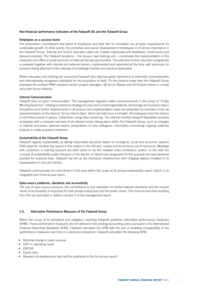## Non-financial performance indicators of the Fabasoft AG and the Fabasoft Group

### Employees as a success factor

The enthusiasm, commitment and talent of employees and their flair for innovation are all basic requirements for sustainable growth. In other words, the promotion and carrier development of employees is of utmost importance in the Fabasoft Group. Training and further education plans are created individually and developed, continuously and demand-oriented. The Fabasoft Academy – the Group's own training unit – coordinates the implementation of the measures and offers a broad spectrum of internal training opportunities. The extensive further education programme is prepared together with internal and external trainers, implemented and expanded all the time, with particular importance being attached to the interplay of knowledge transfer and practical application.

Where education and training are concerned Fabasoft also attaches great importance to externally comprehensible and internationally recognised standards for the acquisition of skills. On the balance sheet date the Fabasoft Group employed 65 certified IPMA standard (senior) project managers, 96 Scrum Master and 25 Product Owner in compliance with Scrum Alliance.

## Internal Communication

Fabasoft lives an open communication. The management regularly makes announcements in the scope of "Friday Morning Speeches" relating to enterprise strategy focuses and current organisational, technology and business topics. Innovations and further developments in all product and implementation areas are presented by members of the development teams at the internal "Scrum Demo Days" which are held once a fortnight. All employees have the chance to visit these events in person, follow them using video streaming. The internal monthly Fabasoft Newsletter provides employees with a compact overview of all relevant issues taking place within the Fabasoft Group, such as changes in internal processes, planned events, presentation of new colleagues, information concerning ongoing customer projects or newly acquired customers.

### Sustainability at the Fabasoft Group

Fabasoft regards sustainability as taking responsible decisions based on ecological, social and economic aspects (ESG aspects). Another key aspect in this respect is the efficient, careful and economical use of resources. Meetings with customers or training sessions are held online or via the installed video conference system. In line with the concept of sustainability public transport or the electric or hybrid cars designated for this purpose are used wherever possible for business trips. Fabasoft has set up the necessary infrastructure with charging stations installed in its headquarters in Linz and Vienna.

Fabasoft communicates its commitment in this area within the scope of its annual sustainability report, which is an integrated part of the annual report.

#### Open-source platforms, standards and accessibility

The use of open-source products, the commitment to and realisation of market-relevant standards and the requirements of accessibility is important for both private enterprises and the public sector. The chances and risks resulting from this are described in detail in section 2 of the management report.

# 1.4. Alternative Performance Measures of the Fabasoft Group

Within the scope of its periodical and obligatory reporting Fabasoft publishes alternative performance measures (APM). These performance measures are not defined in the existing accounting policy pursuant to the International Financial Reporting Standards (IFRS). Fabasoft calculates the APM with the aim of enabling comparability of the performance measures over time or a sectorial comparison. Fabasoft calculates the following APM:

- Nominal change in sales revenue
- EBIT or operating result
- EBITDA
- Equity ratio
- Research & development ratio (will be published in the full annual report)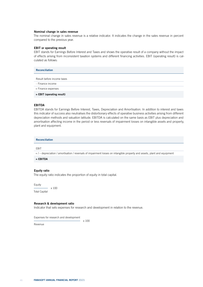#### Nominal change in sales revenue

The nominal change in sales revenue is a relative indicator. It indicates the change in the sales revenue in percent compared to the previous year.

#### EBIT or operating result

EBIT stands for Earnings Before Interest and Taxes and shows the operative result of a company without the impact of effects arising from inconsistent taxation systems and different financing activities. EBIT (operating result) is calculated as follows:

| <b>Reconciliation</b>       |
|-----------------------------|
| Result before income taxes  |
| - Finance income            |
| + Finance expenses          |
| $=$ EBIT (operating result) |

#### EBITDA

EBITDA stands for Earnings Before Interest, Taxes, Depreciation and Amortisation. In addition to interest and taxes this indicator of success also neutralises the distortionary effects of operative business activities arising from different depreciation methods and valuation latitude. EBITDA is calculated on the same basis as EBIT plus depreciation and amortisation affecting income in the period or less reversals of impairment losses on intangible assets and property, plant and equipment.

Reconciliation

#### EBIT

+ / – depreciation / amortisation / reversals of impairment losses on intangible property and assets, plant and equipment

 $=$  EBITDA

# Equity ratio

The equity ratio indicates the proportion of equity in total capital.

Equity x 100 Total Capital

Research & development ratio

Indicator that sets expenses for research and development in relation to the revenue.

Expenses for research and development

Revenue

x 100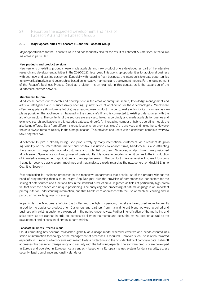# 2) Report on the expected development and risks of Fabasoft AG and the Fabasoft Group

# 2.1. Major opportunities of Fabasoft AG and the Fabasoft Group

Major opportunities for the Fabasoft Group and consequently also for the result of Fabasoft AG are seen in the following areas in particular:

## New products and product versions

New versions of existing products were made available and new product offers developed as part of the intensive research and development activities in the 2020/2021 fiscal year. This opens up opportunities for additional business with both new and existing customers. Especially with regard to fresh business, the intention is to create opportunities in new vertical markets and geographies based on innovative marketing and deployment models. Further development of the Fabasoft Business Process Cloud as a platform is an example in this context as is the expansion of the Mindbreeze partner network.

# Mindbreeze InSpire

Mindbreeze carries out research and development in the areas of enterprise search, knowledge management and artificial intelligence and is successively opening up new fields of application for these technologies. Mindbreeze offers an appliance (Mindbreeze InSpire) as a ready-to-use product in order to make entry for its customers as simple as possible. The appliance is integrated in the company's IT and is connected to existing data sources with the aid of connectors. The contents of the sources are analysed, linked accordingly and made available for queries and extensive search applications in a knowledge database (index). An increasing number of hybrid operating models are also being offered. Data from different storage locations (on-premises, cloud) are analysed and linked here. However, the data always remains reliably in the storage location. This provides end users with a consistent complete overview (360-degree view).

Mindbreeze InSpire is already being used productively by many international customers. As a result of its growing visibility on the international market and positive evaluations by analyst firms, Mindbreeze is also attracting the attention of large international customers and potential partners. Moreover, analyst firms have positioned Mindbreeze InSpire as a sound and powerful basis with flexible operating models when it comes to the introduction of knowledge management applications and enterprise search. The product offers extensive AI-based functions that go far beyond classic search machines and that analysts already regard as the next generation (Insight Engine, Cognitive Search).

Fast application for business processes in the respective departments that enable use of the product without the need of programming thanks to its Insight App Designer plus the provision of comprehensive connectors for the linking of data sources and functionalities in the standard product are all regarded as fields of particularly high potential that offer the chance of a unique positioning. The analysing and processing of natural language is an important prerequisite for understanding information, one that Mindbreeze addresses with the use of machine learning and in particular natural language processing.

In particular the Mindbreeze InSpire SaaS offer and the hybrid operating model are being used more frequently in addition to appliance product offer. Customers and partners from many different branches were acquired and business with existing customers expanded in the period under review. Further intensification of the marketing and sales activities are planned in order to increase visibility on the market and boost the market position as well as the development and expansion of strategic partnerships.

# Fabasoft Business Process Cloud

Cloud computing has become established globally as a usage model wherever effective and needs-oriented utilisation of information technology or the management of processes is required. However, such use is often thwarted especially in Europe due to concerns with regard to data protection and the confidentiality of corporate data. Fabasoft addresses this desire for transparency and security with the following aspects: The software products are developed in Europe and operated in European data centres – based on a European values system for data security, access security, legal compliance and quality standards.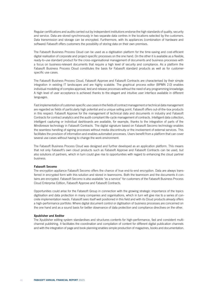Regular certifications and audits carried out by independent institutions endorse the high standards of quality, security and service. Data are stored synchronously in two separate data centres in the locations selected by the customers. Data transmission and storage can be encrypted. Furthermore, with its appliances (combination of hardware and software) Fabasoft offers customers the possibility of storing data on their own premises.

The Fabasoft Business Process Cloud can be used as a digitisation platform for the time-saving and cost-efficient digital realisation of corporate and project-specific processes on the one hand. On the other it is available as a flexible, ready-to-use standard product for the cross-organisational management of documents and business processes with a focus on business-relevant documents that require a high level of security and compliance. As a platform the Fabasoft Business Process Cloud constitutes the basis for Fabasoft standard products as well as for customerspecific use cases.

The Fabasoft Business Process Cloud, Fabasoft Approve and Fabasoft Contracts are characterised by their simple integration in existing IT landscapes and are highly scalable. The graphical process editor (BPMN 2.0) enables individual modelling of complex approval, test and release processes without the need of any programming knowledge. A high level of user acceptance is achieved thanks to the elegant and intuitive user interface available in different languages.

Fast implementation of customer-specific use cases in the fields of contract management or technical data management are regarded as fields of particularly high potential and a unique selling point. Fabasoft offers out-of-the-box products in this respect: Fabasoft Approve for the management of technical data and documents in industry and Fabasoft Contracts for contract analytics and the audit-compliant life-cycle management of contracts. Intelligent data collection, intelligent capturing or individual dashboards are available, for example, thanks to the integration of parts of the Mindbreeze technology in Fabasoft Contracts. The digital signature based on Fabasoft Secomo technology enables the seamless handling of signing processes without media discontinuity or the involvement of external services. This facilitates the provision of information and enables automated processes. Users benefit from a platform that can cover several use cases without having to change the work environment.

The Fabasoft Business Process Cloud was designed and further developed as an application platform. This means that not only Fabasoft's own cloud products such as Fabasoft Approve and Fabasoft Contracts can be used, but also solutions of partners, which in turn could give rise to opportunities with regard to enhancing the cloud partner business.

#### Fabasoft Secomo

The encryption appliance Fabasoft Secomo offers the chance of true end-to-end encryption. Data are always transferred in encrypted form with this solution and stored in teamrooms. Both the teamroom and the documents it contains are encrypted. Fabasoft Secomo is also available "as a service" for customers of the Fabasoft Business Process Cloud Enterprise Edition, Fabasoft Approve and Fabasoft Contracts.

Opportunities could arise for the Fabasoft Group in connection with the growing strategic importance of the topics digitisation and data protection in many companies and organisations, which in turn will give rise to a series of concrete implementation needs. Fabasoft sees itself well positioned in this field and with its Cloud products already offers a high-performance portfolio: Where digital document control or digitisation of business processes are concerned on the one hand and as a sound basis for better observance of data protection and compliance directives on the other.

#### Xpublisher and Xeditor

The Xpublisher editing system standardises and structures contents for high-performance, fast and consistent multichannel publishing. It facilitates the coordination and compilation of content for different digital publication channels and with the integration of page and book planning enables simple production of magazines, books and documentation.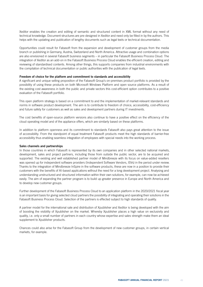Xeditor enables the creation and editing of semantic and structured content in XML format without any need of technical knowledge. Document structures are pre-designed in Xeditor and need only be filled in by the authors. This helps with the updating and publication of lengthy documents such as legal texts or technical documentation.

Opportunities could result for Fabasoft from the expansion and development of customer groups from the media branch or publishing in Germany, Austria, Switzerland and North America. Attractive usage and combination options are also envisioned in several Fabasoft business segments – in particular the Fabasoft Business Process Cloud. The integration of Xeditor as an add-on in the Fabasoft Business Process Cloud enables the efficient creation, editing and reviewing of standardised contents. Among other things, this supports companies from industrial environments with the compilation of technical documentation or public authorities with the publication of legal texts.

### Freedom of choice for the platform and commitment to standards and accessibility

A significant and unique selling proposition of the Fabasoft Group's on-premises product portfolio is provided by the possibility of using these products on both Microsoft Windows Platform and open source platforms. As a result of the existing cost awareness in both the public and private sectors this cost-efficient option contributes to a positive evaluation of the Fabasoft portfolio.

This open platform strategy is based on a commitment to and the implementation of market-relevant standards and norms in software product development. The aim is to contribute to freedom of choice, accessibility, cost-efficiency and future safety for customers as well as sales and development partners during IT investments.

The cost benefits of open-source platform versions also continue to have a positive effect on the efficiency of the cloud operating model and of the appliance offers, which are similarly based on these platforms.

In addition to platform openness and its commitment to standards Fabasoft also pays great attention to the issue of accessibility. From the standpoint of equal treatment Fabasoft products meet the high standards of barrier-free accessibility thus enabling seamless integration of employees with special needs into the working process.

#### Sales channels and partnerships

In those countries in which Fabasoft is represented by its own companies and in other selected national markets, development, sales and project partners, including those from outside the public sector, are to be acquired and supported. The existing and well established partner model of Mindbreeze with its focus on value-added resellers was opened up for independent software providers (Independent Software Vendors, ISVs) in the period under review. Thanks to the integration of Mindbreeze InSpire in the software products, these are now in a position to provide their customers with the benefits of AI-based applications without the need for a long development project. Analysing and understanding unstructured and structured information within their own solutions, for example, can now be achieved easily. The aim of expanding the partner program is to build up greater presence in Europe and North America and to develop new customer groups.

Further development of the Fabasoft Business Process Cloud to an application platform in the 2020/2021 fiscal year is an important basis for giving selected cloud partners the possibility of integrating and operating their solutions in the Fabasoft Business Process Cloud. Selection of the partners is effected subject to high standards of quality.

A partner model for the international sale and distribution of Xpublisher and Xeditor is being developed with the aim of boosting the visibility of Xpublisher on the market. Whereby Xpublisher places a high value on exclusivity and quality, i.e. only a small number of partners in each country whose expertise and sales strength make them an ideal supplement to Xpublisher products.

Chances could also arise for the Fabasoft Group from the development of new customer groups, in certain vertical markets, for example.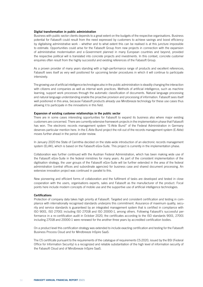#### Digital transformation in public administration

Business with public sector clients depends to a great extent on the budgets of the respective organisations. Business potential for Fabasoft could result from the need expressed by customers to achieve savings and boost efficiency by digitalising administrative work – whether and to what extent this can be realised is at this juncture impossible to estimate. Opportunities could arise for the Fabasoft Group from new projects in connection with the expansion of administrative modernisation and e-Government planned in many European countries and beyond, provided the respective political will is translated into concrete projects and investments. In this context, concrete customer enquiries often result from the highly successful and existing references of the Fabasoft Group.

As a proven provider of many years standing with a high-performance range of products and excellent references, Fabasoft sees itself as very well positioned for upcoming tender procedures in which it will continue to participate intensively.

The growing use of artificial intelligence technologies also in the public administration is steadily changing the interaction with citizens and companies as well as internal work practices. Methods of artificial intelligence, such as machine learning, support work processes through the automatic classification of documents. Natural language processing and natural language understanding enable the proactive provision and processing of information. Fabasoft sees itself well positioned in this area, because Fabasoft products already use Mindbreeze technology for these use cases thus allowing it to participate in the innovations in this field.

#### Expansion of existing customer relationships in the public sector

There are in some cases interesting opportunities for Fabasoft to expand its business also where major existing customers are concerned. There are currently extensive framework projects in the implementation phase that Fabasoft has won. The electronic records management system "E-Akte Bund" of the Federal Administration in Germany deserves particular mention here. In the E-Akte Bund project the roll-out of the records management system (E-Akte) moves further ahead in the period under review.

In January 2020 the State of Carinthia decided on the state-wide introduction of an electronic records management system (ELAK), which is based on the Fabasoft eGov-Suite. This project is currently in the implementation phase.

Collaboration was further continued with the Austrian Federal Administration, which has been making wide use of the Fabasoft eGov-Suite in the federal ministries for many years. As part of the consistent implementation of the digitisation strategy, the user groups of the Fabasoft eGov-Suite will be further extended in the area of the federal administration (central offices and subordinate agencies) for business case and shared document processing. An extensive innovation project was continued in parallel to this.

New pioneering and efficient forms of collaboration and the fulfilment of tasks are developed and tested in close cooperation with the users, organisations experts, sales and Fabasoft as the manufacturer of the product. Focal points here include modern concepts of mobile use and the supportive use of artificial intelligence technologies.

### **Certifications**

Protection of company data takes high priority at Fabasoft. Targeted and consistent certification and testing in compliance with internationally recognised standards underpins this commitment. Assurance of maximum quality, security and service standards is guaranteed by an integrated management system that is certified in compliance with ISO 9001, ISO 27001 including ISO 27018 and ISO 20000-1, among others. Following Fabasoft's successful performance in a re-certification audit in October 2020, the certificates according to the ISO standards 9001, 27001 including 27018 and 20000-1 were renewed for the another three years by accredited certification bodies.

On a product level this certification strategy was extended to include exacting certification and testing for the Fabasoft Business Process Cloud and for Mindbreeze InSpire SaaS:

The C5 certificate pursuant to the requirements of the catalogue of requirements C5:2020, issued by the BSI (Federal Office for Information Security) is a recognized and reliable substantiation of the high level of information security of the Fabasoft Cloud and of Mindbreeze InSpire SaaS.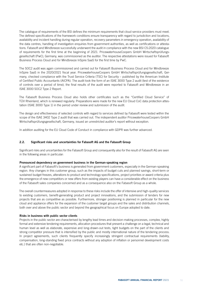The catalogue of requirements of the BSI defines the minimum requirements that cloud service providers must meet. The defined specifications of the framework conditions ensure transparency with regard to jurisdiction and locations, availability and incident handling during regular operation, recovery parameters in emergency operation, availability of the data centres, handling of investigation enquiries from government authorities, as well as certifications or attestations. Fabasoft and Mindbreeze successfully underwent the audit in compliance with the new BSI C5:2020 catalogue of requirements for the first time at the beginning of 2021. PricewaterhouseCoopers GmbH Wirtschaftsprüfungsgesellschaft (PwC), Germany, was commissioned as the auditor. The respective attestations were issued for Fabasoft Business Process Cloud and for Mindbreeze InSpire SaaS for the first time by PwC.

The SOC2 audit was again commissioned and carried out for Fabasoft Business Process Cloud and for Mindbreeze InSpire SaaS in the 2020/2021 fiscal year. PricewaterhouseCoopers GmbH Wirtschaftsprüfungsgesellschaft, Germany, checked compliance with the Trust Service Criteria (TSC) for Security – published by the American Institute of Certified Public Accountants (AICPA). The audit took the form of an ISAE 3000 Type 2 audit (test of the existence of controls over a period of time); the final results of the audit were reported to Fabasoft and Mindbreeze in an ISAE 3000 SOC2 Type 2 Report.

The Fabasoft Business Process Cloud also holds other certificates such as the "Certified Cloud Service" of TÜV Rheinland, which is renewed regularly. Preparations were made for the new EU Cloud CoC data protection attestation (ISAE 3000 Type 1) in the period under review and submission of the audit.

The design and effectiveness of selected controls with regard to services defined by Fabasoft were tested within the scope of the ISAE 3402 Type 2 audit that was carried out. The independent auditor PricewaterhouseCoopers GmbH Wirtschaftsprüfungsgesellschaft, Germany, issued an unrestricted auditor's report without exception.

In addition auditing for the EU Cloud Code of Conduct in compliance with GDPR was further advanced.

## 2.2. Significant risks and uncertainties for Fabasoft AG and the Fabasoft Group

Significant risks and uncertainties for the Fabasoft Group and consequently also for the result of Fabasoft AG are seen in the following areas in particular:

#### Pronounced dependency on government business in the German-speaking region

A significant part of Fabasoft's business is generated from government customers, especially in the German-speaking region. Any changes in this customer group, such as the impacts of budget cuts and planned savings, short-term or sustained budget freezes, alterations to product and technology specifications, project priorities or award criteria plus the emergence of new competitors or new offers from existing players can have a considerable effect on the business of the Fabasoft sales companies concerned and as a consequence also on the Fabasoft Group as a whole.

The overall countermeasures adopted in response to these risks include the offer of intensive and high-quality services to existing customers, benefit-generating product and project innovations, and the submission of tenders for new projects that are as competitive as possible. Furthermore, stronger positioning is planned in particular for the new cloud and appliance offers for the expansion of the customer target groups and the sales and distribution channels, both over and above the public sector and beyond the geographical focus on Europe adopted to date.

#### Risks in business with public sector clients

Projects in the public sector are characterised by lengthy lead times and decision-making processes, complex, highly formal and extensive tendering requirements, allocation procedures that present a challenge on a legal, technical and human level as well as elaborate, expensive and long-drawn-out tests, tight budgets on the part of the clients and strong competitor pressure that is intensified by the public and mostly international nature of the tendering process. In project agreements, such clients frequently specify increasingly stringent contractual requirements (liability, compensation, long-standing fixed price contracts without any adoption of inflation or personnel development costs etc.) that are often non-negotiable.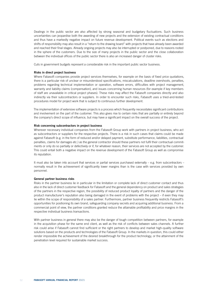Dealings in the public sector are also affected by strong seasonal and budgetary fluctuations. Such business uncertainties can jeopardise both the awarding of new projects and the extension of existing contractual conditions and thus have a markedly negative impact on future revenue development. Political events such as elections and shifts of responsibility may also result in a "return to the drawing board" with projects that have already been awarded and reached their final stages. Already ongoing projects may also be interrupted or postponed, due to reasons rooted in the sphere of the customers. Due to the size of many projects in the public sector and the close collaboration between the individual offices of the public sector there is also an increased danger of cluster risks.

Cuts in government budgets represent a considerable risk in the important public sector business.

## Risks in direct project business

Where Fabasoft companies provide project services themselves, for example on the basis of fixed price quotations, there is a particular risk of unclear or misunderstood specifications, miscalculations, deadline overshoots, penalties, problems regarding technical implementation or operation, software errors, difficulties with project management, warranty and liability claims (compensation), and issues concerning human resources (for example if key members of staff are unavailable in critical project phases). These risks may affect the Fabasoft companies directly and also indirectly via their subcontractors or suppliers. In order to encounter such risks, Fabasoft uses a tried-and-tested procedures model for project work that is subject to continuous further development.

The implementation of extensive software projects is a process which frequently necessitates significant contributions and involvement on the part of the customer. This also gives rise to certain risks that are partially or entirely beyond the company's direct scope of influence, but may have a significant impact on the overall success of the project.

### Risk concerning subcontractors in project business

Wherever necessary individual companies from the Fabasoft Group work with partners in project business, who act as subcontractors or suppliers for the respective projects. There is a risk in such cases that claims could be made against Fabasoft (e.g. in the form of reduced and/or delayed payment, substitute performance, liabilities, contractual penalties, claims for damages etc.) as the general contractor should these partners not fulfil their contractual commitments or only do so partially or defectively or if, for whatever reason, their services are not accepted by the customer. This could entail both a negative impact on the revenue development of the Fabasoft Group as well as compromise its reputation.

It must also be taken into account that services or partial services purchased externally – e.g. from subcontractors – normally result in the achievement of significantly lower margins than is the case with services provided by own personnel.

#### General partner business risks

Risks in the partner business lie in particular in the limitation or complete lack of direct customer contact and thus also in the lack of direct customer feedback for Fabasoft and the general dependency on product and sales strategies of the partners in the respective region, the possibility of reduced product loyalty of partners and the danger of the product manufacturer's reputation also being damaged in the event of problems with the project – if even they may lie within the scope of responsibility of a sales partner. Furthermore, partner business frequently restricts Fabasoft's opportunities for positioning its own brand, safeguarding company secrets and acquiring additional business. From a commercial point of view, the partner conditions granted reduce the attainable profitability and price margins in the respective individual business transactions.

With partner business in general there may also be the danger of tough competition between partners, for example in the acquisition phase for the same end client, as well as the risk of conflicts between sales channels. A further risk could arise if Fabasoft cannot find sufficient or the right partners to develop and market high-quality software solutions based on the products and technologies of the Fabasoft Group. In the markets in question, this could either render impossible the achievement of the desired breakthrough for the product technology, or the attainment of the penetration level required for sustainable market success.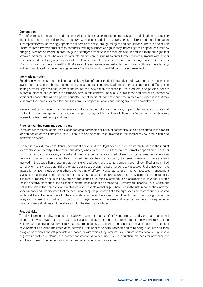### Competition

The software sector in general and the enterprise content management, enterprise search and cloud computing segments in particular, are undergoing an intensive wave of consolidation that is giving rise to larger and more international competitors with increasingly apparent economies of scale through mergers and acquisitions. There is also still an unabated trend towards smaller manufacturers forming alliances or significantly increasing their capital resources by bringing investors on board, in order to gain a stronger presence in the marketplace. In addition there are signs that software manufacturers who already dominate markets are beginning to enter further market segments with new or new positioned products, which in turn will result in even greater pressure on prices and margins and make the task of acquiring new partners more difficult. Moreover, the acceptance and establishment of new software offers is being further complicated by the increasing degree of saturation and consolidation in the software sector.

#### Internationalisation

Entering new markets also entails certain risks. A lack of target market knowledge and lower company recognition levels than those in the home market, strong local competition, long lead times, high start-up costs, difficulties in finding staff for key positions, internationalisation and localisation expenses for the products, and possible deficits in communication and control are exemplary note in this context. The aim is to limit these and similar risk factors by additionally concentrating on a partner-oriented model that is intended to reduce the immediate project risks that may arise from the company's own tendering in complex project situations and during project implementation.

General political and economic framework conditions in the individual countries, in particular trade restrictions and contradictions or overlapping in regulatory or tax provisions, could constitute additional risk factors for more intensively internationalised business operations.

### Risks concerning company acquisitions

There are fundamental operative risks for acquired companies or parts of companies, as also presented in this report for companies of the Fabasoft Group. There are also specific risks involved in the market review, acquisition and integration phases.

The services of external consultants (investment banks, auditors, legal advisors, etc.) are normally used in the market review phase for identifying takeover candidates, whereby the ensuing fees do not normally depend on success or only do so in part. Frustrating external and internal expenses are incurred where no suitable takeover targets can be found or an acquisition cannot be concluded. Despite the commissioning of external consultants, there are risks involved in the acquisition phase in that the risks or bad debts of the target company are not identified or quantified correctly or that synergy potential or the future business development are not correctly assessed. Risks involved in the integration phase include among others the merging of different corporate cultures, market accesses, management styles, key technologies and corporate processes. As the acquisition procedure is normally carried out confidentially, it is mostly impossible to gain knowledge of the stance of existing customers to an acquisition in advance. For this reason negative reactions of the existing customer base cannot be precluded. Furthermore, keeping key success-critical individuals in the company, and motivated also presents a challenge. There is also the risk in connection with the above-mentioned uncertainties that the acquisition target is purchased at a too high price and that the funds invested might well be lacking elsewhere for the corporate activities of the entire Group. If such risks occur during or after the integration phase, this could lead in particular to negative impacts on sales and revenues and as a consequence on balance sheet valuations and therefore also for the Group as a whole.

#### Product risks

The development of software products is always subject to the risk of software errors, security gaps and functional restrictions, which even the use of extensive quality management and test procedures can never entirely exclude. Neither can it be ruled out completely that the protected legal positions of third parties are violated in the course of development or project implementation activities. This applies to both Fabasoft and third-party products and technologies on which Fabasoft products are based or with which they interact. Such errors or restrictions may have a negative impact on customer and partner satisfaction, data security, market reputation, chances for new business and the success of implementation and operational projects, or online offers.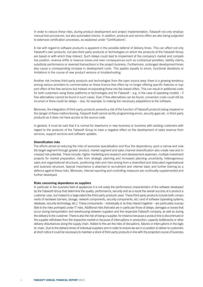In order to reduce these risks, during product development and project implementation, Fabasoft not only employs manual test procedures, but also automated checks. In addition, products and service offers are also being subjected to extensive certification processes, as explained under "Certifications".

A risk with regard to software products is apparent in the possible deferral of delivery times. This can affect not only Fabasoft's own products, but also third-party products or technologies on which the products of the Fabasoft Group are based or with which they interact. Such delays could lead to impairment of the company's market and competitive position, revenue shifts or revenue losses and even consequences such as contractual penalties, liability claims, substitute performance or reversed transactions in the project business. Furthermore, prolonged development times also cause a corresponding increase in development costs. This applies equally to errors, functional deviations or limitations in the course of new product versions or troubleshooting.

Another risk involves third-party products and technologies from the open source area: there is a growing tendency among various providers to commercialise on these licence-free offers by no longer offering specific features or support offers of the free versions but instead incorporating these into fee-based offers. This can result in additional costs for both customers using these platforms or technologies and for Fabasoft – e.g. in the case of operating models – if free alternatives cannot be found in such cases. Even if free alternatives can be found, conversion costs could still be incurred or there could be delays – due, for example, to making the necessary adaptations to the software.

Moreover, the integration of third-party products presents a risk of the function of Fabasoft products being impaired or the danger of these malfunctioning. Fabasoft itself cannot rectify programming errors, security gaps etc. in third-party products as it does not have access to the source code.

In general, it must be said that it is normal for downturns in new business or business with existing customers with regard to the products of the Fabasoft Group to have a negative effect on the development of sales revenue from services, support services and software updates.

#### Diversification risks

The efforts aimed at reducing the risks of excessive specialisation and thus the dependency upon a narrow and volatile target segment through greater product, market segment and sales channel diversification also create new and increased risk potential. These include: higher marketing and research and development expenses, multiple investment projects for market preparation, risks from strategic planning and increased planning uncertainty, heterogeneous sales and organisational structures, positioning risks and risks arising from a diversified and dislocated organisational and business structure. Special importance is attached to recruitment and internal basic and further training as a defence against these risks. Moreover, internal reporting and controlling measures are continually supplemented and further developed.

#### Risks concerning dependence on suppliers

In particular in the business field of appliances it is not solely the performance characteristics of the software developed by the Fabasoft Group that determine the quality, performance, security and as a result the overall success of a product a customer uses, but indeed to a large extent the third-party products used. These third-party products include both components of hardware (servers, storage, network components, security components, etc.) and of software (operating systems, database, security technology, etc.). These components – individually or as they interact together – are particularly susceptible to the risks portrayed under IT risks. Additional risks that exist are in particular those of delays, damages or losses that occur during transportation and warehousing between suppliers and the respective Fabasoft company, as well as during the delivery to the customer. There is also the risk of losing a supplier, for instance because a product line is discontinued or the supplier withdraws from the respective market or because of interruptions in production, capacity bottlenecks or other delivery disturbances along the supply chain. Added to this are the risks of disruptions, failures or interruptions in the logistic chain. Due to the delivery times of individual suppliers and in order to ensure we are in a position to deliver to customers at short notice it could be necessary to maintain a stock of third-party products in line with the projected course of business.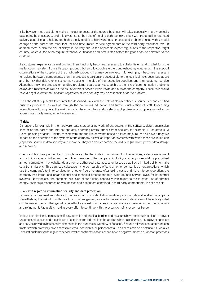It is, however, not possible to make an exact forecast of the course business will take, especially in a dynamically developing business area, and this gives rise to the risks of holding both too low a stock with the entailing restricted delivery capability and holding too high a stock leading to high warehousing costs and problems linked with a model change on the part of the manufacturer and time-limited service agreements of the third-party manufacturers. In addition there is also the risk of delays in delivery due to the applicable export regulations of the respective target country, which all too often require extensive verifications and certificates before the goods can be delivered to the customer.

If a customer experiences a malfunction, then it not only becomes necessary to substantiate if and in what form the malfunction may stem from a Fabasoft product, but also to coordinate the troubleshooting together with the support organisations of the suppliers of the third-party products that may be involved. If, for example, it becomes necessary to replace hardware components, then the process is particularly susceptible to the logistical risks described above and the risk that delays or mistakes may occur on the side of the respective suppliers and their customer service. Altogether, the whole process for handling problems is particularly susceptible to the risks of communication problems, delays and mistakes as well as the risk of different service levels inside and outside the company. These risks would have a negative effect on Fabasoft, regardless of who actually may be responsible for the problem.

The Fabasoft Group seeks to counter the described risks with the help of clearly defined, documented and certified business processes, as well as through the continuing education and further qualification of staff. Concerning interactions with suppliers, the main focus is placed on the careful selection of professional suppliers as well as on appropriate quality management measures.

## IT risks

Disruptions for example in the hardware, data storage or network infrastructure, in the software, data transmission lines or on the part of the Internet operator, operating errors, attacks from hackers, for example, DDos attacks, viruses, phishing attacks, Trojans, ransomware and the like or events based on force majeure, can all have a negative impact on the operation of the systems of the company as well as important systems with which these are linked can jeopardise seamless data security and recovery. They can also jeopardise the ability to guarantee perfect data storage and recovery.

One possible consequence of such problems can be the limitation or failure of online services, sales, development and administrative activities and the online presence of the company, including statutory or regulatory prescribed announcements on the website, data error, unauthorised data access or losses as well as a limited ability to make data transmissions. This can lead subsequently to comparable effects on other companies or organisations, which use the company's (online) services for a fee or free of charge. After taking costs and risks into consideration, the company has introduced organisational and technical precautions to provide defined service levels for its internal systems. Nevertheless, the complete exclusion of such risks, especially with regard to the targeted use of criminal energy, espionage resources or weaknesses and backdoors contained in third party components, is not possible.

#### Risks with regard to information security and data protection

Fabasoft attaches great importance to the protection of confidential information, personal data and intellectual property. Nevertheless, the risk of unauthorised third parties gaining access to this sensitive material cannot be entirely ruled out. In view of the fact that global cyber-attacks against companies in all sectors are increasing in number, intensity and refinement, Fabasoft is making every effort to continue with the expansion of its cyber resilience.

Various organisational, training-specific, systematic and physical barriers and measures have been put into place to prevent unauthorised access and a catalogue of criteria compiled that is to be applied when selecting security-relevant suppliers and service providers has been implemented in the purchasing workflow of Fabasoft. Security-relevant contractors are contractors which potentially have access to internal, confidential or personal data. This access can be a potential risk vis-à-vis Fabasoft customers with regard to service level or contract violations or can have a negative impact on Fabasoft processes.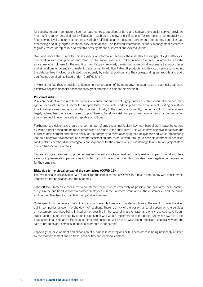All security-relevant contractors such as data centres, suppliers of hard and software or special service providers must fulfil requirements defined by Fabasoft – such as the relevant certifications, for example, or contractually defined service levels, security statements, verifiably fulfilled security measures, agreements concerning controller data processing and duly signed confidentiality declarations. The installed information security management system is regularly tested for topicality and effectiveness by means of internal and external audits.

Over and above the purely technical aspects of information security there is also the danger of cyberattacks in combination with manipulation and fraud on the social level (e.g. "fake president" emails). In order to raise the awareness of employees for the resulting risks, Fabasoft regularly carries out professional awareness training courses and simulations of potentially threatening scenarios. In addition Fabasoft products and its cloud services, including the data centres involved, are tested continuously by external auditors and the corresponding test reports and audit certificates compiled, as listed under "Certifications".

In view of the fact that, in addition to damaging the reputation of the company, the occurrence of such risks can have extensive negative financial consequences great attention is paid to this risk field.

#### Personnel risks

Risks are evident with regard to the finding of a sufficient number of highly-qualified, entrepreneurially-minded managerial specialists in the IT sector for independently responsible leadership and the expansion of existing or restructured business areas and ensuring their long-term loyalty to the company. Currently, the demand for IT professionals largely outweighed the labour market supply. There is therefore a risk that personnel requirements cannot be met on time or subject to economically acceptable conditions.

Furthermore, a risk entails should a larger number of employees, particularly key members of staff, leave the company within a brief period and no replacements can be found in the short-term. This would have negative impacts on the business development and on the ability of the company to meet already agreed obligations and would presumably lead to a negative development of customer satisfaction and revenue even through to possible contractual penalties, liability claims or other disadvantageous consequences for the company, such as damage to reputation, project stops or even transaction reversals.

Understaffing can also lead to possible business potential not being realised or only realised in part. Should suppliers, sales or implementation partners be impacted by such personnel risks, this can also have negative consequences for the company.

### Risks due to the global spread of the coronavirus (COVID-19)

The World Health Organisation (WHO) declared the global spread of COVID-19 a health emergency with considerable impacts on the population and the economy.

Fabasoft took immediate measures to counteract these risks as effectively as possible and evaluates these continuously. On the one hand in order to protect employees – in the Fabasoft Group and at the customers – and the public and on the other hand to maintain the operative business.

Quite apart from the general risks of restrictions or even failures of corporate functions in the event of cases breaking out in companies or even the shutdown of locations, there is a risk of the performance of certain on-site services on customers' premises being limited or not possible in the case of massive travel and entry restrictions. Although substitution of such services by an online presence was widely implemented in the period under review, this is not practicable in all scenarios. Personal contact and customer visits have always been important, especially where the sale of products and services in specific segments is concerned.

Especially the development and expansion of business in new regions or business areas is being noticeably afflicted by the massive restrictions on travel possibilities and personal contact.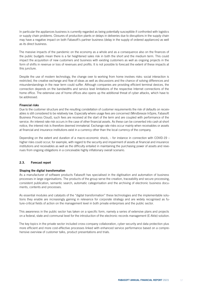In particular the appliances business is currently regarded as being potentially susceptible if confronted with logistics or supply chain problems. Closures of production plants or delays in deliveries due to disruptions in the supply chain may have a negative impact on both Fabasoft's partner business (delay in the supply of ordered appliances) as well as its direct business.

The massive impacts of the pandemic on the economy as a whole and as a consequence also on the finances of the public budgets mean there is a far heightened sales risk in both the short and the medium term. This could impact the acquisition of new customers and business with existing customers as well as ongoing projects in the form of shifts in revenue or loss of revenues and profits. It is not possible to forecast the extent of these impacts at this juncture.

Despite the use of modern technology, the change over to working from home involves risks: social interaction is restricted, the creative exchange and flow of ideas as well as discussions and the chance of solving differences and misunderstandings in the near term could suffer. Although companies are providing efficient terminal devices, the connection depends on the bandwidths and service level limitations of the respective Internet connections of the home office. The extensive use of home offices also opens up the additional threat of cyber attacks, which have to be addressed.

## Financial risks

Due to the customer structure and the resulting constellation of customer requirements the risk of defaults on receivables is still considered to be relatively low. Especially where usage fees are concerned (Mindbreeze InSpire, Fabasoft Business Process Cloud), such fees are received at the start of the term and are coupled with performance of the service. An interest rate risk occurs in the case of other financial assets. As these can be converted into cash at short notice, the interest risk is therefore deemed immaterial. Exchange rate risks occur mainly when receivables or assets at financial and insurance institutions exist in a currency other than the local currency of the company.

Depending on the extent and duration of a macro-economic shock, – for instance in connection with COVID-19 – higher risks could occur, for example, with regard to the security and impairment of assets at financial and insurance institutions and receivables as well as the difficulty entailed in maintaining the purchasing power of assets and revenues from ongoing obligations in a conceivable highly inflationary overall scenario.

# 2.3. Forecast report

## Shaping the digital transformation

As a manufacturer of software products Fabasoft has specialised in the digitisation and automation of business processes in large organisations. The products of the group serve the creation, traceability and secure processing, consistent publication, semantic search, automatic categorisation and the archiving of electronic business documents, contents and processes.

As essential modules and catalysts of the "digital transformation" these technologies and the implementable solutions they enable are increasingly gaining in relevance for corporate strategy and are widely recognised as future-critical fields of action on the management level in both private enterprises and the public sector.

This awareness in the public sector has taken on a specific form, namely a series of extensive plans and projects on a federal, state and communal level for the introduction of the electronic records management (E-Akte) solution.

The key topics in the private sector included cross-company collaboration, cyber security and data protection plus more efficient and more cost-effective processes linked with enhanced service performance based on a comprehensive overview of customer talks, product presentations and trials.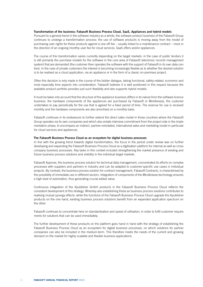## Transformation of the business: Fabasoft Business Process Cloud, SaaS, Appliances and hybrid models

Pursuant to a general trend in the software industry as a whole, the software product business of the Fabasoft Group continues to undergo a transformation process: the use of software products is moving away from the model of purchasing user rights for these products against a one-off fee – usually linked to a maintenance contract – more in the direction of an ongoing monthly user fee for cloud services, SaaS offers and/or appliances.

The course of this transformation varies currently depending on the target markets: in the case of public tenders it is still primarily the purchase models for the software in the core area of Fabasoft (electronic records management system) that are demanded (the customer then operates the software with the support of Fabasoft in its own data centres). In the case of private customers the interest is becoming increasingly flexible as to whether the desired solution is to be realised as a cloud application, via an appliance or in the form of a classic on-premises project.

Often this decision is only made in the course of the bidder dialogue, taking functional, safety-related, economic and most especially time aspects into consideration. Fabasoft believes it is well positioned in this respect because the available product portfolio provides just such flexibility and also supports hybrid models.

It must be taken into account that the structure of the appliance business differs in its nature from the software licence business: the hardware components of the appliances are purchased by Fabasoft or Mindbreeze, the customer undertakes to pay periodically for the use that is agreed for a fixed period of time. The revenue for use is received monthly and the hardware components are also amortised on a monthly basis.

Fabasoft continues in its endeavours to further extend the direct sales model in those countries where the Fabasoft Group operates via its own companies and which also entails intensive commitment from the project side in the implementation phase, to encompass an indirect, partner-orientated, international sales and marketing model in particular for cloud services and appliances.

## The Fabasoft Business Process Cloud as an ecosystem for digital business processes

In line with the growing trend towards digital transformation, the focus in the period under review was on further developing and expanding the Fabasoft Business Process Cloud as a digitisation platform for internal as well as crosscompany business processes. Key tasks in this context included strengthening the market presence of existing and future business process solutions and visibility in the individual target markets.

Fabasoft Approve, the business process solution for technical data management, concentrated its efforts on complex processes with suppliers and partners in industry and can be adapted to customer-specific use cases in individual projects. By contrast, the business process solution for contract management, Fabasoft Contracts, is characterised by the possibility of immediate use in different sectors. Integration of components of the Mindbreeze technology ensures a high level of automation, thus generating crucial added value.

Continuous integration of the Xpublisher GmbH products in the Fabasoft Business Process Cloud reflects the consistent development of this strategy. Whereby also establishing these as business process solutions contributes to realising mutual synergy effects: while the functions of the Fabasoft Business Process Cloud upgrade the Xpublisher products on the one hand, existing business process solutions benefit from an expanded application spectrum on the other.

Fabasoft continues to concentrate here on standardisation and speed of utilisation, in order to fulfil customer requirements for solutions that can be used immediately.

The further development of these products on the platform goes hand in hand with the strategy of establishing the Fabasoft Business Process Cloud as an ecosystem for digital business processes, on which solutions for partner companies can also be included in the medium-term. This therefore meets the needs of the current and growing demand on the market for highly scalable and flexible business applications.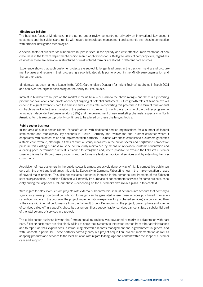#### Mindbreeze InSpire

The business focus of Mindbreeze in the period under review concentrated primarily on international key account customers and their visions and remits with regard to knowledge management and semantic searches in connection with artificial intelligence technologies.

A special factor of success for Mindbreeze InSpire is seen in the speedy and cost-effective implementation of concrete tasks in the form of department-specific search applications for 360-degree views of company data, regardless of whether these are available in structured or unstructured form or are stored in different data sources.

Experience shows that such customer projects are subject to longer lead times in the decision making and procurement phases and require in their processing a sophisticated skills portfolio both in the Mindbreeze organisation and the partner base.

Mindbreeze has been named a Leader in the "2021 Gartner Magic Quadrant for Insight Engines" published in March 2021 and achieved the highest positioning on the Ability to Execute axis.

Interest in Mindbreeze InSpire on the market remains brisk – due also to the above rating – and there is a promising pipeline for evaluations and proofs of concept ongoing at potential customers. Future growth rates of Mindbreeze will depend to a great extent on both the timeline and success rate in converting this potential in the form of multi-annual contracts as well as further expansion of the partner structure, e.g. through the expansion of the partner programme to include independent software vendors (ISVs) and the development of new marketing channels, especially in North America. For this reason top priority continues to be placed on these challenging topics.

## Public sector business

In the area of public sector clients, Fabasoft works with dedicated service organisations for a number of federal, state/canton and municipality key accounts in Austria, Germany and Switzerland and in other countries where it cooperates with selected sales and implementation partners. Business with these established customers generates a stable core revenue, although in times of strict austerity measures in the public sector and heightened competitive pressure this existing business must be continuously maintained by means of innovation, customer-orientation and a leading price-performance ratio. It is planned to strengthen and, where possible, to expand the Fabasoft customer base in this market through new products and performance features, additional services and by extending the user community.

Acquisition of new customers in the public sector is almost exclusively done by way of highly competitive public tenders with the effort and lead times this entails. Especially in Germany, Fabasoft is now in the implementation phases of several major projects. This also necessitates a potential increase in the personnel requirements of the Fabasoft service organisation. In addition Fabasoft will intensify its purchase of subcontractor services for some projects, especially during the large-scale roll-out phase – depending on the customer's own roll-out plans in this context.

With regard to sales revenue from projects with external subcontractors, it must be taken into account that normally a significantly lower proportional contribution to margin can be generated where those services purchased from external subcontractors in the course of the project implementation (expenses for purchased services) are concerned than is the case with internal performance from the Fabasoft Group. Depending on the project, project phase and volume of services called off in a specific phase by customers, these subcontractor services can constitute a substantial part of the total volume of services in a project.

The public sector business beyond the German-speaking regions was developed primarily in collaboration with partners. Existing customers are also kindly willing to show their systems to interested parties from other administrations and to report on their experiences in introducing electronic records management and e-government in general and with Fabasoft in particular. These partners normally carry out project acquisition, project implementation as well as adapting products and services to the local situation with regard to language and content within the scope of customer care and support.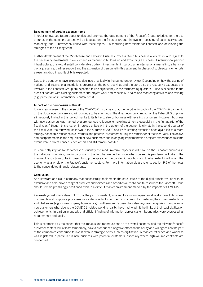#### Development of certain expense items

In order to leverage future opportunities and promote the development of the Fabasoft Group, priorities for the use of funds in the coming quarters will be focused on the fields of product innovation, boosting of sales, service and marketing, and – inextricably linked with these topics – in recruiting new talents for Fabasoft and developing the strengths of the existing team.

Further development of the Mindbreeze and Fabasoft Business Process Cloud business is a key factor with regard to the necessary investments: if we succeed as planned in building up and expanding a successful international partner infrastructure, this would entail considerable up-front investments, in particular in international marketing, a trans-regional presence, partner support and the expansion of personnel in this segment. In phases of such expansion efforts a resultant drop in profitability is expected.

Due to the pandemic travel expenses declined drastically in the period under review. Depending on how the easing of national and international restrictions progresses, the travel activities and therefore also the respective expenses this involves in the Fabasoft Group are expected to rise significantly in the forthcoming quarters. A rise is expected in the areas of contact with existing customers and project work and especially in sales and marketing activities and training (e.g. participation in international conferences).

#### Impact of the coronavirus outbreak

It was clearly seen in the course of the 2020/2021 fiscal year that the negative impacts of the COVID-19 pandemic on the global economy are and will continue to be enormous. The direct economic impact on the Fabasoft Group was still relatively limited in this period thanks to its hitherto strong business with existing customers. However, business with new customers was marked by a pronounced reticence to make investments, especially in the first quarter of the fiscal year. Although this situation improved a little with the upturn of the economic climate in the second quarter of the fiscal year, the renewed lockdown in the autumn of 2020 and its frustrating extension once again led to a more strongly noticeable reticence in customers and potential customers during the remainder of the fiscal year. The delays and postponements in the acquisition of new customers and in ongoing implementation projects experienced to some extent were a direct consequence of this and still remain possible.

It is currently impossible to forecast or quantify the medium-term impacts it will have on the Fabasoft business in the individual countries, due in particular to the fact that we neither know what course this pandemic will take or the imminent restrictions to be imposed to stop the spread of the pandemic, nor how and to what extent it will affect the economy as a whole or the Fabasoft customer sectors. For more information please refer to section 9.6 of the notes to the consolidated financial statements.

#### Conclusion

As a software and cloud company that successfully implements the core issues of the digital transformation with its extensive and field-proven range of products and services and based on our solid capital resources the Fabasoft Group should remain promisingly positioned even in a difficult market environment marked by the impacts of COVID-19.

Key existing customers also confirm that the joint, consistent, time and location-independent digital access to business documents and corporate processes was a decisive factor for them in successfully mastering the current restrictions and challenges (e.g. cross-company home office). Furthermore, Fabasoft has also registered enquiries from potential new customers who, due to the COVID-19-related working reality, have had to admit the limits of their past digitisation achievements. In particular speedy and efficient finding of information across system boundaries were expressed as requirements and goals.

This is contrasted by the danger that the impacts and repercussions on the overall economy and the relevant Fabasoft customer sectors will, at least temporarily, have a pronounced negative effect on the ability and willingness on the part of the companies concerned to invest even in strategic fields such as digitisation. A marked reticence and wariness was registered in particular in new business with potential customers, especially where high-volume contracts are concerned.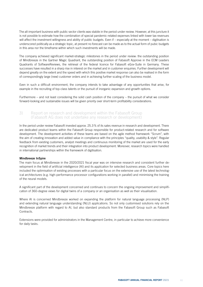The all-important business with public sector clients was stabile in the period under review. However, at this juncture it is not possible to estimate how the combination of special pandemic-related expenses linked with lower tax revenues will affect the investment willingness and ability of public budgets. Even if – especially at the moment – digitisation is underscored politically as a strategic topic, at present no forecast can be made as to the actual form of pubic budgets in this area nor the timeframe within which such investments will be made.

The company achieved significant market-strategic milestones in the period under review: the outstanding position of Mindbreeze in the Gartner Magic Quadrant, the outstanding position of Fabasoft Approve in the ECM Leaders Quadrants of SoftwareReviews, the retrieval of the federal licence for Fabasoft eGov-Suite in Germany. These successes have resulted in a sharp rise in interest on the market and in customer enquiries. Further development will depend greatly on the extent and the speed with which this positive market response can also be realised in the form of correspondingly large (new) customer orders and in achieving further scaling of the business model.

Even in such a difficult environment, the company intends to take advantage of any opportunities that arise, for example in the recruiting of top-class talents or the pursuit of inorganic expansion and growth options.

Furthermore – and not least considering the solid cash position of the company – the pursuit of what we consider forward-looking and sustainable issues will be given priority over short-term profitability considerations.

# 3) Report on research and development within the Fabasoft Group (Fabasoft AG does not undertake any research or development)

In the period under review Fabasoft invested approx. 25.3% of its sales revenue in research and development. There are dedicated product teams within the Fabasoft Group responsible for product-related research and for software development. The development activities of these teams are based on the agile method framework "Scrum", with the aim of creating innovation and added value in compliance with the principles "quality, usability & style". Regular feedback from existing customers, analyst meetings and continuous monitoring of the market are used for the early recognition of market trends and their integration into product development. Moreover, research topics were handled in international partnerships within the framework of digitisation.

## Mindbreeze InSpire

The main focus at Mindbreeze in the 2020/2021 fiscal year was on intensive research and consistent further development in the field of artificial intelligence (AI) and its application for selected business areas. Core topics here included the optimisation of existing processes with a particular focus on the extensive use of the latest technological architectures (e.g. high-performance processor configurations working in parallel) and minimising the training of the neural models.

A significant part of the development concerned and continues to concern the ongoing improvement and simplification of 360-degree views for digital twins of a company or an organisation as well as their visualisation.

Where AI is concerned Mindbreeze worked on expanding the platform for natural language processing (NLP) and extending natural language understanding (NLU) applications. So not only customised solutions rely on the Mindbreeze platform with regard to AI, but also standard products from the Fabasoft Group such as Fabasoft Contracts.

Extensions were provided for administrators in the Management Centre, in particular to achieve more convenience for daily tasks.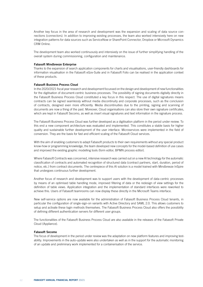Another key focus in the area of research and development was the expansion and scaling of data source connections (connectors). In addition to improving existing processes, the team also worked intensively here on new integration patterns for data sources such as ServiceNow or SharePoint Connector, Dropbox or Microsoft Dynamics CRM Online.

The development team also worked continuously and intensively on the issue of further simplifying handling of the overall system during commissioning, configuration and maintenance.

#### Fabasoft Mindbreeze Enterprise

Thanks to the expansion of search application components for charts and visualisations, user-friendly dashboards for information visualisation in the Fabasoft eGov-Suite and in Fabasoft Folio can be realised in the application context of these products.

### Fabasoft Business Process Cloud

In the 2020/2021 fiscal year research and development focussed on the design and development of new functionalities for the digitisation of document-centric business processes. The possibility of signing documents digitally directly in the Fabasoft Business Process Cloud constituted a key focus in this respect. The use of digital signatures means contracts can be signed seamlessly without media discontinuity and corporate processes, such as the conclusion of contracts, designed even more efficiently. Media discontinuities due to the printing, signing and scanning of documents are now a thing of the past. Moreover, Cloud organisations can also store their own signature certificates, which are kept in Fabasoft Secomo, as well as insert visual signatures and text information in the signature process.

The Fabasoft Business Process Cloud was further developed as a digitisation platform in the period under review. To this end a new component architecture was evaluated and implemented. This constitutes a stable basis for higher quality and sustainable further development of the user interface. Microservices were implemented in the field of conversion. They are the basis for fast and efficient scaling of the Fabasoft Cloud services.

With the aim of enabling customers to adapt Fabasoft products to their own requirements without any special product know-how or programming knowledge, the team developed new concepts for the model-based definition of use cases and improved the existing graphic modelling tools (form editor, BPMN process editor).

Where Fabasoft Contracts was concerned, intensive research was carried out on a new AI technology for the automatic classification of contracts and automated recognition of structured data (contract partners, start, duration, period of notice, etc.) from contract documents. The centrepiece of this AI solution is a model trained with Mindbreeze InSpire that undergoes continuous further development.

Another focus of research and development was to support users with the development of data-centric processes by means of an optimised table handling mode, improved filtering of data or the redesign of view settings for the definition of table views. Application integration and the implementation of standard interfaces were reworked to achieve this. Users of Fabasoft teamrooms can now display these directly in the Microsoft Teams interface.

New self-service options are now available for the administration of Fabasoft Business Process Cloud tenants, in particular the configuration of single-sign-on variants with Active Directory and SAML 2.0. This allows customers to setup and activate these login methods themselves. The Fabasoft Business Process Cloud also offers the possibility of defining different authentication servers for different user groups.

The functionalities of the Fabasoft Business Process Cloud are also available in the releases of the Fabasoft Private Cloud (Appliance).

## Fabasoft Secomo

The focus of development in the period under review was the adaptation on new platform features and improving testability. Improvements in the auto-update were also undertaken as well as in the support for the automatic monitoring of an update and preliminary work implemented for a containerisation of the service.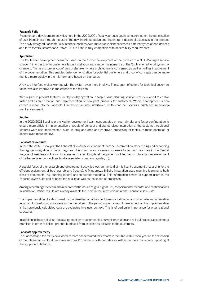# Fabasoft Folio

Research and development activities here in the 2020/2021 fiscal year once again concentrated on the optimisation of user-friendliness through the use of the new interface design and the entire re-design of use cases in the product. The newly designed Fabasoft Folio interface enables even more convenient access via different types of end devices and form factors (smartphone, tablet, PC etc.) and is fully compatible with accessibility requirements.

## Xpublisher

The Xpublisher development team focussed on the further development of the product to a "Full-Managed service solution", in order to offer customers faster installation and simpler maintenance of the Xpublisher editorial system. A change to "infrastructure as code" was undertaken where architecture is concerned as well as further improvement of the documentation. This enables faster demonstration for potential customers and proof of concepts can be implemented more quickly in the mid-term and based on standards.

A revised interface makes working with the system even more intuitive. The support of editors for technical documentation was also improved in the course of the revision.

With regard to product features for day-to-day operation, a target issue planning solution was developed to enable faster and clearer creation and implementation of new print products for customers. Where development is concerned a move into the Fabasoft IT infrastructure was undertaken, so this can be used as a highly secure development environment.

## Xeditor

In the 2020/2021 fiscal year the Xeditor development team concentrated on even simpler and faster configuration to ensure more efficient implementation of proofs of concept and standardised integration at the customer. Additional features were also implemented, such as drag-and-drop and improved processing of tables, to make operation of Xeditor even more intuitive.

## Fabasoft eGov-Suite

In the 2020/2021 fiscal year the Fabasoft eGov-Suite development team concentrated on modernising and expanding the register integration of public registers. It is now more convenient for users to conduct searches in the Central Register of Residents in Austria, for example. The resulting developer patterns will be used in future for the development of further register connections (address register, company register, ...).

A special focus of the research and development activities was on the field of intelligent document processing for the efficient assignment of business objects (record). A Mindbreeze InSpire integration uses machine learning to both classify documents (e.g. funding letters) and to extract metadata. This information serves to support users in the Fabasoft eGov-Suite and to boost the quality as well as the speed of processes.

Among other things the team also researched the issues "digital signature", "departmental records" and "optimisations in workflow". Partial results are already available for users in the latest version of the Fabasoft eGov-Suite.

The implementation of a dashboard for the visualisation of key performance indicators and other relevant information as an aid to day-to-day work were also undertaken in the period under review. A new aspect of this implementation is that previously calculated data are evaluated in a user context. This is of particular importance for organisational structures.

In addition to these activities the development team accompanied current innovation and roll-out projects at customers' premises in order to collect product feedback from as close as possible to the customers.

## Fabasoft app.telemetry

The Fabasoft app.telemetry development team concentrated their efforts in the 2020/2021 fiscal year on the extension of the integration in cloud platforms such as Prometheus or Kubernetes as well as on the expansion or updating of the supported platforms.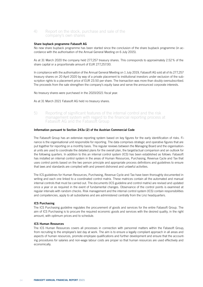# 4) Report on the stock, purchase and sale of the company's own shares

## Share buyback programme Fabasoft AG

No new share buyback programme has been started since the conclusion of the share buyback programme (in accordance with the authorisation of the Annual General Meeting on 6 July 2015).

As at 31 March 2020 the company held 277,257 treasury shares. This corresponds to approximately 2.52% of the share capital or a proportionate amount of EUR 277,257.00.

In compliance with the authorisation of the Annual General Meeting on 1 July 2019, Fabasoft AG sold all of its 277,257 treasury shares on 20 April 2020 by way of a private placement to institutional investors under exclusion of the subscription rights to a placement price of EUR 23.50 per share. The transaction was more than doubly oversubscribed. The proceeds from the sale strengthen the company's equity base and serve the announced corporate interests.

No treasury shares were purchased in the 2020/2021 fiscal year.

As at 31 March 2021 Fabasoft AG held no treasury shares.

5) Reporting of significant features of the internal control and the risk management system with regard to the financial reporting process at Fabasoft AG and the Fabasoft Group

#### Information pursuant to Section 243a (2) of the Austrian Commercial Code

The Fabasoft Group has an extensive reporting system based on key figures for the early identification of risks. Finance is the organisational unit responsible for reporting. The data comprises strategic and operative figures that are put together for reporting on a monthly basis. The regular reviews between the Managing Board and the organisational units are used to coordinate the detailed plans for the overall plan, the target/actual comparison and an outlook for the following quarters. In addition to this an internal control system (ICS) has been established as follows: Fabasoft has installed an internal control system in the areas of Human Resources, Purchasing, Revenue Cycle and Tax that uses control points based on the two person principle and appropriate process definitions and guidelines to ensure that laws and standards are complied with and prevent dishonest and unlawful activities.

The ICS guidelines for Human Resources, Purchasing, Revenue Cycle and Tax have been thoroughly documented in writing and each one linked to a coordinated control matrix. These matrices contain all the automated and manual internal controls that must be carried out. The documents (ICS guideline and control matrix) are revised and updated once a year or as required in the event of fundamental changes. Observance of the control points is examined at regular intervals with random checks. Risk management and the internal control system (ICS) contain responsibilities and competencies, apply to all subsidiaries and are administered centrally from the Linz headquarters.

## ICS Purchasing

The ICS Purchasing guideline regulates the procurement of goods and services for the entire Fabasoft Group. The aim of ICS Purchasing is to procure the required economic goods and services with the desired quality, in the right amount, with optimum prices and to schedule.

## ICS Human Resources

The ICS Human Resources covers all processes in connection with personnel matters within the Fabasoft Group, from recruiting to the employee's last day at work. The aim is to ensure a legally compliant approach in all areas and aspects of human resources, promote employee qualifications and further development and ensure that the accounting procedures for salaries and non-wage labour costs are proper so that human resources are used effectively and economically.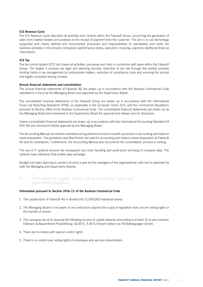## ICS Revenue Cycle

The ICS Revenue Cycle describes all activities and controls within the Fabasoft Group concerning the generation of sales from market reviews and analyses to the receipt of payment from the customer. The aim is to use technologysupported and clearly defined and documented processes and responsibilities to standardise and verify the business activities in the Group's companies (performance status, execution, invoicing, payment, additional financial information).

## ICS Tax

The tax control system (ICS Tax) covers all activities, processes and risks in connection with taxes within the Fabasoft Group. The targets it pursues are legal and planning security, reduction of tax risk through the earliest possible binding clarity in tax management for professional matters, reduction of compliance costs and ensuring the prompt and legally compliant levying of taxes.

## Annual financial statements and consolidation

The annual financial statements of Fabasoft AG are drawn up in accordance with the Austrian Commercial Code stipulations in force by the Managing Board and approved by the Supervisory Board.

The consolidated financial statements of the Fabasoft Group are drawn up in accordance with the International Finan-cial Reporting Standards (IFRS), as applicable in the European Union (EU), and the commercial stipulations pursuant to Section 245a of the Austrian Commercial Code. The consolidated financial statements are drawn up by the Managing Board and presented to the Supervisory Board for approval and release prior to disclosure.

Interim consolidated financial statements are drawn up in accordance with the International Accounting Standard 34 (IAS 34) and disclosure follows approval by the Managing Board.

The Accounting Manual documents standards and guidelines to ensure smooth processes in accounting and balance sheet preparation. The guidelines specified therein are valid for accounting and balance sheet preparation at Fabasoft AG and its subsidiaries. Furthermore, the Accounting Manual also documents the consolidation process in writing.

The use of IT systems ensures the transparent and clear handling and audit-proof archiving of company data. The systems have interfaces that enable data exchange.

Budget and sales planning is carried out once a year by the managers of the organisational units and is approved by both the Managing and Supervisory Boards.

6) Information on capital, share, voting and control rights and associated obligations

## Information pursuant to Section 243a (1) of the Austrian Commercial Code

- 1. The capital stock of Fabasoft AG is divided into 11,000,000 individual shares.
- 2. The Managing Board is not aware of any restrictions beyond the scope of legislation that concern voting rights or the transfer of shares.
- 3. The company has at its disposal the following records of capital interests amounting to at least 10 of one hundred: Fallmann & Bauernfeind Privatstiftung: 42.90%, 4.46% thereof indirect via FB Beteiligungen GmbH.
- 4. There are no shares with special control rights.
- 5. There is no control over voting rights of employees who are also shareholders.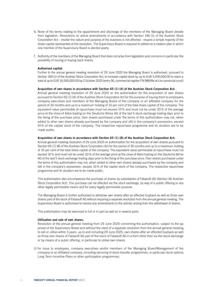- 6. None of the terms relating to the appointment and discharge of the members of the Managing Board deviate from legislation. Resolutions on article amendments in accordance with Section 146 (1) of the Austrian Stock Corporation Act – insofar the nature and purpose of the business is not affected - require a simple majority of the share capital represented at the resolution. The Supervisory Board is required to adhere to a rotation plan in which one member of the Supervisory Board is elected yearly.
- 7. Authority of the members of the Managing Board that does not arise from legislation and concerns in particular the possibility of issuing or buying back shares:

### Authorised capital:

Further to the annual general meeting resolution of 29 June 2020 the Managing Board is authorised, pursuant to Section 169 (1) of the Austrian Stock Corporation Act, to increase capital stock by up to EUR 5,500,000.00 to reach a total of up to EUR 16,500,000.00 by 2 October 2025 (entry 56, commercial register FN 98699x at Linz provincial court).

#### Acquisition of own shares in accordance with Section 65 (1) (4) of the Austrian Stock Corporation Act:

Annual general meeting resolution of 29 June 2020 on the authorisation for the acquisition of own shares pursuant to Section 65 (1) (4) of the Austrian Stock Corporation Act for the purpose of issuing them to employees, company executives and members of the Managing Board of the company or an affiliated company for the period of 30 months and up to a maximum holding of 10 per cent of the total share capital of the company. The equivalent value permissible at repurchase must not exceed 10 % and must not be under 20 % of the average price at the close of Xetra trading on the Deutsche Börse AG of the last 5 stock exchange trading days prior to the fixing of the purchase price. Own shares purchased under the terms of this authorisation may not, when added to other own shares already purchased by the company and still in the company's possession, exceed 10 % of the capital stock of the company. The respective repurchase programme and its duration are to be made public.

#### Acquisition of own shares in accordance with Section 65 (1) (8) of the Austrian Stock Corporation Act:

Annual general meeting resolution of 29 June 2020 on authorisation for the acquisition of own shares pursuant to Section 65 (1) (8) of the Austrian Stock Corporation Act for the period of 30 months and up to a maximum holding of 10 per cent of the total share capital of the company. The equivalent value permissible at repurchase must not exceed 10% and must not be under 20% of the average price at the close of Xetra trading on the Deutsche Börse AG of the last 5 stock exchange trading days prior to the fixing of the purchase price. Own shares purchased under the terms of this authorisation may not, when added to other own shares already purchased by the company and still in the company's possession, exceed 10% of the capital stock of the company. The respective repurchase programme and its duration are to be made public.

This authorisation also encompasses the purchase of shares by subsidiaries of Fabasoft AG (Section 66 Austrian Stock Corporation Act). The purchase can be effected via the stock exchange, by way of a public offering or any other legally permissible means and for every legally permissible purpose.

The Managing Board is further authorised to withdraw own shares after an effected buyback as well as those own shares part of the stock of Fabasoft AG without requiring a separate resolution from the annual general meeting. The Supervisory Board is authorised to resolve any amendments to the articles arising from the withdrawal of shares.

This authorisation may be exercised in full or in part as well as in several parts.

#### Utilisation and sale of own shares:

Resolution of the annual general meeting from 29 June 2020 concerning the authorisation, subject to the approval of the Supervisory Board and without the need of a separate resolution from the annual general meeting, to sell or utilise within 5 years, up to and including 29 June 2025, own shares after an effected buyback as well as those own shares of Fabasoft AG part of the stock of Fabasoft AG in a form other than via the stock exchange or by means of a public offering, in particular to utilise own shares

(i) for issue to employees, company executives and/or members of the Managing Board/Management of the company or an affiliated company, including servicing of stock transfer programmes, in particular stock options, Long Term Incentive Plans or other participation programmes;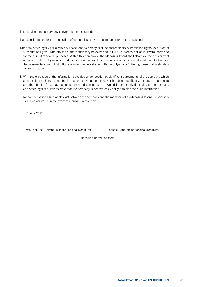(ii) to service if necessary any convertible bonds issued;

(iii)as consideration for the acquisition of companies, stakes in companies or other assets and

- (iv)for any other legally permissible purpose; and to hereby exclude shareholders' subscription rights (exclusion of subscription rights), whereby the authorisation may be exercised in full or in part as well as in several parts and for the pursuit of several purposes. Within this framework, the Managing Board shall also have the possibility of offering the shares by means of indirect subscription rights, i.e. via an intermediary credit institution. In this case the intermediary credit institution assumes the new shares with the obligation of offering these to shareholders for subscription.
- 8. With the exception of the information specified under section 9, significant agreements of the company which, as a result of a change of control in the company due to a takeover bid, become effective, change or terminate, and the effects of such agreements, are not disclosed, as this would be extremely damaging to the company, and other legal stipulations state that the company is not expressly obliged to disclose such information.
- 9. No compensation agreements exist between the company and the members of its Managing Board, Supervisory Board or workforce in the event of a public takeover bid.

Linz, 7 June 2021

Prof. Dipl.-Ing. Helmut Fallmann (original signature) Leopold Bauernfeind (original signature)

Managing Board Fabasoft AG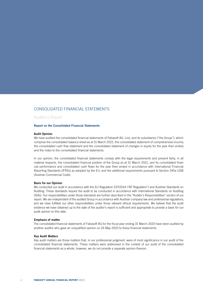# CONSOLIDATED FINANCIAL STATEMENTS

Auditor´s Report

# Report on the Consolidated Financial Statements

#### Audit Opinion

We have audited the consolidated financial statements of Fabasoft AG, Linz, and its subsidiaries ("the Group"), which comprise the consolidated balance sheet as at 31 March 2021, the consolidated statement of comprehensive income, the consolidated cash flow statement and the consolidated statement of changes in equity for the year then ended, and the notes to the consolidated financial statements.

In our opinion, the consolidated financial statements comply with the legal requirements and present fairly, in all material respects, the consolidated financial position of the Group as at 31 March 2021, and its consolidated financial performance and consolidated cash flows for the year then ended in accordance with International Financial Reporting Standards (IFRSs) as adopted by the EU, and the additional requirements pursuant to Section 245a UGB (Austrian Commercial Code).

#### Basis for our Opinion

We conducted our audit in accordance with the EU Regulation 537/2014 ("AP Regulation") and Austrian Standards on Auditing. These standards require the audit to be conducted in accordance with International Standards on Auditing (ISAs). Our responsibilities under those standards are further described in the "Auditor's Responsibilities" section of our report. We are independent of the audited Group in accordance with Austrian company law and professional regulations, and we have fulfilled our other responsibilities under those relevant ethical requirements. We believe that the audit evidence we have obtained up to the date of the auditor's report is sufficient and appropriate to provide a basis for our audit opinion on this date.

#### Emphasis of matter

The consolidated financial statements of Fabasoft AG for the fiscal year ending 31 March 2020 have been audited by another auditor who gave an unqualified opinion on 26 May 2020 to these financial statements.

## Key Audit Matters

Key audit matters are those matters that, in our professional judgment, were of most significance in our audit of the consolidated financial statements. These matters were addressed in the context of our audit of the consolidated financial statements as a whole, however, we do not provide a separate opinion thereon.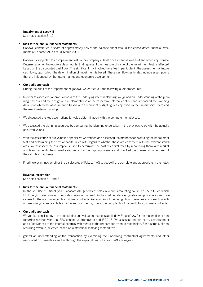# Impairment of goodwill

See notes section 5.1.2

## • Risk for the annual financial statements

Goodwill constituted a share of approximately 4% of the balance sheet total in the consolidated financial statements of Fabasoft AG as at 31 March 2021.

Goodwill is subjected to an impairment test by the company at least once a year as well as if and when appropriate. Determination of the recoverable amounts, that represent the measure of value of the impairment test, is effected based on the discounted cashflows. The significant risk involved here lies in particular in the assessment of future cashflows, upon which the determination of impairment is based. These cashflows estimates include assumptions that are influenced by the future market and economic development.

# • Our audit approach

During the audit of the impairment of goodwill we carried out the following audit procedures:

- In order to assess the appropriateness of the underlying internal planning, we gained an understanding of the planning process and the design and implementation of the respective internal controls and reconciled the planning data upon which the assessment is based with the current budget figures approved by the Supervisory Board and the medium-term planning.
- We discussed the key assumptions for value determination with the competent employees.
- We assessed the planning accuracy by comparing the planning undertaken in the previous years with the actually occurred values.
- With the assistance of our valuation specialists we verified and assessed the methods for executing the impairment test and determining the cost of capital rates with regard to whether these are consistent with the relevant standards. We assessed the assumptions used to determine the cost of capital rates by reconciling them with market and branch-specific benchmarks with regard to their appropriateness and checked the numerical correctness of the calculation scheme.
- Finally we examined whether the disclosures of Fabasoft AG to goodwill are complete and appropriate in the notes.

## Revenue recognition

See notes section 6.1 and 8

## • Risk for the annual financial statements

In the 2020/2021 fiscal year Fabasoft AG generated sales revenue amounting to kEUR 55,090, of which kEUR 26,431 are non-recurring sales revenue. Fabasoft AG has defined detailed guidelines, procedures and processes for the accounting of its customer contracts. Assessment of the recognition of revenue in connection with non-recurring revenue entails an inherent risk of error, due to the complexity of Fabasoft AG customer contracts.

# • Our audit approach

We verified consistency of the accounting and valuation methods applied by Fabasoft AG for the recognition of nonrecurring revenue with the IFRS conceptual framework and IFRS 15. We assessed the structure, establishment and effectiveness of the internal controls with regard to the process for revenue recognition. For a sample of nonrecurring revenue, selected based on a statistical sampling method, we:

• gained an understanding of the transaction by examining the underlying contractual agreements and other associated documents as well as through the explanations of Fabasoft AG employees;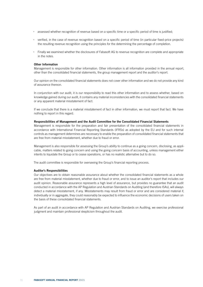- assessed whether recognition of revenue based on a specific time or a specific period of time is justified;
- verified, in the case of revenue recognition based on a specific period of time (in particular fixed-price projects) the resulting revenue recognition using the principles for the determining the percentage of completion.
- Finally we examined whether the disclosures of Fabasoft AG to revenue recognition are complete and appropriate in the notes.

#### Other Information

Management is responsible for other information. Other information is all information provided in the annual report, other than the consolidated financial statements, the group management report and the auditor's report.

Our opinion on the consolidated financial statements does not cover other information and we do not provide any kind of assurance thereon.

In conjunction with our audit, it is our responsibility to read this other information and to assess whether, based on knowledge gained during our audit, it contains any material inconsistencies with the consolidated financial statements or any apparent material misstatement of fact.

If we conclude that there is a material misstatement of fact in other information, we must report that fact. We have nothing to report in this regard.

#### Responsibilities of Management and the Audit Committee for the Consolidated Financial Statements

Management is responsible for the preparation and fair presentation of the consolidated financial statements in accordance with International Financial Reporting Standards (IFRSs) as adopted by the EU and for such internal controls as management determines are necessary to enable the preparation of consolidated financial statements that are free from material misstatement, whether due to fraud or error.

Management is also responsible for assessing the Group's ability to continue as a going concern, disclosing, as applicable, matters related to going concern and using the going concern basis of accounting, unless management either intents to liquidate the Group or to cease operations, or has no realistic alternative but to do so.

The audit committee is responsible for overseeing the Group's financial reporting process.

### Auditor's Responsibilities

Our objectives are to obtain reasonable assurance about whether the consolidated financial statements as a whole are free from material misstatement, whether due to fraud or error, and to issue an auditor's report that includes our audit opinion. Reasonable assurance represents a high level of assurance, but provides no guarantee that an audit conducted in accordance with the AP Regulation and Austrian Standards on Auditing (and therefore ISAs), will always detect a material misstatement, if any. Misstatements may result from fraud or error and are considered material if, individually or in aggregate, they could reasonably be expected to influence the economic decisions of users taken on the basis of these consolidated financial statements.

As part of an audit in accordance with AP Regulation and Austrian Standards on Auditing, we exercise professional judgment and maintain professional skepticism throughout the audit.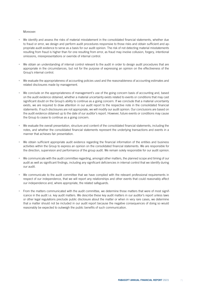## Moreover:

- We identify and assess the risks of material misstatement in the consolidated financial statements, whether due to fraud or error, we design and perform audit procedures responsive to those risks and obtain sufficient and appropriate audit evidence to serve as a basis for our audit opinion. The risk of not detecting material misstatements resulting from fraud is higher than for one resulting from error, as fraud may involve collusion, forgery, intentional omissions, misrepresentations or override of internal control.
- We obtain an understanding of internal control relevant to the audit in order to design audit procedures that are appropriate in the circumstances, but not for the purpose of expressing an opinion on the effectiveness of the Group's internal control.
- We evaluate the appropriateness of accounting policies used and the reasonableness of accounting estimates and related disclosures made by management.
- We conclude on the appropriateness of management's use of the going concern basis of accounting and, based on the audit evidence obtained, whether a material uncertainty exists related to events or conditions that may cast significant doubt on the Group's ability to continue as a going concern. If we conclude that a material uncertainty exists, we are required to draw attention in our audit report to the respective note in the consolidated financial statements. If such disclosures are not appropriate, we will modify our audit opinion. Our conclusions are based on the audit evidence obtained up to the date of our auditor's report. However, future events or conditions may cause the Group to cease to continue as a going concern.
- We evaluate the overall presentation, structure and content of the consolidated financial statements, including the notes, and whether the consolidated financial statements represent the underlying transactions and events in a manner that achieves fair presentation.
- We obtain sufficient appropriate audit evidence regarding the financial information of the entities and business activities within the Group to express an opinion on the consolidated financial statements. We are responsible for the direction, supervision and performance of the group audit. We remain solely responsible for our audit opinion.
- We communicate with the audit committee regarding, amongst other matters, the planned scope and timing of our audit as well as significant findings, including any significant deficiencies in internal control that we identify during our audit.
- We communicate to the audit committee that we have complied with the relevant professional requirements in respect of our independence, that we will report any relationships and other events that could reasonably affect our independence and, where appropriate, the related safeguards.
- From the matters communicated with the audit committee, we determine those matters that were of most significance in the audit i.e. key audit matters. We describe these key audit matters in our auditor's report unless laws or other legal regulations preclude public disclosure about the matter or when in very rare cases, we determine that a matter should not be included in our audit report because the negative consequences of doing so would reasonably be expected to outweigh the public benefits of such communication.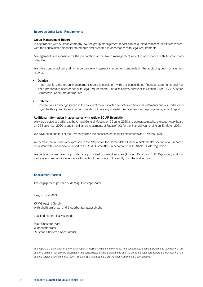## Report on Other Legal Requirements

#### Group Management Report

In accordance with Austrian company law, the group management report is to be audited as to whether it is consistent with the consolidated financial statements and prepared in accordance with legal requirements.

Management is responsible for the preparation of the group management report in accordance with Austrian company law.

We have conducted our audit in accordance with generally accepted standards on the audit of group management reports.

# • Opinion

In our opinion, the group management report is consistent with the consolidated financial statements and has been prepared in accordance with legal requirements. The disclosures pursuant to Section 243a UGB (Austrian Commercial Code) are appropriate.

#### • Statement

Based on our knowledge gained in the course of the audit of the consolidated financial statements and our understanding of the Group and its environment, we did not note any material misstatements in the group management report.

#### Additional Information in accordance with Article 10 AP Regulation

We were elected as auditors at the Annual General Meeting on 29 June 2020 and were appointed by the supervisory board on 25 September 2020 to audit the financial statements of Fabasoft AG for the financial year ending on 31 March 2021.

We have been auditors of the Company since the consolidated financial statements at 31 March 2021.

We declare that our opinion expressed in the "Report on the Consolidated Financial Statements" section of our report is consistent with our additional report to the Audit Committee, in accordance with Article 11 AP Regulation.

We declare that we have not provided any prohibited non-audit services (Article 5 Paragraph 1 AP Regulation) and that we have ensured our independence throughout the course of the audit, from the audited Group.

#### Engagement Partner

The engagement partner is Mr Mag. Christoph Karer.

Linz, 7 June 2021

KPMG Austria GmbH Wirtschaftsprüfungs- und Steuerberatungsgesellschaft

qualified electronically signed:

Mag. Christoph Karer Wirtschaftsprüfer (Austrian Chartered Accountant)

This report is a translation of the original report in German, which is solely valid. The consolidated financial statements together with our auditor's opinion may only be published if the consolidated financial statements and the group management report are identical with the audited version attached to this report. Section 281 Paragraph 2 UGB (Austrian Commercial Code) applies.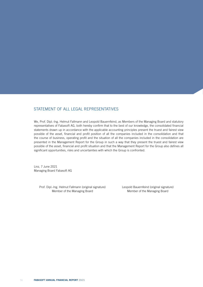# STATEMENT OF ALL LEGAL REPRESENTATIVES

We, Prof. Dipl.-Ing. Helmut Fallmann and Leopold Bauernfeind, as Members of the Managing Board and statutory representatives of Fabasoft AG, both hereby confirm that to the best of our knowledge, the consolidated financial statements drawn up in accordance with the applicable accounting principles present the truest and fairest view possible of the asset, financial and profit position of all the companies included in the consolidation and that the course of business, operating profit and the situation of all the companies included in the consolidation are presented in the Management Report for the Group in such a way that they present the truest and fairest view possible of the asset, financial and profit situation and that the Management Report for the Group also defines all significant opportunities, risks and uncertainties with which the Group is confronted.

Linz, 7 June 2021 Managing Board Fabasoft AG

> Prof. Dipl.-Ing. Helmut Fallmann (original signature) Leopold Bauernfeind (original signature) Member of the Managing Board Member of the Managing Board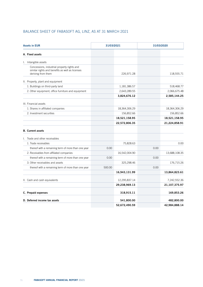# BALANCE SHEET OF FABASOFT AG, LINZ, AS AT 31 MARCH 2021

| <b>Assets in EUR</b>                                                                                                 |        | 31/03/2021    |      | 31/03/2020    |  |
|----------------------------------------------------------------------------------------------------------------------|--------|---------------|------|---------------|--|
| A. Fixed assets                                                                                                      |        |               |      |               |  |
| I. Intangible assets                                                                                                 |        |               |      |               |  |
| Concessions, industrial property rights and<br>similar rights and benefits as well as licenses<br>deriving from them |        | 226,971.28    |      | 118,555.71    |  |
| II. Property, plant and equipment                                                                                    |        |               |      |               |  |
| 1. Buildings on third-party land                                                                                     |        | 1,181,386.57  |      | 518,468.77    |  |
| 2. Other equipment, office furniture and equipment                                                                   |        | 2,643,289.55  |      | 2,066,675.48  |  |
|                                                                                                                      |        | 3,824,676.12  |      | 2,585,144.25  |  |
| III. Financial assets                                                                                                |        |               |      |               |  |
| 1. Shares in affiliated companies                                                                                    |        | 18,364,306.29 |      | 18,364,306.29 |  |
| 2. Investment securities                                                                                             |        | 156,852.66    |      | 156,852.66    |  |
|                                                                                                                      |        | 18,521,158.95 |      | 18,521,158.95 |  |
|                                                                                                                      |        | 22,572,806.35 |      | 21,224,858.91 |  |
| <b>B.</b> Current assets                                                                                             |        |               |      |               |  |
| I. Trade and other receivables                                                                                       |        |               |      |               |  |
| 1. Trade receivables                                                                                                 |        | 75,828.63     |      | 0.00          |  |
| thereof with a remaining term of more than one year                                                                  | 0.00   |               | 0.00 |               |  |
| 2. Receivables from affiliated companies                                                                             |        | 16,542,004.90 |      | 13,688,108.35 |  |
| thereof with a remaining term of more than one year                                                                  | 0.00   |               | 0.00 |               |  |
| 3. Other receivables and assets                                                                                      |        | 325,298.46    |      | 176,715.26    |  |
| thereof with a remaining term of more than one year                                                                  | 500.00 |               | 0.00 |               |  |
|                                                                                                                      |        | 16,943,131.99 |      | 13,864,823.61 |  |
| II. Cash and cash equivalents                                                                                        |        | 12,295,837.14 |      | 7,242,552.36  |  |
|                                                                                                                      |        | 29,238,969.13 |      | 21,107,375.97 |  |
| C. Prepaid expenses                                                                                                  |        | 318,915.11    |      | 169,853.26    |  |
| D. Deferred income tax assets                                                                                        |        | 541,800.00    |      | 482,800.00    |  |
|                                                                                                                      |        | 52,672,490.59 |      | 42,984,888.14 |  |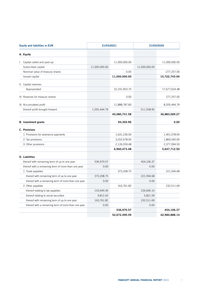| <b>Equity and liabilities in EUR</b>                | 31/03/2021    |               | 31/03/2020    |               |
|-----------------------------------------------------|---------------|---------------|---------------|---------------|
| A. Equity                                           |               |               |               |               |
| I. Capital called and paid-up                       |               | 11,000,000.00 |               | 11,000,000.00 |
| Subscribed capital                                  | 11,000,000.00 |               | 11,000,000.00 |               |
| Nominal value of treasury shares                    |               | 0.00          |               | $-277,257.00$ |
| Issued capital                                      |               | 11,000,000.00 |               | 10,722,743.00 |
| II. Capital reserves                                |               |               |               |               |
| Appropriated                                        |               | 22,191,953.75 |               | 17,677,624.48 |
| III. Reserves for treasury shares                   |               | 0.00          |               | 277,257.00    |
| IV. Accumulated profit                              |               | 11,888,787.83 |               | 8,205,444.79  |
| thereof profit brought forward                      | 1,055,444.79  |               | 511,558.95    |               |
|                                                     |               | 45,080,741.58 |               | 36,883,069.27 |
| <b>B.</b> Investment grants                         |               | 94,304.96     |               | 0.00          |
| C. Provisions                                       |               |               |               |               |
| 1. Provisions for severance payments                |               | 1,631,236.00  |               | 1,401,078.00  |
| 2. Tax provisions                                   |               | 3,202,678.00  |               | 1,869,540.00  |
| 3. Other provisions                                 |               | 2,126,559.48  |               | 2,377,094.50  |
|                                                     |               | 6,960,473.48  |               | 5,647,712.50  |
| D. Liabilities                                      |               |               |               |               |
| thereof with remaining term of up to one year       | 536,970.57    |               | 454,106.37    |               |
| thereof with a remaining term of more than one year | 0.00          |               | 0.00          |               |
| 1. Trade payables                                   |               | 373,208.75    |               | 221,594.68    |
| thereof with remaining term of up to one year       | 373,208.75    |               | 221,594.68    |               |
| thereof with a remaining term of more than one year | 0.00          |               | 0.00          |               |
| 2. Other payables                                   |               | 163,761.82    |               | 232,511.69    |
| thereof relating to tax payables                    | 153,949.39    |               | 226,690.10    |               |
| thereof relating to social securities               | 9,812.43      |               | 5,821.59      |               |
| thereof with remaining term of up to one year       | 163,761.82    |               | 232,511.69    |               |
| thereof with a remaining term of more than one year | 0.00          |               | 0.00          |               |
|                                                     |               | 536,970.57    |               | 454,106.37    |
|                                                     |               | 52,672,490.59 |               | 42,984,888.14 |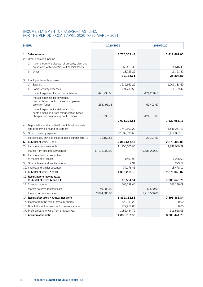## INCOME STATEMENT OF FABASOFT AG, LINZ, FOR THE PERIOD FROM 1 APRIL 2020 TO 31 MARCH 2021

| in EUR |                                                                                                                            |               | 2020/2021       |                | 2019/2020       |  |
|--------|----------------------------------------------------------------------------------------------------------------------------|---------------|-----------------|----------------|-----------------|--|
|        | 1. Sales revenue                                                                                                           |               | 3,775,309.43    |                | 3,412,862.00    |  |
| 2.     | Other operating income                                                                                                     |               |                 |                |                 |  |
|        | a) Income from the disposal of property, plant and<br>equipment with exception of financial assets                         |               | 68,413.32       |                | 14,616.49       |  |
|        | Other<br>b)                                                                                                                |               | 23,725.29       |                | 11,191.32       |  |
|        |                                                                                                                            |               | 92,138.61       |                | 25,807.81       |  |
| 3.     | Employee benefits expense                                                                                                  |               |                 |                |                 |  |
|        | Salaries<br>a)                                                                                                             |               | $-1,219,662.29$ |                | $-1,009,183.69$ |  |
|        | b) Social security expenses                                                                                                |               | -791,730.52     |                | $-611,799.42$   |  |
|        | thereof expenses for pension schemes                                                                                       | $-421,238.66$ |                 | -421,238.66    |                 |  |
|        | thereof expenses for severance<br>payments and contributions to employee<br>provision funds                                | $-234,495.13$ |                 | $-69,403.67$   |                 |  |
|        | thereof expenses for statutory social<br>contributions and from remuneration-based<br>charges and compulsory contributions | $-135,996.73$ |                 | $-121, 157.09$ |                 |  |
|        |                                                                                                                            |               | $-2,011,392.81$ |                | $-1,620,983.11$ |  |
| 4.     | Depreciation and amortisation of intangible assets<br>and property, plant and equipment                                    |               | $-1,740,803.20$ |                | $-1,541,261.23$ |  |
|        | 5. Other operating expenses                                                                                                |               | $-2,982,895.60$ |                | $-3,151,827.53$ |  |
|        | thereof taxes, provided these do not fall under item 13                                                                    | $-22,169.84$  |                 | $-23,397.51$   |                 |  |
|        | 6. Subtotal of items 1 to 5                                                                                                |               | $-2,867,643.57$ |                | $-2,875,402.06$ |  |
| 7.     | Income from investments                                                                                                    |               | 11,106,000.00   |                | 9,888,000.29    |  |
|        | thereof from affiliated companies                                                                                          | 11,106,000.00 |                 | 9,888,000.29   |                 |  |
| 8.     | Income from other securities<br>of the financial assets                                                                    |               | 1,401.90        |                | 1,246.92        |  |
|        | 9. Other interest and similar income                                                                                       |               | 12.94           |                | 279.72          |  |
|        | 10. Interest and similar expenses                                                                                          |               | $-74,176.46$    |                | $-13,478.11$    |  |
|        | 11. Subtotal of items 7 to 10                                                                                              |               | 11,033,238.38   |                | 9,876,048.82    |  |
|        | 12. Result before income taxes<br>(Subtotal of items 6 and 11)                                                             |               | 8,165,594.81    |                | 7,000,646.76    |  |
|        | 13. Taxes on income                                                                                                        |               | 666,538.00      |                | 693,239.08      |  |
|        | thereof deferred income taxes                                                                                              | 59,000.00     |                 | 47,500.00      |                 |  |
|        | thereof tax compensation                                                                                                   | 2,894,885.00  |                 | 2,715,536.08   |                 |  |
|        | 14. Result after taxes = Annual net profit                                                                                 |               | 8,832,132.81    |                | 7,693,885.84    |  |
|        | 15. Income from the sale of treasury shares                                                                                |               | 1,723,953.23    |                | 0.00            |  |
|        | 16. Dissolution of the reserves for treasury shares                                                                        |               | 277,257.00      |                | 0.00            |  |
|        | 17. Profit brought forward from previous year                                                                              |               | 1,055,444.79    |                | 511,558.95      |  |
|        | 18. Accumulated profit                                                                                                     |               | 11,888,787.83   |                | 8,205,444.79    |  |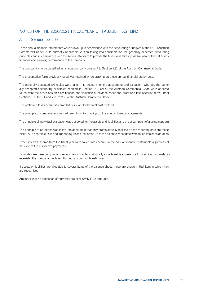# NOTES FOR THE 2020/2021 FISCAL YEAR OF FABASOFT AG, LINZ

# A General policies

These annual financial statements were drawn up in accordance with the accounting principles of the UGB (Austrian Commercial Code) in its currently applicable version taking into consideration the generally accepted accounting principles and in compliance with the general standard to provide the truest and fairest possible view of the net assets, finances and earning performance of the company.

The company is to be classified as a large company pursuant to Section 221 of the Austrian Commercial Code.

The presentation form previously used was retained when drawing up these annual financial statements.

The generally accepted principles were taken into account for the accounting and valuation. Whereby the generally accepted accounting principles codified in Section 201 (2) of the Austrian Commercial Code were adhered to, as were the provisions on classification and valuation of balance sheet and profit and loss account items under Sections 195 to 211 and 222 to 235 of the Austrian Commercial Code.

The profit and loss account is compiled pursuant to the total cost method.

The principle of completeness was adhered to while drawing up the annual financial statements.

The principle of individual evaluation was observed for the assets and liabilities and the assumption of a going concern.

The principle of prudence was taken into account in that only profits actually realised on the reporting date are recognised. All discernible risks and impending losses that arose up to the balance sheet date were taken into consideration.

Expenses and income from the fiscal year were taken into account in the annual financial statements regardless of the date of the respective payments.

Estimates are based on prudent assessments. Insofar statistically ascertainable experience from similar circumstances exists, the company has taken this into account in its estimates.

If assets or liabilities are allocated to several items of the balance sheet, these are shown in that item in which they are recognised.

Amounts with no indication of currency are exclusively Euro amounts.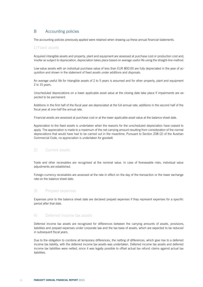# B Accounting policies

The accounting policies previously applied were retained when drawing up these annual financial statements.

## 1) Fixed assets

Acquired intangible assets and property, plant and equipment are assessed at purchase cost or production cost and, insofar as subject to depreciation, depreciation takes place based on average useful life using the straight-line method.

Low-value assets with an individual purchase value of less than EUR 800.00 are fully depreciated in the year of acquisition and shown in the statement of fixed assets under additions and disposals.

An average useful life for intangible assets of 2 to 5 years is assumed and for other property, plant and equipment 2 to 15 years.

Unscheduled depreciations on a lower applicable asset value at the closing date take place if impairments are expected to be permanent.

Additions in the first half of the fiscal year are depreciated at the full annual rate; additions in the second half of the fiscal year at one-half the annual rate.

Financial assets are assessed at purchase cost or at the lower applicable asset value at the balance sheet date.

Appreciation to the fixed assets is undertaken when the reasons for the unscheduled depreciation have ceased to apply. The appreciation is made to a maximum of the net carrying amount resulting from consideration of the normal depreciations that would have had to be carried out in the meantime. Pursuant to Section 208 (2) of the Austrian Commercial Code, no appreciation is undertaken for goodwill.

# 2) Current assets

Trade and other receivables are recognised at the nominal value. In case of foreseeable risks, individual value adjustments are established.

Foreign-currency receivables are assessed at the rate in effect on the day of the transaction or the lower exchange rate on the balance sheet date.

## 3) Prepaid expenses

Expenses prior to the balance sheet date are declared prepaid expenses if they represent expenses for a specific period after that date.

## 4) Deferred income tax assets

Deferred income tax assets are recognized for differences between the carrying amounts of assets, provisions, liabilities and prepaid expenses under corporate law and the tax base of assets, which are expected to be reduced in subsequent fiscal years.

Due to the obligation to combine all temporary differences, the netting of differences, which give rise to a deferred income tax liability, with the deferred income tax assets was undertaken. Deferred income tax assets and deferred income tax liabilities were netted, since it was legally possible to offset actual tax refund claims against actual tax liabilities.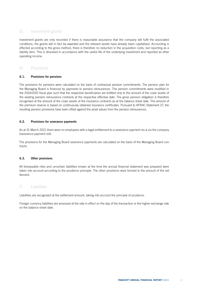# 5) Investment grants

Investment grants are only recorded if there is reasonable assurance that the company will fulfil the associated conditions, the grants will in fact be awarded and the relevant assets have already been capitalised. Accounting is effected according to the gross method, there is therefore no reduction in the acquisition costs, but reporting as a liability item. This is dissolved in accordance with the useful life of the underlying investment and reported as other operating income.

# 6) Provisions

## 6.1. Provisions for pensions

The provisions for pensions were calculated on the basis of contractual pension commitments. The pension plan for the Managing Board is financed by payments to pension reinsurances. The pension commitments were modified in the 2014/2015 fiscal year such that the respective beneficiaries are entitled only to the amount of the cover assets of the existing pension reinsurance contracts at the respective effective date. The gross pension obligation is therefore recognised at the amount of the cover assets of the insurance contracts as at the balance sheet date. The amount of the premium reserve is based on continuously obtained insurance certificates. Pursuant to AFRAC Statement 27, the resulting pension provisions have been offset against the asset values from the pension reinsurances.

## 6.2. Provisions for severance payments

As at 31 March 2021 there were no employees with a legal entitlement to a severance payment vis-à-vis the company (severance payment old).

The provisions for the Managing Board severance payments are calculated on the basis of the Managing Board contracts.

## 6.3. Other provisions

All foreseeable risks and uncertain liabilities known at the time the annual financial statement was prepared were taken into account according to the prudence principle. The other provisions were formed to the amount of the settlement.

## 7) Liabilities

Liabilities are recognized at the settlement amount, taking into account the principle of prudence.

Foreign-currency liabilities are assessed at the rate in effect on the day of the transaction or the higher exchange rate on the balance sheet date.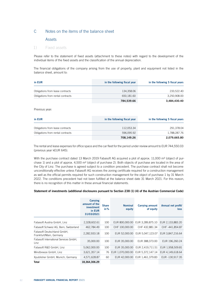# C Notes on the items of the balance sheet

## Assets

## 1) Fixed assets

Please refer to the statement of fixed assets (attachment to these notes) with regard to the development of the individual items of the fixed assets and the classification of the annual depreciation.

The financial obligations of the company arising from the use of property, plant and equipment not listed in the balance sheet, amount to:

| in EUR                            | in the following fiscal year | in the following 5 fiscal years |
|-----------------------------------|------------------------------|---------------------------------|
| Obligations from lease contracts  | 134.358.06                   | 233.522.40                      |
| Obligations from rental contracts | 650.181.60                   | 3,250,908.00                    |
|                                   | 784,539.66                   | 3.484.430.40                    |

Previous year:

| in EUR                            | in the following fiscal year | in the following 5 fiscal years |
|-----------------------------------|------------------------------|---------------------------------|
| Obligations from lease contracts  | 112.053.34                   | 291,378.04                      |
| Obligations from rental contracts | 596.095.92                   | 1,788,287.76                    |
|                                   | 708,149.26                   | 2,079,665.80                    |

The rental and lease expenses for office space and the car fleet for the period under review amount to EUR 744,550.03 (previous year kEUR 645).

With the purchase contract dated 13 March 2019 Fabasoft AG acquired a plot of approx. 11,000 m<sup>2</sup> (object of purchase 1) and a plot of approx. 4,500 m<sup>2</sup> (object of purchase 2). Both objects of purchase are located in the area of the City of Linz. The purchase is agreed subject to a condition precedent. The purchase contract shall not become unconditionally effective unless Fabasoft AG receives the zoning certificate required for a construction management as well as the official permits required for such construction management for the object of purchase 1 by 31 March 2022. The conditions precedent had not been fulfilled at the balance sheet date 31 March 2021. For this reason, there is no recognition of this matter in these annual financial statements.

### Statement of investments (additional disclosures pursuant to Section 238 (1) (4) of the Austrian Commercial Code)

|                                                       | <b>Carrying</b><br>amount of the<br>investment<br>in EUR<br>31/03/2021 | <b>Share</b><br>in % | <b>Nominal</b><br>equity | <b>Carrying amount</b><br>of equity | Annual net profit/<br>loss |
|-------------------------------------------------------|------------------------------------------------------------------------|----------------------|--------------------------|-------------------------------------|----------------------------|
| Fabasoft Austria GmbH, Linz                           | 2,328,602.61                                                           | 100                  | EUR 800,000.00           | EUR 3,289,875.10                    | EUR 2,133,883.20           |
| Fabasoft Schweiz AG, Bern, Switzerland                | 462,784.49                                                             | 100                  | CHF 100,000.00           | CHF 432,881.34                      | CHF-441,854.87             |
| Fabasoft Deutschland GmbH,<br>Frankfurt/Main, Germany | 2,282,933.18                                                           | 100                  | EUR 52,000.00            | EUR 5.047.123.07                    | EUR 3.847.216.64           |
| Fabasoft International Services GmbH,<br>Linz         | 35,000.00                                                              | 100                  | EUR 35,000.00            | EUR 388.373.00                      | EUR 196.260.24             |
| Fabasoft R&D GmbH, Linz                               | 5,062,000.00                                                           | 100                  | EUR 35,000.00            | EUR 2,419,711.51                    | EUR 1,958,509.81           |
| Mindbreeze GmbH, Linz                                 | 3,621,357.14                                                           | 76                   | EUR 1,070,000.00         | EUR 5,372,147.14                    | EUR 4,149,618.64           |
| Xpublisher GmbH, Munich, Germany                      | 4,571,628.87                                                           | 60                   | EUR 42,000.00            | EUR 1,461,379.83                    | EUR -130,917.35            |
| <b>Total</b>                                          | 18,364,306.29                                                          |                      |                          |                                     |                            |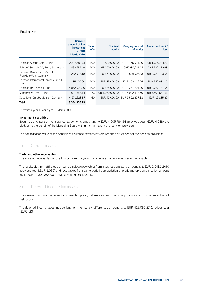### (Previous year)

|                                                       | <b>Carrying</b><br>amount of the<br>investment<br>in EUR<br>31/03/2020 | <b>Share</b><br>in % | <b>Nominal</b><br>equity | <b>Carrying amount</b><br>of equity | Annual net profit/<br><b>loss</b> |
|-------------------------------------------------------|------------------------------------------------------------------------|----------------------|--------------------------|-------------------------------------|-----------------------------------|
| Fabasoft Austria GmbH, Linz                           | 2,328,602.61                                                           | 100                  | EUR 800,000.00           | EUR 2,755,991.90                    | EUR 1,638,284.37                  |
| Fabasoft Schweiz AG, Bern, Switzerland                | 462,784.49                                                             | 100                  | CHF 100,000.00           | CHF 980,236.21                      | CHF 132,170.68                    |
| Fabasoft Deutschland GmbH,<br>Frankfurt/Main, Germany | 2,282,933.18                                                           | 100                  | EUR 52,000.00            | EUR 3.699.906.43                    | EUR 2.780.103.05                  |
| Fabasoft International Services GmbH,<br>Linz         | 35,000.00                                                              | 100                  | EUR 35,000.00            | EUR 192.112.76                      | EUR 142,681.10                    |
| Fabasoft R&D GmbH, Linz                               | 5,062,000.00                                                           | 100                  | EUR 35,000.00            | EUR 3,261,201.70                    | EUR 2,767,787.04                  |
| Mindbreeze GmbH, Linz                                 | 3,621,357.14                                                           | 76                   | EUR 1,070,000.00         | EUR 5,022,528.50                    | EUR 3,599,571.66                  |
| Xpublisher GmbH, Munich, Germany                      | 4,571,628.87                                                           | 60                   |                          | EUR 42,000.00 EUR 1,592,297.18      | EUR 15,885.29*                    |
| <b>Total</b>                                          | 18.364.306.29                                                          |                      |                          |                                     |                                   |

\*Short fiscal year 1 January to 31 March 2020

#### Investment securities

Securities and pension reinsurance agreements amounting to EUR 4,605,784.94 (previous year kEUR 4,088) are pledged to the benefit of the Managing Board within the framework of a pension provision.

The capitalisation value of the pension reinsurance agreements are reported offset against the pension provisions.

## 2) Current assets

## Trade and other receivables

There are no receivables secured by bill of exchange nor any general value allowances on receivables.

The receivables from affiliated companies include receivables from intergroup offsetting amounting to EUR 2,541,119.90 (previous year kEUR 1,085) and receivables from same-period appropriation of profit and tax compensation amounting to EUR 14,000,885.00 (previous year kEUR 12,604).

## 3) Deferred income tax assets

The deferred income tax assets concern temporary differences from pension provisions and fiscal seventh-part distribution.

The deferred income taxes include long-term temporary differences amounting to EUR 523,096.27 (previous year kEUR 423)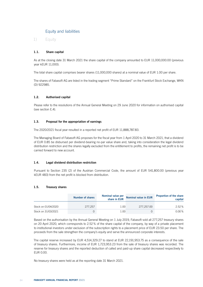# Equity and liabilities

1) Equity

## 1.1. Share capital

As at the closing date 31 March 2021 the share capital of the company amounted to EUR 11,000,000.00 (previous year kEUR 11,000).

The total share capital comprises bearer shares (11,000,000 shares) at a nominal value of EUR 1.00 per share.

The shares of Fabasoft AG are listed in the trading segment "Prime Standard" on the Frankfurt Stock Exchange, WKN (D) 922985.

## 1.2. Authorised capital

Please refer to the resolutions of the Annual General Meeting on 29 June 2020 for information on authorised capital (see section E.4).

## 1.3. Proposal for the appropriation of earnings

The 2020/2021 fiscal year resulted in a reported net profit of EUR 11,888,787.83.

The Managing Board of Fabasoft AG proposes for the fiscal year from 1 April 2020 to 31 March 2021, that a dividend of EUR 0.85 be disbursed per dividend-bearing no-par value share and, taking into consideration the legal dividend distribution restriction and the shares legally excluded from the entitlement to profits, the remaining net profit is to be carried forward to new account.

## 1.4. Legal dividend distribution restriction

Pursuant to Section 235 (2) of the Austrian Commercial Code, the amount of EUR 541,800.00 (previous year kEUR 483) from the net profit is blocked from distribution.

## 1.5. Treasury shares

|                     | Number of shares | Nominal value per<br>share in EUR | Nominal value in EUR | <b>Proportion of the share</b><br>capital |
|---------------------|------------------|-----------------------------------|----------------------|-------------------------------------------|
| Stock on 01/04/2020 | 277.257          | 1.00                              | 277.257.00           | 2.52%                                     |
| Stock on 31/03/2021 | O.               | 1.00                              |                      | $0.00\%$                                  |

Based on the authorisation by the Annual General Meeting on 1 July 2019, Fabasoft sold all 277,257 treasury shares on 20 April 2020, which corresponds to 2.52% of the share capital of the company, by way of a private placement to institutional investors under exclusion of the subscription rights to a placement price of EUR 23.50 per share. The proceeds from the sale strengthen the company's equity and serve the announced corporate interests.

The capital reserve increased by EUR 4,514,329.27 to stand at EUR 22,191,953.75 as a consequence of the sale of treasury shares. Furthermore, income of EUR 1,723,953.23 from the sale of treasury shares was recorded. The reserve for treasury shares and the reported deduction of called and paid-up share capital decreased respectively to EUR 0.00.

No treasury shares were held as at the reporting date 31 March 2021.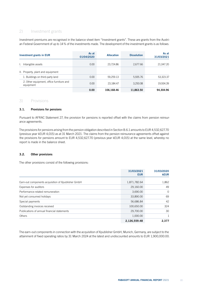# 2) Investment grants

Investment premiums are recognised in the balance sheet item "Investment grants". These are grants from the Austrian Federal Government of up to 14% of the investments made. The development of the investment grants is as follows:

| <b>Investment grants in EUR</b>                       | As at<br>01/04/2020 | <b>Allocation</b> | <b>Dissolution</b> | As at<br>31/03/2021 |
|-------------------------------------------------------|---------------------|-------------------|--------------------|---------------------|
| I. Intangible assets                                  | 0.00                | 23.724.86         | 2.677.66           | 21,047.20           |
| II. Property, plant and equipment                     |                     |                   |                    |                     |
| 1. Buildings on third-party land                      | 0.00                | 59.259.13         | 5.935.76           | 53,323.37           |
| 2. Other equipment, office furniture and<br>equipment | 0.00                | 23.184.47         | 3.250.08           | 19.934.39           |
|                                                       | 0.00                | 106,168.46        | 11,863.50          | 94.304.96           |

## 3) Provisions

## 3.1. Provisions for pensions

Pursuant to AFRAC Statement 27, the provision for pensions is reported offset with the claims from pension reinsurance agreements.

The provisions for pensions arising from the pension obligation described in Section B.6.1 amounts to EUR 4,532,627.70 (previous year kEUR 4,015) as at 31 March 2021. The claims from the pension reinsurance agreements offset against the provisions for pensions amount to EUR 4,532,627.70 (previous year kEUR 4,015) at the same level, whereby no report is made in the balance sheet.

## 3.2. Other provisions

The other provisions consist of the following provisions:

|                                                    | 31/03/2021<br><b>EUR</b> | 31/03/2020<br><b>kEUR</b> |
|----------------------------------------------------|--------------------------|---------------------------|
|                                                    |                          |                           |
| Earn-out components acquisition of Xpublisher GmbH | 1,871,782.64             | 1,862                     |
| Expenses for auditors                              | 29,160.00                | 49                        |
| Performance-related remuneration                   | 3,690.00                 | $\circ$                   |
| Not yet consumed holidays                          | 33,890.00                | 69                        |
| Special payments                                   | 56,686.84                | 42                        |
| Outstanding invoices received                      | 100,650.00               | 324                       |
| Publications of annual financial statements        | 29,700.00                | 30                        |
| <b>Others</b>                                      | 1,000.00                 |                           |
|                                                    | 2,126,559.48             | 2.377                     |

The earn-out components in connection with the acquisition of Xpublisher GmbH, Munich, Germany, are subject to the attainment of fixed operating ratios by 31 March 2024 at the latest and undiscounted amounts to EUR 1,900,000.00.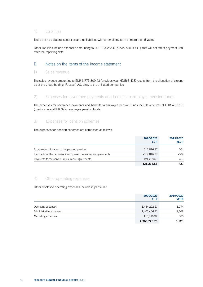# 4) Liabilities

There are no collateral securities and no liabilities with a remaining term of more than 5 years.

Other liabilities include expenses amounting to EUR 16,028.90 (previous kEUR 11), that will not affect payment until after the reporting date.

# D Notes on the items of the income statement

## 1) Sales revenue

The sales revenue amounting to EUR 3,775,309.43 (previous year kEUR 3,413) results from the allocation of expenses of the group holding, Fabasoft AG, Linz, to the affiliated companies.

# 2) Expenses for severance payments and benefits to employee pension funds

The expenses for severance payments and benefits to employee pension funds include amounts of EUR 4,337.13 (previous year kEUR 3) for employee pension funds.

# 3) Expenses for pension schemes

The expenses for pension schemes are composed as follows:

|                                                                  | 2020/2021<br><b>EUR</b> | 2019/2020<br><b>kEUR</b> |
|------------------------------------------------------------------|-------------------------|--------------------------|
| Expense for allocation to the pension provision                  | 517,816.77              | 504                      |
| Income from the capitalisation of pension reinsurance agreements | $-517,816.77$           | -504                     |
| Payments to the pension reinsurance agreements                   | 421.238.66              | 421                      |
|                                                                  | 421.238.66              |                          |

## 4) Other operating expenses

Other disclosed operating expenses include in particular:

|                         | 2020/2021<br><b>EUR</b> | 2019/2020<br><b>kEUR</b> |
|-------------------------|-------------------------|--------------------------|
| Operating expenses      | 1,444,202.51            | 1,274                    |
| Administrative expenses | 1,403,406.31            | 1,668                    |
| Marketing expenses      | 113,116.94              | 186                      |
|                         | 2,960,725.76            | 3,128                    |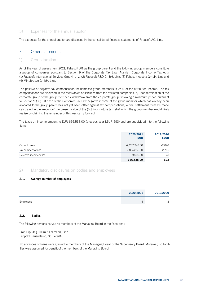# 5) Expenses for the annual auditor

The expenses for the annual auditor are disclosed in the consolidated financial statements of Fabasoft AG, Linz.

# E Other statements

## 1) Group taxation

As of the year of assessment 2021, Fabasoft AG as the group parent and the following group members constitute a group of companies pursuant to Section 9 of the Corporate Tax Law (Austrian Corporate Income Tax Act): (1) Fabasoft International Services GmbH, Linz, (2) Fabasoft R&D GmbH, Linz, (3) Fabasoft Austria GmbH, Linz and (4) Mindbreeze GmbH, Linz.

The positive or negative tax compensation for domestic group members is 25% of the attributed income. The tax compensations are disclosed in the receivables or liabilities from the affiliated companies. If, upon termination of the corporate group or the group member's withdrawal from the corporate group, following a minimum period pursuant to Section 9 (10) 1st dash of the Corporate Tax Law negative income of the group member which has already been allocated to the group parent has not yet been offset against tax compensations, a final settlement must be made calculated in the amount of the present value of the (fictitious) future tax relief which the group member would likely realise by claiming the remainder of this loss carry forward.

The taxes on income amount to EUR 666,538.00 (previous year kEUR 693) and are subdivided into the following items:

|                       | 2020/2021<br><b>EUR</b> | 2019/2020<br><b>kEUR</b> |
|-----------------------|-------------------------|--------------------------|
| Current taxes         | $-2,287,347.00$         | $-2,070$                 |
| Tax compensations     | 2,894,885.00            | 2,716                    |
| Deferred income taxes | 59,000.00               | 47                       |
|                       | 666,538.00              | 693                      |

# 2) Mandatory disclosures on bodies and employees

## 2.1. Average number of employees

|           | 2020/2021 | 2019/2020                          |
|-----------|-----------|------------------------------------|
| Employees |           | $\overline{\phantom{0}}$<br>$\sim$ |

### 2.2. Bodies

The following persons served as members of the Managing Board in the fiscal year:

Prof. Dipl.-Ing. Helmut Fallmann, Linz Leopold Bauernfeind, St. Peter/Au

No advances or loans were granted to members of the Managing Board or the Supervisory Board. Moreover, no liabilities were assumed for benefit of the members of the Managing Board.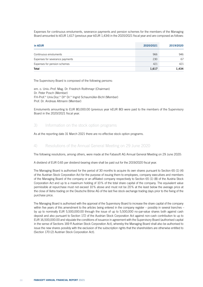Expenses for continuous emoluments, severance payments and pension schemes for the members of the Managing Board amounted to kEUR 1,617 (previous year kEUR 1,434) in the 2020/2021 fiscal year and are composed as follows:

| in kEUR                         | 2020/2021 | 2019/2020 |
|---------------------------------|-----------|-----------|
| Continuous emoluments           | 966       | 946       |
| Expenses for severance payments | 230       | 67        |
| Expenses for pension schemes    | 421       | 421       |
| Total                           | 1,617     | 1.434     |

The Supervisory Board is composed of the following persons:

em. o. Univ.-Prof. Mag. Dr. Friedrich Roithmayr (Chairman) Dr. Peter Posch (Member) FH-Prof.<sup>in</sup> Univ.Doz.in DIin Dr.in Ingrid Schaumüller-Bichl (Member) Prof. Dr. Andreas Altmann (Member)

Emoluments amounting to EUR 80,000.00 (previous year kEUR 80) were paid to the members of the Supervisory Board in the 2020/2021 fiscal year.

## 3) Information on the stock option programs

As at the reporting date 31 March 2021 there are no effective stock option programs.

# 4) Resolutions of the Annual General Meeting on 29 June 2020

The following resolutions, among others, were made at the Fabasoft AG Annual General Meeting on 29 June 2020:

A dividend of EUR 0.65 per dividend-bearing share shall be paid out for the 2019/2020 fiscal year.

The Managing Board is authorised for the period of 30 months to acquire its own shares pursuant to Section 65 (1) (4) of the Austrian Stock Corporation Act for the purpose of issuing them to employees, company executives and members of the Managing Board of the company or an affiliated company respectively to Section 65 (1) (8) of the Austria Stock Corporation Act and up to a maximum holding of 10% of the total share capital of the company. The equivalent value permissible at repurchase must not exceed 10% above and must not be 20% at the least below the average price at the close of Xetra trading on the Deutsche Börse AG of the last five stock exchange trading days prior to the fixing of the purchase price.

The Managing Board is authorised with the approval of the Supervisory Board to increase the share capital of the company within five years of this amendment to the articles being entered in the company register – possibly in several tranches – by up to nominally EUR 5,500,000.00 through the issue of up to 5,500,000 no-par-value shares both against cash deposit and also pursuant to Section 172 of the Austrian Stock Corporation Act against non-cash contribution to up to EUR 16,500,000.00 and stipulate the conditions of issuance in agreement with the Supervisory Board (authorised capital in the sense of Sections 169 ff Austrian Stock Corporation Act), whereby the Managing Board shall also be authorised to issue the new shares possibly with the exclusion of the subscription rights that the shareholders are otherwise entitled to (Section 170 (2) Austrian Stock Corporation Act).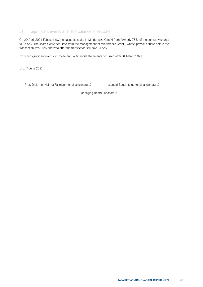# 5) Significant events after the balance sheet date

On 20 April 2021 Fabasoft AG increased its stake in Mindbreeze GmbH from formerly 76% of the company shares to 85.5%. The shares were acquired from the Management of Mindbreeze GmbH, whose previous share before the transaction was 24% and who after the transaction still hold 14.5%.

No other significant events for these annual financial statements occurred after 31 March 2021.

Linz, 7 June 2021

Prof. Dipl.-Ing. Helmut Fallmann (original signature) Leopold Bauernfeind (original signature)

Managing Board Fabasoft AG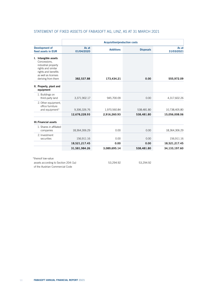| STATEMENT OF FIXED ASSETS OF FABASOFT AG, LINZ, AS AT 31 MARCH 2021 |  |  |
|---------------------------------------------------------------------|--|--|

|                                                                                                                                                       |                               | <b>Acquisition/production costs</b> |                          |                                |
|-------------------------------------------------------------------------------------------------------------------------------------------------------|-------------------------------|-------------------------------------|--------------------------|--------------------------------|
| Development of<br>fixed assets in EUR                                                                                                                 | As at<br>01/04/2020           | <b>Additions</b>                    | <b>Disposals</b>         | As at<br>31/03/2021            |
| I. Intangible assets<br>Concessions,<br>industrial property<br>rights and similar<br>rights and benefits<br>as well as licenses<br>deriving from them | 382,537.88                    | 173,434.21                          | 0.00                     | 555,972.09                     |
| II. Property, plant and<br>equipment                                                                                                                  |                               |                                     |                          |                                |
| 1. Buildings on<br>third-party land                                                                                                                   | 3,371,902.17                  | 945,700.09                          | 0.00                     | 4,317,602.26                   |
| 2. Other equipment,<br>office furniture<br>and equipment*                                                                                             | 9,306,326.76<br>12,678,228.93 | 1,970,560.84<br>2,916,260.93        | 538,481.80<br>538,481.80 | 10,738,405.80<br>15,056,008.06 |
| <b>III. Financial assets</b>                                                                                                                          |                               |                                     |                          |                                |
| 1. Shares in affiliated<br>companies                                                                                                                  | 18,364,306.29                 | 0.00                                | 0.00                     | 18,364,306.29                  |
| 2. Investment<br>securities                                                                                                                           | 156,911.16                    | 0.00                                | 0.00                     | 156,911.16                     |
|                                                                                                                                                       | 18,521,217.45                 | 0.00                                | 0.00                     | 18,521,217.45                  |
|                                                                                                                                                       | 31,581,984.26                 | 3,089,695.14                        | 538,481.80               | 34,133,197.60                  |
| *thereof low-value                                                                                                                                    |                               |                                     |                          |                                |
| assets according to Section 204 (1a)                                                                                                                  |                               | 53,294.92                           | 53,294.92                |                                |

of the Austrian Commercial Code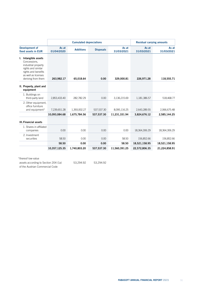|                                                                                                                                                       | <b>Cumulated depreciations</b> |                  | <b>Residual carrying amounts</b> |                     |                     |                     |
|-------------------------------------------------------------------------------------------------------------------------------------------------------|--------------------------------|------------------|----------------------------------|---------------------|---------------------|---------------------|
| <b>Development of</b><br>fixed assets in EUR                                                                                                          | As at<br>01/04/2020            | <b>Additions</b> | <b>Disposals</b>                 | As at<br>31/03/2021 | As at<br>31/03/2021 | As at<br>31/03/2021 |
| I. Intangible assets<br>Concessions,<br>industrial property<br>rights and similar<br>rights and benefits<br>as well as licenses<br>deriving from them | 263,982.17                     | 65,018.64        | 0.00                             | 329,000.81          | 226,971.28          | 118,555.71          |
| II. Property, plant and<br>equipment                                                                                                                  |                                |                  |                                  |                     |                     |                     |
| 1. Buildings on<br>third-party land                                                                                                                   | 2,853,433.40                   | 282,782.29       | 0.00                             | 3,136,215.69        | 1,181,386.57        | 518,468.77          |
| 2. Other equipment,<br>office furniture<br>and equipment*                                                                                             | 7,239,651.28                   | 1,393,002.27     | 537,537.30                       | 8,095,116.25        | 2,643,289.55        | 2,066,675.48        |
|                                                                                                                                                       | 10,093,084.68                  | 1,675,784.56     | 537,537.30                       | 11,231,331.94       | 3,824,676.12        | 2,585,144.25        |
| <b>III. Financial assets</b>                                                                                                                          |                                |                  |                                  |                     |                     |                     |
| 1. Shares in affiliated<br>companies                                                                                                                  | 0.00                           | 0.00             | 0.00                             | 0.00                | 18,364,306.29       | 18,364,306.29       |
| 2. Investment<br>securities                                                                                                                           | 58.50                          | 0.00             | 0.00                             | 58.50               | 156,852.66          | 156,852.66          |
|                                                                                                                                                       | 58.50                          | 0.00             | 0.00                             | 58.50               | 18,521,158.95       | 18,521,158.95       |
|                                                                                                                                                       | 10,357,125.35                  | 1,740,803.20     | 537,537.30                       | 11,560,391.25       | 22,572,806.35       | 21,224,858.91       |

assets according to Section 204 (1a) 53,294.92 53,294.92

of the Austrian Commercial Code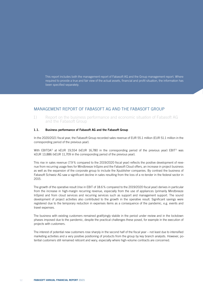This report includes both the management report of Fabasoft AG and the Group management report. Where required to provide a true and fair view of the actual assets, financial and profit situation, the information has been specified separately.

# MANAGEMENT REPORT OF FABASOFT AG AND THE FABASOFT GROUP

1) Report on the business performance and economic situation of Fabasoft AG and the Fabasoft Group

## 1.1. Business performance of Fabasoft AG and the Fabasoft Group

In the 2020/2021 fiscal year, the Fabasoft Group recorded sales revenue of EUR 55.1 million (EUR 51.1 million in the corresponding period of the previous year).

With EBITDA<sup>1)</sup> at kEUR 19,554 (kEUR 16,780 in the corresponding period of the previous year) EBIT<sup>1)</sup> was kEUR 13,886 (kEUR 11,709 in the corresponding period of the previous year).

This rise in sales revenue (7.9% compared to the 2019/2020 fiscal year) reflects the positive development of revenue from recurring usage fees for Mindbreeze InSpire and the Fabasoft Cloud offers, an increase in project business as well as the expansion of the corporate group to include the Xpublisher companies. By contrast the business of Fabasoft Schweiz AG saw a significant decline in sales resulting from the loss of a re-tender in the federal sector in 2015.

The growth of the operative result (rise in EBIT of 18.6% compared to the 2019/2020 fiscal year) derives in particular from the increase in high-margin recurring revenue, especially from the use of appliances (primarily Mindbreeze InSpire) and from cloud services and recurring services such as support and management support. The sound development of project activities also contributed to the growth in the operative result. Significant savings were registered due to the temporary reduction in expenses items as a consequence of the pandemic, e.g. events and travel expenses.

The business with existing customers remained gratifyingly stabile in the period under review and in the lockdown phases imposed due to the pandemic, despite the practical challenges these posed, for example in the execution of projects with customers.

The interest of potential new customers rose sharply in the second half of the fiscal year – not least due to intensified marketing activities and a very positive positioning of products from the group by key branch analysts. However, potential customers still remained reticent and wary, especially where high-volume contracts are concerned.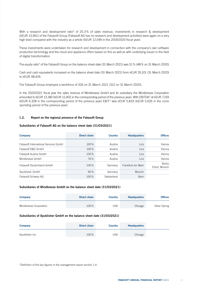With a research and development ratio<sup>1</sup> of 25.3% of sales revenue, investments in research & development (kEUR 13,961) of the Fabasoft Group (Fabasoft AG has no research and development activities) were again on a very high level compared with the industry as a whole (kEUR 12,049 in the 2019/2020 fiscal year).

These investments were undertaken for research and development in connection with the company's own software production technology and the cloud and appliance offers based on this as well as with underlying issues in the field of digital transformation.

The equity ratio<sup>1</sup> of the Fabasoft Group on the balance sheet date (31 March 2021) was 51 % (48% on 31 March 2020).

Cash and cash equivalents increased on the balance sheet date (31 March 2021) from kEUR 35,101 (31 March 2020) to kEUR 48,424.

The Fabasoft Group employed a workforce of 326 on 31 March 2021 (312 on 31 March 2020).

In the 2020/2021 fiscal year the sales revenue of Mindbreeze GmbH and its subsidiary the Mindbreeze Corporation amounted to kEUR 13,180 (kEUR 12,402 in the corresponding period of the previous year). With EBITDA<sup>1)</sup> at kEUR 7,159 (kEUR 6,328 in the corresponding period of the previous year) EBIT1) was kEUR 5,833 (kEUR 5,026 in the corresponding period of the previous year).

## 1.2. Report on the regional presence of the Fabasoft Group

## Subsidiaries of Fabasoft AG on the balance sheet date (31/03/2021)

| <b>Company</b>                       | <b>Direct share</b> | <b>Country</b> | <b>Headquarters</b> | <b>Offices</b>            |
|--------------------------------------|---------------------|----------------|---------------------|---------------------------|
| Fabasoft International Services GmbH | 100%                | Austria        | Linz                | Vienna                    |
| Fabasoft R&D GmbH                    | 100%                | Austria        | Linz                | Vienna                    |
| Fabasoft Austria GmbH                | 100%                | Austria        | Linz                | Vienna                    |
| Mindbreeze GmbH                      | 76%                 | Austria        | Linz                | Vienna                    |
| Fabasoft Deutschland GmbH            | 100%                | Germany        | Frankfurt am Main   | Berlin,<br>Erfurt, Munich |
| Xpublisher GmbH                      | 60%                 | Germany        | Munich              |                           |
| Fabasoft Schweiz AG                  | 100%                | Switzerland    | Bern                |                           |

#### Subsidiaries of Mindbreeze GmbH on the balance sheet date (31/03/2021)

| <b>Company</b>         | Direct share | <b>Country</b> | <b>Headquarters</b> | <b>Offices</b> |
|------------------------|--------------|----------------|---------------------|----------------|
| Mindbreeze Corporation | 100%         | JSA            | Chicago             | Silver Spring  |

#### Subsidiaries of Xpublisher GmbH on the balance sheet date (31/03/2021)

| <b>Company</b>  | <b>Direct share</b> | <b>Country</b> | <b>Headquarters</b> |  |
|-----------------|---------------------|----------------|---------------------|--|
| Xpublisher Inc. | 100%                | USA            | Chicago             |  |

<sup>1)</sup>Definition of the key figures in the management report section 1.4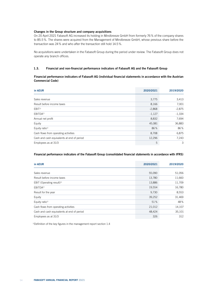## Changes in the Group structure and company acquisitions

On 20 April 2021 Fabasoft AG increased its holding in Mindbreeze GmbH from formerly 76% of the company shares to 85.5%. The shares were acquired from the Management of Mindbreeze GmbH, whose previous share before the transaction was 24% and who after the transaction still hold 14.5%.

No acquisitions were undertaken in the Fabasoft Group during the period under review. The Fabasoft Group does not operate any branch offices.

## 1.3. Financial and non-financial performance indicators of Fabasoft AG and the Fabasoft Group

## Financial performance indicators of Fabasoft AG (individual financial statements in accordance with the Austrian Commercial Code)

| in kEUR                                    | 2020/2021 | 2019/2020 |
|--------------------------------------------|-----------|-----------|
|                                            |           |           |
| Sales revenue                              | 3,775     | 3,413     |
| Result before income taxes                 | 8,166     | 7,001     |
| EBIT <sup>1</sup>                          | $-2,868$  | $-2,875$  |
| EBITDA <sup>1)</sup>                       | $-1,127$  | $-1,334$  |
| Annual net profit                          | 8,832     | 7,694     |
| Equity                                     | 45,081    | 36,883    |
| Equity ratio <sup>1)</sup>                 | 86%       | 86%       |
| Cash flows from operating activities       | 8,708     | 6,875     |
| Cash and cash equivalents at end of period | 12,296    | 7,243     |
| Employees as at 31/3                       | 5         | 3         |

## Financial performance indicators of the Fabasoft Group (consolidated financial statements in accordance with IFRS)

| in kEUR                                    | 2020/2021 | 2019/2020 |
|--------------------------------------------|-----------|-----------|
|                                            |           |           |
| Sales revenue                              | 55,090    | 51,056    |
| Result before income taxes                 | 13,780    | 11,660    |
| EBIT (Operating result) <sup>1)</sup>      | 13,886    | 11,709    |
| EBITDA <sup>1)</sup>                       | 19,554    | 16,780    |
| Result for the year                        | 9,730     | 8,553     |
| Equity                                     | 39,252    | 31,469    |
| Equity ratio <sup>1)</sup>                 | 51%       | 48%       |
| Cash flows from operating activities       | 21,012    | 14,107    |
| Cash and cash equivalents at end of period | 48,424    | 35,101    |
| Employees as at 31/3                       | 326       | 312       |

1) Definition of the key figures in the management report section 1.4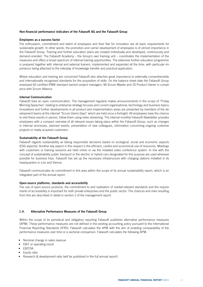### Non-financial performance indicators of the Fabasoft AG and the Fabasoft Group

#### Employees as a success factor

The enthusiasm, commitment and talent of employees and their flair for innovation are all basic requirements for sustainable growth. In other words, the promotion and carrier development of employees is of utmost importance in the Fabasoft Group. Training and further education plans are created individually and developed, continuously and demand-oriented. The Fabasoft Academy – the Group's own training unit – coordinates the implementation of the measures and offers a broad spectrum of internal training opportunities. The extensive further education programme is prepared together with internal and external trainers, implemented and expanded all the time, with particular importance being attached to the interplay of knowledge transfer and practical application.

Where education and training are concerned Fabasoft also attaches great importance to externally comprehensible and internationally recognised standards for the acquisition of skills. On the balance sheet date the Fabasoft Group employed 65 certified IPMA standard (senior) project managers, 96 Scrum Master and 25 Product Owner in compliance with Scrum Alliance.

### Internal Communication

Fabasoft lives an open communication. The management regularly makes announcements in the scope of "Friday Morning Speeches" relating to enterprise strategy focuses and current organisational, technology and business topics. Innovations and further developments in all product and implementation areas are presented by members of the development teams at the internal "Scrum Demo Days" which are held once a fortnight. All employees have the chance to visit these events in person, follow them using video streaming. The internal monthly Fabasoft Newsletter provides employees with a compact overview of all relevant issues taking place within the Fabasoft Group, such as changes in internal processes, planned events, presentation of new colleagues, information concerning ongoing customer projects or newly acquired customers.

#### Sustainability at the Fabasoft Group

Fabasoft regards sustainability as taking responsible decisions based on ecological, social and economic aspects (ESG aspects). Another key aspect in this respect is the efficient, careful and economical use of resources. Meetings with customers or training sessions are held online or via the installed video conference system. In line with the concept of sustainability public transport or the electric or hybrid cars designated for this purpose are used wherever possible for business trips. Fabasoft has set up the necessary infrastructure with charging stations installed in its headquarters in Linz and Vienna.

Fabasoft communicates its commitment in this area within the scope of its annual sustainability report, which is an integrated part of the annual report.

#### Open-source platforms, standards and accessibility

The use of open-source products, the commitment to and realisation of market-relevant standards and the requirements of accessibility is important for both private enterprises and the public sector. The chances and risks resulting from this are described in detail in section 2 of the management report.

## 1.4. Alternative Performance Measures of the Fabasoft Group

Within the scope of its periodical and obligatory reporting Fabasoft publishes alternative performance measures (APM). These performance measures are not defined in the existing accounting policy pursuant to the International Financial Reporting Standards (IFRS). Fabasoft calculates the APM with the aim of enabling comparability of the performance measures over time or a sectorial comparison. Fabasoft calculates the following APM:

- Nominal change in sales revenue
- EBIT or operating result
- EBITDA
- Equity ratio
- Research & development ratio (will be published in the full annual report)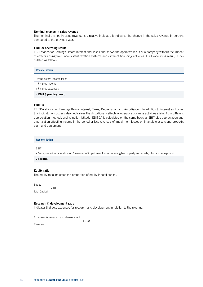#### Nominal change in sales revenue

The nominal change in sales revenue is a relative indicator. It indicates the change in the sales revenue in percent compared to the previous year.

#### EBIT or operating result

EBIT stands for Earnings Before Interest and Taxes and shows the operative result of a company without the impact of effects arising from inconsistent taxation systems and different financing activities. EBIT (operating result) is calculated as follows:

| Reconciliation              |
|-----------------------------|
| Result before income taxes  |
| - Finance income            |
| + Finance expenses          |
| $=$ EBIT (operating result) |

#### EBITDA

EBITDA stands for Earnings Before Interest, Taxes, Depreciation and Amortisation. In addition to interest and taxes this indicator of success also neutralises the distortionary effects of operative business activities arising from different depreciation methods and valuation latitude. EBITDA is calculated on the same basis as EBIT plus depreciation and amortisation affecting income in the period or less reversals of impairment losses on intangible assets and property, plant and equipment.

Reconciliation

#### EBIT

+ / – depreciation / amortisation / reversals of impairment losses on intangible property and assets, plant and equipment

 $=$  EBITDA

## Equity ratio

The equity ratio indicates the proportion of equity in total capital.

Equity x 100 Total Capital

Research & development ratio

Indicator that sets expenses for research and development in relation to the revenue.

Expenses for research and development

Revenue

x 100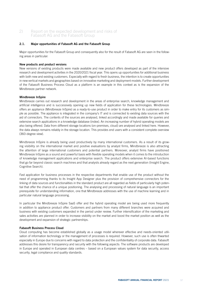# 2) Report on the expected development and risks of Fabasoft AG and the Fabasoft Group

## 2.1. Major opportunities of Fabasoft AG and the Fabasoft Group

Major opportunities for the Fabasoft Group and consequently also for the result of Fabasoft AG are seen in the following areas in particular:

### New products and product versions

New versions of existing products were made available and new product offers developed as part of the intensive research and development activities in the 2020/2021 fiscal year. This opens up opportunities for additional business with both new and existing customers. Especially with regard to fresh business, the intention is to create opportunities in new vertical markets and geographies based on innovative marketing and deployment models. Further development of the Fabasoft Business Process Cloud as a platform is an example in this context as is the expansion of the Mindbreeze partner network.

### Mindbreeze InSpire

Mindbreeze carries out research and development in the areas of enterprise search, knowledge management and artificial intelligence and is successively opening up new fields of application for these technologies. Mindbreeze offers an appliance (Mindbreeze InSpire) as a ready-to-use product in order to make entry for its customers as simple as possible. The appliance is integrated in the company's IT and is connected to existing data sources with the aid of connectors. The contents of the sources are analysed, linked accordingly and made available for queries and extensive search applications in a knowledge database (index). An increasing number of hybrid operating models are also being offered. Data from different storage locations (on-premises, cloud) are analysed and linked here. However, the data always remains reliably in the storage location. This provides end users with a consistent complete overview (360-degree view).

Mindbreeze InSpire is already being used productively by many international customers. As a result of its growing visibility on the international market and positive evaluations by analyst firms, Mindbreeze is also attracting the attention of large international customers and potential partners. Moreover, analyst firms have positioned Mindbreeze InSpire as a sound and powerful basis with flexible operating models when it comes to the introduction of knowledge management applications and enterprise search. The product offers extensive AI-based functions that go far beyond classic search machines and that analysts already regard as the next generation (Insight Engine, Cognitive Search).

Fast application for business processes in the respective departments that enable use of the product without the need of programming thanks to its Insight App Designer plus the provision of comprehensive connectors for the linking of data sources and functionalities in the standard product are all regarded as fields of particularly high potential that offer the chance of a unique positioning. The analysing and processing of natural language is an important prerequisite for understanding information, one that Mindbreeze addresses with the use of machine learning and in particular natural language processing.

In particular the Mindbreeze InSpire SaaS offer and the hybrid operating model are being used more frequently in addition to appliance product offer. Customers and partners from many different branches were acquired and business with existing customers expanded in the period under review. Further intensification of the marketing and sales activities are planned in order to increase visibility on the market and boost the market position as well as the development and expansion of strategic partnerships.

## Fabasoft Business Process Cloud

Cloud computing has become established globally as a usage model wherever effective and needs-oriented utilisation of information technology or the management of processes is required. However, such use is often thwarted especially in Europe due to concerns with regard to data protection and the confidentiality of corporate data. Fabasoft addresses this desire for transparency and security with the following aspects: The software products are developed in Europe and operated in European data centres – based on a European values system for data security, access security, legal compliance and quality standards.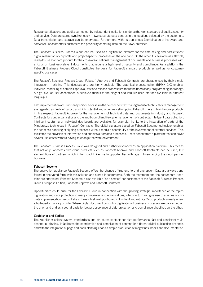Regular certifications and audits carried out by independent institutions endorse the high standards of quality, security and service. Data are stored synchronously in two separate data centres in the locations selected by the customers. Data transmission and storage can be encrypted. Furthermore, with its appliances (combination of hardware and software) Fabasoft offers customers the possibility of storing data on their own premises.

The Fabasoft Business Process Cloud can be used as a digitisation platform for the time-saving and cost-efficient digital realisation of corporate and project-specific processes on the one hand. On the other it is available as a flexible, ready-to-use standard product for the cross-organisational management of documents and business processes with a focus on business-relevant documents that require a high level of security and compliance. As a platform the Fabasoft Business Process Cloud constitutes the basis for Fabasoft standard products as well as for customerspecific use cases.

The Fabasoft Business Process Cloud, Fabasoft Approve and Fabasoft Contracts are characterised by their simple integration in existing IT landscapes and are highly scalable. The graphical process editor (BPMN 2.0) enables individual modelling of complex approval, test and release processes without the need of any programming knowledge. A high level of user acceptance is achieved thanks to the elegant and intuitive user interface available in different languages.

Fast implementation of customer-specific use cases in the fields of contract management or technical data management are regarded as fields of particularly high potential and a unique selling point. Fabasoft offers out-of-the-box products in this respect: Fabasoft Approve for the management of technical data and documents in industry and Fabasoft Contracts for contract analytics and the audit-compliant life-cycle management of contracts. Intelligent data collection, intelligent capturing or individual dashboards are available, for example, thanks to the integration of parts of the Mindbreeze technology in Fabasoft Contracts. The digital signature based on Fabasoft Secomo technology enables the seamless handling of signing processes without media discontinuity or the involvement of external services. This facilitates the provision of information and enables automated processes. Users benefit from a platform that can cover several use cases without having to change the work environment.

The Fabasoft Business Process Cloud was designed and further developed as an application platform. This means that not only Fabasoft's own cloud products such as Fabasoft Approve and Fabasoft Contracts can be used, but also solutions of partners, which in turn could give rise to opportunities with regard to enhancing the cloud partner business.

#### Fabasoft Secomo

The encryption appliance Fabasoft Secomo offers the chance of true end-to-end encryption. Data are always transferred in encrypted form with this solution and stored in teamrooms. Both the teamroom and the documents it contains are encrypted. Fabasoft Secomo is also available "as a service" for customers of the Fabasoft Business Process Cloud Enterprise Edition, Fabasoft Approve and Fabasoft Contracts.

Opportunities could arise for the Fabasoft Group in connection with the growing strategic importance of the topics digitisation and data protection in many companies and organisations, which in turn will give rise to a series of concrete implementation needs. Fabasoft sees itself well positioned in this field and with its Cloud products already offers a high-performance portfolio: Where digital document control or digitisation of business processes are concerned on the one hand and as a sound basis for better observance of data protection and compliance directives on the other.

#### Xpublisher and Xeditor

The Xpublisher editing system standardises and structures contents for high-performance, fast and consistent multichannel publishing. It facilitates the coordination and compilation of content for different digital publication channels and with the integration of page and book planning enables simple production of magazines, books and documentation.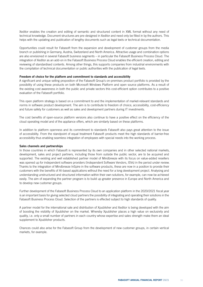Xeditor enables the creation and editing of semantic and structured content in XML format without any need of technical knowledge. Document structures are pre-designed in Xeditor and need only be filled in by the authors. This helps with the updating and publication of lengthy documents such as legal texts or technical documentation.

Opportunities could result for Fabasoft from the expansion and development of customer groups from the media branch or publishing in Germany, Austria, Switzerland and North America. Attractive usage and combination options are also envisioned in several Fabasoft business segments – in particular the Fabasoft Business Process Cloud. The integration of Xeditor as an add-on in the Fabasoft Business Process Cloud enables the efficient creation, editing and reviewing of standardised contents. Among other things, this supports companies from industrial environments with the compilation of technical documentation or public authorities with the publication of legal texts.

#### Freedom of choice for the platform and commitment to standards and accessibility

A significant and unique selling proposition of the Fabasoft Group's on-premises product portfolio is provided by the possibility of using these products on both Microsoft Windows Platform and open source platforms. As a result of the existing cost awareness in both the public and private sectors this cost-efficient option contributes to a positive evaluation of the Fabasoft portfolio.

This open platform strategy is based on a commitment to and the implementation of market-relevant standards and norms in software product development. The aim is to contribute to freedom of choice, accessibility, cost-efficiency and future safety for customers as well as sales and development partners during IT investments.

The cost benefits of open-source platform versions also continue to have a positive effect on the efficiency of the cloud operating model and of the appliance offers, which are similarly based on these platforms.

In addition to platform openness and its commitment to standards Fabasoft also pays great attention to the issue of accessibility. From the standpoint of equal treatment Fabasoft products meet the high standards of barrier-free accessibility thus enabling seamless integration of employees with special needs into the working process.

#### Sales channels and partnerships

In those countries in which Fabasoft is represented by its own companies and in other selected national markets, development, sales and project partners, including those from outside the public sector, are to be acquired and supported. The existing and well established partner model of Mindbreeze with its focus on value-added resellers was opened up for independent software providers (Independent Software Vendors, ISVs) in the period under review. Thanks to the integration of Mindbreeze InSpire in the software products, these are now in a position to provide their customers with the benefits of AI-based applications without the need for a long development project. Analysing and understanding unstructured and structured information within their own solutions, for example, can now be achieved easily. The aim of expanding the partner program is to build up greater presence in Europe and North America and to develop new customer groups.

Further development of the Fabasoft Business Process Cloud to an application platform in the 2020/2021 fiscal year is an important basis for giving selected cloud partners the possibility of integrating and operating their solutions in the Fabasoft Business Process Cloud. Selection of the partners is effected subject to high standards of quality.

A partner model for the international sale and distribution of Xpublisher and Xeditor is being developed with the aim of boosting the visibility of Xpublisher on the market. Whereby Xpublisher places a high value on exclusivity and quality, i.e. only a small number of partners in each country whose expertise and sales strength make them an ideal supplement to Xpublisher products.

Chances could also arise for the Fabasoft Group from the development of new customer groups, in certain vertical markets, for example.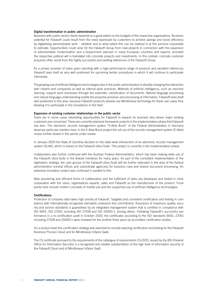#### Digital transformation in public administration

Business with public sector clients depends to a great extent on the budgets of the respective organisations. Business potential for Fabasoft could result from the need expressed by customers to achieve savings and boost efficiency by digitalising administrative work – whether and to what extent this can be realised is at this juncture impossible to estimate. Opportunities could arise for the Fabasoft Group from new projects in connection with the expansion of administrative modernisation and e-Government planned in many European countries and beyond, provided the respective political will is translated into concrete projects and investments. In this context, concrete customer enquiries often result from the highly successful and existing references of the Fabasoft Group.

As a proven provider of many years standing with a high-performance range of products and excellent references, Fabasoft sees itself as very well positioned for upcoming tender procedures in which it will continue to participate intensively.

The growing use of artificial intelligence technologies also in the public administration is steadily changing the interaction with citizens and companies as well as internal work practices. Methods of artificial intelligence, such as machine learning, support work processes through the automatic classification of documents. Natural language processing and natural language understanding enable the proactive provision and processing of information. Fabasoft sees itself well positioned in this area, because Fabasoft products already use Mindbreeze technology for these use cases thus allowing it to participate in the innovations in this field.

#### Expansion of existing customer relationships in the public sector

There are in some cases interesting opportunities for Fabasoft to expand its business also where major existing customers are concerned. There are currently extensive framework projects in the implementation phase that Fabasoft has won. The electronic records management system "E-Akte Bund" of the Federal Administration in Germany deserves particular mention here. In the E-Akte Bund project the roll-out of the records management system (E-Akte) moves further ahead in the period under review.

In January 2020 the State of Carinthia decided on the state-wide introduction of an electronic records management system (ELAK), which is based on the Fabasoft eGov-Suite. This project is currently in the implementation phase.

Collaboration was further continued with the Austrian Federal Administration, which has been making wide use of the Fabasoft eGov-Suite in the federal ministries for many years. As part of the consistent implementation of the digitisation strategy, the user groups of the Fabasoft eGov-Suite will be further extended in the area of the federal administration (central offices and subordinate agencies) for business case and shared document processing. An extensive innovation project was continued in parallel to this.

New pioneering and efficient forms of collaboration and the fulfilment of tasks are developed and tested in close cooperation with the users, organisations experts, sales and Fabasoft as the manufacturer of the product. Focal points here include modern concepts of mobile use and the supportive use of artificial intelligence technologies.

#### **Certifications**

Protection of company data takes high priority at Fabasoft. Targeted and consistent certification and testing in compliance with internationally recognised standards underpins this commitment. Assurance of maximum quality, security and service standards is guaranteed by an integrated management system that is certified in compliance with ISO 9001, ISO 27001 including ISO 27018 and ISO 20000-1, among others. Following Fabasoft's successful performance in a re-certification audit in October 2020, the certificates according to the ISO standards 9001, 27001 including 27018 and 20000-1 were renewed for the another three years by accredited certification bodies.

On a product level this certification strategy was extended to include exacting certification and testing for the Fabasoft Business Process Cloud and for Mindbreeze InSpire SaaS:

The C5 certificate pursuant to the requirements of the catalogue of requirements C5:2020, issued by the BSI (Federal Office for Information Security) is a recognized and reliable substantiation of the high level of information security of the Fabasoft Cloud and of Mindbreeze InSpire SaaS.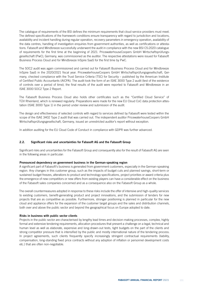The catalogue of requirements of the BSI defines the minimum requirements that cloud service providers must meet. The defined specifications of the framework conditions ensure transparency with regard to jurisdiction and locations, availability and incident handling during regular operation, recovery parameters in emergency operation, availability of the data centres, handling of investigation enquiries from government authorities, as well as certifications or attestations. Fabasoft and Mindbreeze successfully underwent the audit in compliance with the new BSI C5:2020 catalogue of requirements for the first time at the beginning of 2021. PricewaterhouseCoopers GmbH Wirtschaftsprüfungsgesellschaft (PwC), Germany, was commissioned as the auditor. The respective attestations were issued for Fabasoft Business Process Cloud and for Mindbreeze InSpire SaaS for the first time by PwC.

The SOC2 audit was again commissioned and carried out for Fabasoft Business Process Cloud and for Mindbreeze InSpire SaaS in the 2020/2021 fiscal year. PricewaterhouseCoopers GmbH Wirtschaftsprüfungsgesellschaft, Germany, checked compliance with the Trust Service Criteria (TSC) for Security – published by the American Institute of Certified Public Accountants (AICPA). The audit took the form of an ISAE 3000 Type 2 audit (test of the existence of controls over a period of time); the final results of the audit were reported to Fabasoft and Mindbreeze in an ISAE 3000 SOC2 Type 2 Report.

The Fabasoft Business Process Cloud also holds other certificates such as the "Certified Cloud Service" of TÜV Rheinland, which is renewed regularly. Preparations were made for the new EU Cloud CoC data protection attestation (ISAE 3000 Type 1) in the period under review and submission of the audit.

The design and effectiveness of selected controls with regard to services defined by Fabasoft were tested within the scope of the ISAE 3402 Type 2 audit that was carried out. The independent auditor PricewaterhouseCoopers GmbH Wirtschaftsprüfungsgesellschaft, Germany, issued an unrestricted auditor's report without exception.

In addition auditing for the EU Cloud Code of Conduct in compliance with GDPR was further advanced.

### 2.2. Significant risks and uncertainties for Fabasoft AG and the Fabasoft Group

Significant risks and uncertainties for the Fabasoft Group and consequently also for the result of Fabasoft AG are seen in the following areas in particular:

#### Pronounced dependency on government business in the German-speaking region

A significant part of Fabasoft's business is generated from government customers, especially in the German-speaking region. Any changes in this customer group, such as the impacts of budget cuts and planned savings, short-term or sustained budget freezes, alterations to product and technology specifications, project priorities or award criteria plus the emergence of new competitors or new offers from existing players can have a considerable effect on the business of the Fabasoft sales companies concerned and as a consequence also on the Fabasoft Group as a whole.

The overall countermeasures adopted in response to these risks include the offer of intensive and high-quality services to existing customers, benefit-generating product and project innovations, and the submission of tenders for new projects that are as competitive as possible. Furthermore, stronger positioning is planned in particular for the new cloud and appliance offers for the expansion of the customer target groups and the sales and distribution channels, both over and above the public sector and beyond the geographical focus on Europe adopted to date.

#### Risks in business with public sector clients

Projects in the public sector are characterised by lengthy lead times and decision-making processes, complex, highly formal and extensive tendering requirements, allocation procedures that present a challenge on a legal, technical and human level as well as elaborate, expensive and long-drawn-out tests, tight budgets on the part of the clients and strong competitor pressure that is intensified by the public and mostly international nature of the tendering process. In project agreements, such clients frequently specify increasingly stringent contractual requirements (liability, compensation, long-standing fixed price contracts without any adoption of inflation or personnel development costs etc.) that are often non-negotiable.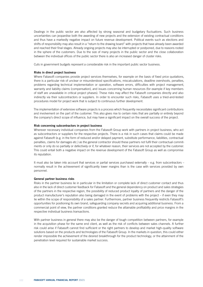Dealings in the public sector are also affected by strong seasonal and budgetary fluctuations. Such business uncertainties can jeopardise both the awarding of new projects and the extension of existing contractual conditions and thus have a markedly negative impact on future revenue development. Political events such as elections and shifts of responsibility may also result in a "return to the drawing board" with projects that have already been awarded and reached their final stages. Already ongoing projects may also be interrupted or postponed, due to reasons rooted in the sphere of the customers. Due to the size of many projects in the public sector and the close collaboration between the individual offices of the public sector there is also an increased danger of cluster risks.

Cuts in government budgets represent a considerable risk in the important public sector business.

### Risks in direct project business

Where Fabasoft companies provide project services themselves, for example on the basis of fixed price quotations, there is a particular risk of unclear or misunderstood specifications, miscalculations, deadline overshoots, penalties, problems regarding technical implementation or operation, software errors, difficulties with project management, warranty and liability claims (compensation), and issues concerning human resources (for example if key members of staff are unavailable in critical project phases). These risks may affect the Fabasoft companies directly and also indirectly via their subcontractors or suppliers. In order to encounter such risks, Fabasoft uses a tried-and-tested procedures model for project work that is subject to continuous further development.

The implementation of extensive software projects is a process which frequently necessitates significant contributions and involvement on the part of the customer. This also gives rise to certain risks that are partially or entirely beyond the company's direct scope of influence, but may have a significant impact on the overall success of the project.

#### Risk concerning subcontractors in project business

Wherever necessary individual companies from the Fabasoft Group work with partners in project business, who act as subcontractors or suppliers for the respective projects. There is a risk in such cases that claims could be made against Fabasoft (e.g. in the form of reduced and/or delayed payment, substitute performance, liabilities, contractual penalties, claims for damages etc.) as the general contractor should these partners not fulfil their contractual commitments or only do so partially or defectively or if, for whatever reason, their services are not accepted by the customer. This could entail both a negative impact on the revenue development of the Fabasoft Group as well as compromise its reputation.

It must also be taken into account that services or partial services purchased externally – e.g. from subcontractors – normally result in the achievement of significantly lower margins than is the case with services provided by own personnel.

#### General partner business risks

Risks in the partner business lie in particular in the limitation or complete lack of direct customer contact and thus also in the lack of direct customer feedback for Fabasoft and the general dependency on product and sales strategies of the partners in the respective region, the possibility of reduced product loyalty of partners and the danger of the product manufacturer's reputation also being damaged in the event of problems with the project – if even they may lie within the scope of responsibility of a sales partner. Furthermore, partner business frequently restricts Fabasoft's opportunities for positioning its own brand, safeguarding company secrets and acquiring additional business. From a commercial point of view, the partner conditions granted reduce the attainable profitability and price margins in the respective individual business transactions.

With partner business in general there may also be the danger of tough competition between partners, for example in the acquisition phase for the same end client, as well as the risk of conflicts between sales channels. A further risk could arise if Fabasoft cannot find sufficient or the right partners to develop and market high-quality software solutions based on the products and technologies of the Fabasoft Group. In the markets in question, this could either render impossible the achievement of the desired breakthrough for the product technology, or the attainment of the penetration level required for sustainable market success.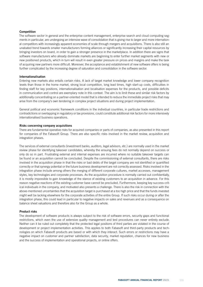### Competition

The software sector in general and the enterprise content management, enterprise search and cloud computing segments in particular, are undergoing an intensive wave of consolidation that is giving rise to larger and more international competitors with increasingly apparent economies of scale through mergers and acquisitions. There is also still an unabated trend towards smaller manufacturers forming alliances or significantly increasing their capital resources by bringing investors on board, in order to gain a stronger presence in the marketplace. In addition there are signs that software manufacturers who already dominate markets are beginning to enter further market segments with new or new positioned products, which in turn will result in even greater pressure on prices and margins and make the task of acquiring new partners more difficult. Moreover, the acceptance and establishment of new software offers is being further complicated by the increasing degree of saturation and consolidation in the software sector.

#### Internationalisation

Entering new markets also entails certain risks. A lack of target market knowledge and lower company recognition levels than those in the home market, strong local competition, long lead times, high start-up costs, difficulties in finding staff for key positions, internationalisation and localisation expenses for the products, and possible deficits in communication and control are exemplary note in this context. The aim is to limit these and similar risk factors by additionally concentrating on a partner-oriented model that is intended to reduce the immediate project risks that may arise from the company's own tendering in complex project situations and during project implementation.

General political and economic framework conditions in the individual countries, in particular trade restrictions and contradictions or overlapping in regulatory or tax provisions, could constitute additional risk factors for more intensively internationalised business operations.

#### Risks concerning company acquisitions

There are fundamental operative risks for acquired companies or parts of companies, as also presented in this report for companies of the Fabasoft Group. There are also specific risks involved in the market review, acquisition and integration phases.

The services of external consultants (investment banks, auditors, legal advisors, etc.) are normally used in the market review phase for identifying takeover candidates, whereby the ensuing fees do not normally depend on success or only do so in part. Frustrating external and internal expenses are incurred where no suitable takeover targets can be found or an acquisition cannot be concluded. Despite the commissioning of external consultants, there are risks involved in the acquisition phase in that the risks or bad debts of the target company are not identified or quantified correctly or that synergy potential or the future business development are not correctly assessed. Risks involved in the integration phase include among others the merging of different corporate cultures, market accesses, management styles, key technologies and corporate processes. As the acquisition procedure is normally carried out confidentially, it is mostly impossible to gain knowledge of the stance of existing customers to an acquisition in advance. For this reason negative reactions of the existing customer base cannot be precluded. Furthermore, keeping key success-critical individuals in the company, and motivated also presents a challenge. There is also the risk in connection with the above-mentioned uncertainties that the acquisition target is purchased at a too high price and that the funds invested might well be lacking elsewhere for the corporate activities of the entire Group. If such risks occur during or after the integration phase, this could lead in particular to negative impacts on sales and revenues and as a consequence on balance sheet valuations and therefore also for the Group as a whole.

#### Product risks

The development of software products is always subject to the risk of software errors, security gaps and functional restrictions, which even the use of extensive quality management and test procedures can never entirely exclude. Neither can it be ruled out completely that the protected legal positions of third parties are violated in the course of development or project implementation activities. This applies to both Fabasoft and third-party products and technologies on which Fabasoft products are based or with which they interact. Such errors or restrictions may have a negative impact on customer and partner satisfaction, data security, market reputation, chances for new business and the success of implementation and operational projects, or online offers.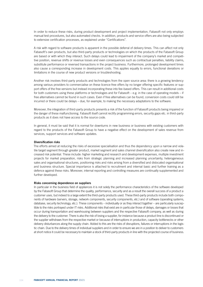In order to reduce these risks, during product development and project implementation, Fabasoft not only employs manual test procedures, but also automated checks. In addition, products and service offers are also being subjected to extensive certification processes, as explained under "Certifications".

A risk with regard to software products is apparent in the possible deferral of delivery times. This can affect not only Fabasoft's own products, but also third-party products or technologies on which the products of the Fabasoft Group are based or with which they interact. Such delays could lead to impairment of the company's market and competitive position, revenue shifts or revenue losses and even consequences such as contractual penalties, liability claims, substitute performance or reversed transactions in the project business. Furthermore, prolonged development times also cause a corresponding increase in development costs. This applies equally to errors, functional deviations or limitations in the course of new product versions or troubleshooting.

Another risk involves third-party products and technologies from the open source area: there is a growing tendency among various providers to commercialise on these licence-free offers by no longer offering specific features or support offers of the free versions but instead incorporating these into fee-based offers. This can result in additional costs for both customers using these platforms or technologies and for Fabasoft – e.g. in the case of operating models – if free alternatives cannot be found in such cases. Even if free alternatives can be found, conversion costs could still be incurred or there could be delays – due, for example, to making the necessary adaptations to the software.

Moreover, the integration of third-party products presents a risk of the function of Fabasoft products being impaired or the danger of these malfunctioning. Fabasoft itself cannot rectify programming errors, security gaps etc. in third-party products as it does not have access to the source code.

In general, it must be said that it is normal for downturns in new business or business with existing customers with regard to the products of the Fabasoft Group to have a negative effect on the development of sales revenue from services, support services and software updates.

#### Diversification risks

The efforts aimed at reducing the risks of excessive specialisation and thus the dependency upon a narrow and volatile target segment through greater product, market segment and sales channel diversification also create new and increased risk potential. These include: higher marketing and research and development expenses, multiple investment projects for market preparation, risks from strategic planning and increased planning uncertainty, heterogeneous sales and organisational structures, positioning risks and risks arising from a diversified and dislocated organisational and business structure. Special importance is attached to recruitment and internal basic and further training as a defence against these risks. Moreover, internal reporting and controlling measures are continually supplemented and further developed.

#### Risks concerning dependence on suppliers

In particular in the business field of appliances it is not solely the performance characteristics of the software developed by the Fabasoft Group that determine the quality, performance, security and as a result the overall success of a product a customer uses, but indeed to a large extent the third-party products used. These third-party products include both components of hardware (servers, storage, network components, security components, etc.) and of software (operating systems, database, security technology, etc.). These components – individually or as they interact together – are particularly susceptible to the risks portrayed under IT risks. Additional risks that exist are in particular those of delays, damages or losses that occur during transportation and warehousing between suppliers and the respective Fabasoft company, as well as during the delivery to the customer. There is also the risk of losing a supplier, for instance because a product line is discontinued or the supplier withdraws from the respective market or because of interruptions in production, capacity bottlenecks or other delivery disturbances along the supply chain. Added to this are the risks of disruptions, failures or interruptions in the logistic chain. Due to the delivery times of individual suppliers and in order to ensure we are in a position to deliver to customers at short notice it could be necessary to maintain a stock of third-party products in line with the projected course of business.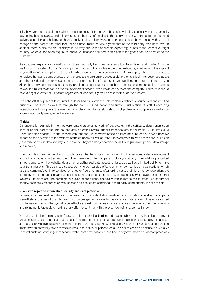It is, however, not possible to make an exact forecast of the course business will take, especially in a dynamically developing business area, and this gives rise to the risks of holding both too low a stock with the entailing restricted delivery capability and holding too high a stock leading to high warehousing costs and problems linked with a model change on the part of the manufacturer and time-limited service agreements of the third-party manufacturers. In addition there is also the risk of delays in delivery due to the applicable export regulations of the respective target country, which all too often require extensive verifications and certificates before the goods can be delivered to the customer.

If a customer experiences a malfunction, then it not only becomes necessary to substantiate if and in what form the malfunction may stem from a Fabasoft product, but also to coordinate the troubleshooting together with the support organisations of the suppliers of the third-party products that may be involved. If, for example, it becomes necessary to replace hardware components, then the process is particularly susceptible to the logistical risks described above and the risk that delays or mistakes may occur on the side of the respective suppliers and their customer service. Altogether, the whole process for handling problems is particularly susceptible to the risks of communication problems, delays and mistakes as well as the risk of different service levels inside and outside the company. These risks would have a negative effect on Fabasoft, regardless of who actually may be responsible for the problem.

The Fabasoft Group seeks to counter the described risks with the help of clearly defined, documented and certified business processes, as well as through the continuing education and further qualification of staff. Concerning interactions with suppliers, the main focus is placed on the careful selection of professional suppliers as well as on appropriate quality management measures.

### IT risks

Disruptions for example in the hardware, data storage or network infrastructure, in the software, data transmission lines or on the part of the Internet operator, operating errors, attacks from hackers, for example, DDos attacks, viruses, phishing attacks, Trojans, ransomware and the like or events based on force majeure, can all have a negative impact on the operation of the systems of the company as well as important systems with which these are linked can jeopardise seamless data security and recovery. They can also jeopardise the ability to guarantee perfect data storage and recovery.

One possible consequence of such problems can be the limitation or failure of online services, sales, development and administrative activities and the online presence of the company, including statutory or regulatory prescribed announcements on the website, data error, unauthorised data access or losses as well as a limited ability to make data transmissions. This can lead subsequently to comparable effects on other companies or organisations, which use the company's (online) services for a fee or free of charge. After taking costs and risks into consideration, the company has introduced organisational and technical precautions to provide defined service levels for its internal systems. Nevertheless, the complete exclusion of such risks, especially with regard to the targeted use of criminal energy, espionage resources or weaknesses and backdoors contained in third party components, is not possible.

#### Risks with regard to information security and data protection

Fabasoft attaches great importance to the protection of confidential information, personal data and intellectual property. Nevertheless, the risk of unauthorised third parties gaining access to this sensitive material cannot be entirely ruled out. In view of the fact that global cyber-attacks against companies in all sectors are increasing in number, intensity and refinement, Fabasoft is making every effort to continue with the expansion of its cyber resilience.

Various organisational, training-specific, systematic and physical barriers and measures have been put into place to prevent unauthorised access and a catalogue of criteria compiled that is to be applied when selecting security-relevant suppliers and service providers has been implemented in the purchasing workflow of Fabasoft. Security-relevant contractors are contractors which potentially have access to internal, confidential or personal data. This access can be a potential risk vis-à-vis Fabasoft customers with regard to service level or contract violations or can have a negative impact on Fabasoft processes.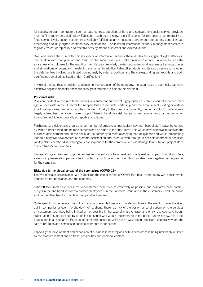All security-relevant contractors such as data centres, suppliers of hard and software or special service providers must fulfil requirements defined by Fabasoft – such as the relevant certifications, for example, or contractually defined service levels, security statements, verifiably fulfilled security measures, agreements concerning controller data processing and duly signed confidentiality declarations. The installed information security management system is regularly tested for topicality and effectiveness by means of internal and external audits.

Over and above the purely technical aspects of information security there is also the danger of cyberattacks in combination with manipulation and fraud on the social level (e.g. "fake president" emails). In order to raise the awareness of employees for the resulting risks, Fabasoft regularly carries out professional awareness training courses and simulations of potentially threatening scenarios. In addition Fabasoft products and its cloud services, including the data centres involved, are tested continuously by external auditors and the corresponding test reports and audit certificates compiled, as listed under "Certifications".

In view of the fact that, in addition to damaging the reputation of the company, the occurrence of such risks can have extensive negative financial consequences great attention is paid to this risk field.

#### Personnel risks

Risks are evident with regard to the finding of a sufficient number of highly-qualified, entrepreneurially-minded managerial specialists in the IT sector for independently responsible leadership and the expansion of existing or restructured business areas and ensuring their long-term loyalty to the company. Currently, the demand for IT professionals largely outweighed the labour market supply. There is therefore a risk that personnel requirements cannot be met on time or subject to economically acceptable conditions.

Furthermore, a risk entails should a larger number of employees, particularly key members of staff, leave the company within a brief period and no replacements can be found in the short-term. This would have negative impacts on the business development and on the ability of the company to meet already agreed obligations and would presumably lead to a negative development of customer satisfaction and revenue even through to possible contractual penalties, liability claims or other disadvantageous consequences for the company, such as damage to reputation, project stops or even transaction reversals.

Understaffing can also lead to possible business potential not being realised or only realised in part. Should suppliers, sales or implementation partners be impacted by such personnel risks, this can also have negative consequences for the company.

#### Risks due to the global spread of the coronavirus (COVID-19)

The World Health Organisation (WHO) declared the global spread of COVID-19 a health emergency with considerable impacts on the population and the economy.

Fabasoft took immediate measures to counteract these risks as effectively as possible and evaluates these continuously. On the one hand in order to protect employees – in the Fabasoft Group and at the customers – and the public and on the other hand to maintain the operative business.

Quite apart from the general risks of restrictions or even failures of corporate functions in the event of cases breaking out in companies or even the shutdown of locations, there is a risk of the performance of certain on-site services on customers' premises being limited or not possible in the case of massive travel and entry restrictions. Although substitution of such services by an online presence was widely implemented in the period under review, this is not practicable in all scenarios. Personal contact and customer visits have always been important, especially where the sale of products and services in specific segments is concerned.

Especially the development and expansion of business in new regions or business areas is being noticeably afflicted by the massive restrictions on travel possibilities and personal contact.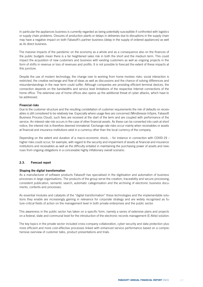In particular the appliances business is currently regarded as being potentially susceptible if confronted with logistics or supply chain problems. Closures of production plants or delays in deliveries due to disruptions in the supply chain may have a negative impact on both Fabasoft's partner business (delay in the supply of ordered appliances) as well as its direct business.

The massive impacts of the pandemic on the economy as a whole and as a consequence also on the finances of the public budgets mean there is a far heightened sales risk in both the short and the medium term. This could impact the acquisition of new customers and business with existing customers as well as ongoing projects in the form of shifts in revenue or loss of revenues and profits. It is not possible to forecast the extent of these impacts at this juncture.

Despite the use of modern technology, the change over to working from home involves risks: social interaction is restricted, the creative exchange and flow of ideas as well as discussions and the chance of solving differences and misunderstandings in the near term could suffer. Although companies are providing efficient terminal devices, the connection depends on the bandwidths and service level limitations of the respective Internet connections of the home office. The extensive use of home offices also opens up the additional threat of cyber attacks, which have to be addressed.

### Financial risks

Due to the customer structure and the resulting constellation of customer requirements the risk of defaults on receivables is still considered to be relatively low. Especially where usage fees are concerned (Mindbreeze InSpire, Fabasoft Business Process Cloud), such fees are received at the start of the term and are coupled with performance of the service. An interest rate risk occurs in the case of other financial assets. As these can be converted into cash at short notice, the interest risk is therefore deemed immaterial. Exchange rate risks occur mainly when receivables or assets at financial and insurance institutions exist in a currency other than the local currency of the company.

Depending on the extent and duration of a macro-economic shock, – for instance in connection with COVID-19 – higher risks could occur, for example, with regard to the security and impairment of assets at financial and insurance institutions and receivables as well as the difficulty entailed in maintaining the purchasing power of assets and revenues from ongoing obligations in a conceivable highly inflationary overall scenario.

## 2.3. Forecast report

### Shaping the digital transformation

As a manufacturer of software products Fabasoft has specialised in the digitisation and automation of business processes in large organisations. The products of the group serve the creation, traceability and secure processing, consistent publication, semantic search, automatic categorisation and the archiving of electronic business documents, contents and processes.

As essential modules and catalysts of the "digital transformation" these technologies and the implementable solutions they enable are increasingly gaining in relevance for corporate strategy and are widely recognised as future-critical fields of action on the management level in both private enterprises and the public sector.

This awareness in the public sector has taken on a specific form, namely a series of extensive plans and projects on a federal, state and communal level for the introduction of the electronic records management (E-Akte) solution.

The key topics in the private sector included cross-company collaboration, cyber security and data protection plus more efficient and more cost-effective processes linked with enhanced service performance based on a comprehensive overview of customer talks, product presentations and trials.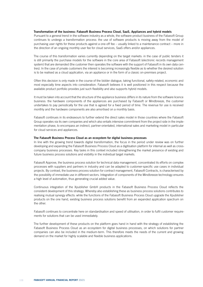### Transformation of the business: Fabasoft Business Process Cloud, SaaS, Appliances and hybrid models

Pursuant to a general trend in the software industry as a whole, the software product business of the Fabasoft Group continues to undergo a transformation process: the use of software products is moving away from the model of purchasing user rights for these products against a one-off fee – usually linked to a maintenance contract – more in the direction of an ongoing monthly user fee for cloud services, SaaS offers and/or appliances.

The course of this transformation varies currently depending on the target markets: in the case of public tenders it is still primarily the purchase models for the software in the core area of Fabasoft (electronic records management system) that are demanded (the customer then operates the software with the support of Fabasoft in its own data centres). In the case of private customers the interest is becoming increasingly flexible as to whether the desired solution is to be realised as a cloud application, via an appliance or in the form of a classic on-premises project.

Often this decision is only made in the course of the bidder dialogue, taking functional, safety-related, economic and most especially time aspects into consideration. Fabasoft believes it is well positioned in this respect because the available product portfolio provides just such flexibility and also supports hybrid models.

It must be taken into account that the structure of the appliance business differs in its nature from the software licence business: the hardware components of the appliances are purchased by Fabasoft or Mindbreeze, the customer undertakes to pay periodically for the use that is agreed for a fixed period of time. The revenue for use is received monthly and the hardware components are also amortised on a monthly basis.

Fabasoft continues in its endeavours to further extend the direct sales model in those countries where the Fabasoft Group operates via its own companies and which also entails intensive commitment from the project side in the implementation phase, to encompass an indirect, partner-orientated, international sales and marketing model in particular for cloud services and appliances.

#### The Fabasoft Business Process Cloud as an ecosystem for digital business processes

In line with the growing trend towards digital transformation, the focus in the period under review was on further developing and expanding the Fabasoft Business Process Cloud as a digitisation platform for internal as well as crosscompany business processes. Key tasks in this context included strengthening the market presence of existing and future business process solutions and visibility in the individual target markets.

Fabasoft Approve, the business process solution for technical data management, concentrated its efforts on complex processes with suppliers and partners in industry and can be adapted to customer-specific use cases in individual projects. By contrast, the business process solution for contract management, Fabasoft Contracts, is characterised by the possibility of immediate use in different sectors. Integration of components of the Mindbreeze technology ensures a high level of automation, thus generating crucial added value.

Continuous integration of the Xpublisher GmbH products in the Fabasoft Business Process Cloud reflects the consistent development of this strategy. Whereby also establishing these as business process solutions contributes to realising mutual synergy effects: while the functions of the Fabasoft Business Process Cloud upgrade the Xpublisher products on the one hand, existing business process solutions benefit from an expanded application spectrum on the other.

Fabasoft continues to concentrate here on standardisation and speed of utilisation, in order to fulfil customer requirements for solutions that can be used immediately.

The further development of these products on the platform goes hand in hand with the strategy of establishing the Fabasoft Business Process Cloud as an ecosystem for digital business processes, on which solutions for partner companies can also be included in the medium-term. This therefore meets the needs of the current and growing demand on the market for highly scalable and flexible business applications.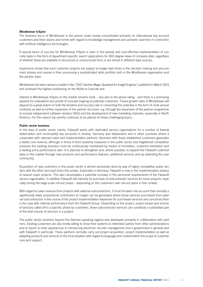# Mindbreeze InSpire

The business focus of Mindbreeze in the period under review concentrated primarily on international key account customers and their visions and remits with regard to knowledge management and semantic searches in connection with artificial intelligence technologies.

A special factor of success for Mindbreeze InSpire is seen in the speedy and cost-effective implementation of concrete tasks in the form of department-specific search applications for 360-degree views of company data, regardless of whether these are available in structured or unstructured form or are stored in different data sources.

Experience shows that such customer projects are subject to longer lead times in the decision making and procurement phases and require in their processing a sophisticated skills portfolio both in the Mindbreeze organisation and the partner base.

Mindbreeze has been named a Leader in the "2021 Gartner Magic Quadrant for Insight Engines" published in March 2021 and achieved the highest positioning on the Ability to Execute axis.

Interest in Mindbreeze InSpire on the market remains brisk – due also to the above rating – and there is a promising pipeline for evaluations and proofs of concept ongoing at potential customers. Future growth rates of Mindbreeze will depend to a great extent on both the timeline and success rate in converting this potential in the form of multi-annual contracts as well as further expansion of the partner structure, e.g. through the expansion of the partner programme to include independent software vendors (ISVs) and the development of new marketing channels, especially in North America. For this reason top priority continues to be placed on these challenging topics.

# Public sector business

In the area of public sector clients, Fabasoft works with dedicated service organisations for a number of federal, state/canton and municipality key accounts in Austria, Germany and Switzerland and in other countries where it cooperates with selected sales and implementation partners. Business with these established customers generates a stable core revenue, although in times of strict austerity measures in the public sector and heightened competitive pressure this existing business must be continuously maintained by means of innovation, customer-orientation and a leading price-performance ratio. It is planned to strengthen and, where possible, to expand the Fabasoft customer base in this market through new products and performance features, additional services and by extending the user community.

Acquisition of new customers in the public sector is almost exclusively done by way of highly competitive public tenders with the effort and lead times this entails. Especially in Germany, Fabasoft is now in the implementation phases of several major projects. This also necessitates a potential increase in the personnel requirements of the Fabasoft service organisation. In addition Fabasoft will intensify its purchase of subcontractor services for some projects, especially during the large-scale roll-out phase – depending on the customer's own roll-out plans in this context.

With regard to sales revenue from projects with external subcontractors, it must be taken into account that normally a significantly lower proportional contribution to margin can be generated where those services purchased from external subcontractors in the course of the project implementation (expenses for purchased services) are concerned than is the case with internal performance from the Fabasoft Group. Depending on the project, project phase and volume of services called off in a specific phase by customers, these subcontractor services can constitute a substantial part of the total volume of services in a project.

The public sector business beyond the German-speaking regions was developed primarily in collaboration with partners. Existing customers are also kindly willing to show their systems to interested parties from other administrations and to report on their experiences in introducing electronic records management and e-government in general and with Fabasoft in particular. These partners normally carry out project acquisition, project implementation as well as adapting products and services to the local situation with regard to language and content within the scope of customer care and support.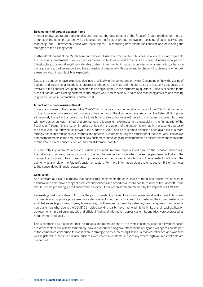# Development of certain expense items

In order to leverage future opportunities and promote the development of the Fabasoft Group, priorities for the use of funds in the coming quarters will be focused on the fields of product innovation, boosting of sales, service and marketing, and – inextricably linked with these topics – in recruiting new talents for Fabasoft and developing the strengths of the existing team.

Further development of the Mindbreeze and Fabasoft Business Process Cloud business is a key factor with regard to the necessary investments: if we succeed as planned in building up and expanding a successful international partner infrastructure, this would entail considerable up-front investments, in particular in international marketing, a trans-regional presence, partner support and the expansion of personnel in this segment. In phases of such expansion efforts a resultant drop in profitability is expected.

Due to the pandemic travel expenses declined drastically in the period under review. Depending on how the easing of national and international restrictions progresses, the travel activities and therefore also the respective expenses this involves in the Fabasoft Group are expected to rise significantly in the forthcoming quarters. A rise is expected in the areas of contact with existing customers and project work and especially in sales and marketing activities and training (e.g. participation in international conferences).

#### Impact of the coronavirus outbreak

It was clearly seen in the course of the 2020/2021 fiscal year that the negative impacts of the COVID-19 pandemic on the global economy are and will continue to be enormous. The direct economic impact on the Fabasoft Group was still relatively limited in this period thanks to its hitherto strong business with existing customers. However, business with new customers was marked by a pronounced reticence to make investments, especially in the first quarter of the fiscal year. Although this situation improved a little with the upturn of the economic climate in the second quarter of the fiscal year, the renewed lockdown in the autumn of 2020 and its frustrating extension once again led to a more strongly noticeable reticence in customers and potential customers during the remainder of the fiscal year. The delays and postponements in the acquisition of new customers and in ongoing implementation projects experienced to some extent were a direct consequence of this and still remain possible.

It is currently impossible to forecast or quantify the medium-term impacts it will have on the Fabasoft business in the individual countries, due in particular to the fact that we neither know what course this pandemic will take or the imminent restrictions to be imposed to stop the spread of the pandemic, nor how and to what extent it will affect the economy as a whole or the Fabasoft customer sectors. For more information please refer to section 9.6 of the notes to the consolidated financial statements.

#### Conclusion

As a software and cloud company that successfully implements the core issues of the digital transformation with its extensive and field-proven range of products and services and based on our solid capital resources the Fabasoft Group should remain promisingly positioned even in a difficult market environment marked by the impacts of COVID-19.

Key existing customers also confirm that the joint, consistent, time and location-independent digital access to business documents and corporate processes was a decisive factor for them in successfully mastering the current restrictions and challenges (e.g. cross-company home office). Furthermore, Fabasoft has also registered enquiries from potential new customers who, due to the COVID-19-related working reality, have had to admit the limits of their past digitisation achievements. In particular speedy and efficient finding of information across system boundaries were expressed as requirements and goals.

This is contrasted by the danger that the impacts and repercussions on the overall economy and the relevant Fabasoft customer sectors will, at least temporarily, have a pronounced negative effect on the ability and willingness on the part of the companies concerned to invest even in strategic fields such as digitisation. A marked reticence and wariness was registered in particular in new business with potential customers, especially where high-volume contracts are concerned.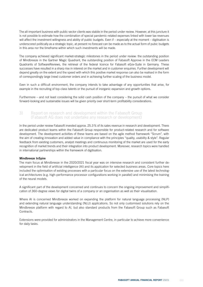The all-important business with public sector clients was stabile in the period under review. However, at this juncture it is not possible to estimate how the combination of special pandemic-related expenses linked with lower tax revenues will affect the investment willingness and ability of public budgets. Even if – especially at the moment – digitisation is underscored politically as a strategic topic, at present no forecast can be made as to the actual form of pubic budgets in this area nor the timeframe within which such investments will be made.

The company achieved significant market-strategic milestones in the period under review: the outstanding position of Mindbreeze in the Gartner Magic Quadrant, the outstanding position of Fabasoft Approve in the ECM Leaders Quadrants of SoftwareReviews, the retrieval of the federal licence for Fabasoft eGov-Suite in Germany. These successes have resulted in a sharp rise in interest on the market and in customer enquiries. Further development will depend greatly on the extent and the speed with which this positive market response can also be realised in the form of correspondingly large (new) customer orders and in achieving further scaling of the business model.

Even in such a difficult environment, the company intends to take advantage of any opportunities that arise, for example in the recruiting of top-class talents or the pursuit of inorganic expansion and growth options.

Furthermore – and not least considering the solid cash position of the company – the pursuit of what we consider forward-looking and sustainable issues will be given priority over short-term profitability considerations.

# 3) Report on research and development within the Fabasoft Group (Fabasoft AG does not undertake any research or development)

In the period under review Fabasoft invested approx. 25.3% of its sales revenue in research and development. There are dedicated product teams within the Fabasoft Group responsible for product-related research and for software development. The development activities of these teams are based on the agile method framework "Scrum", with the aim of creating innovation and added value in compliance with the principles "quality, usability & style". Regular feedback from existing customers, analyst meetings and continuous monitoring of the market are used for the early recognition of market trends and their integration into product development. Moreover, research topics were handled in international partnerships within the framework of digitisation.

# Mindbreeze InSpire

The main focus at Mindbreeze in the 2020/2021 fiscal year was on intensive research and consistent further development in the field of artificial intelligence (AI) and its application for selected business areas. Core topics here included the optimisation of existing processes with a particular focus on the extensive use of the latest technological architectures (e.g. high-performance processor configurations working in parallel) and minimising the training of the neural models.

A significant part of the development concerned and continues to concern the ongoing improvement and simplification of 360-degree views for digital twins of a company or an organisation as well as their visualisation.

Where AI is concerned Mindbreeze worked on expanding the platform for natural language processing (NLP) and extending natural language understanding (NLU) applications. So not only customised solutions rely on the Mindbreeze platform with regard to AI, but also standard products from the Fabasoft Group such as Fabasoft Contracts.

Extensions were provided for administrators in the Management Centre, in particular to achieve more convenience for daily tasks.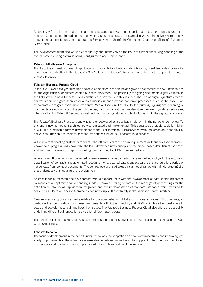Another key focus in the area of research and development was the expansion and scaling of data source connections (connectors). In addition to improving existing processes, the team also worked intensively here on new integration patterns for data sources such as ServiceNow or SharePoint Connector, Dropbox or Microsoft Dynamics CRM Online.

The development team also worked continuously and intensively on the issue of further simplifying handling of the overall system during commissioning, configuration and maintenance.

### Fabasoft Mindbreeze Enterprise

Thanks to the expansion of search application components for charts and visualisations, user-friendly dashboards for information visualisation in the Fabasoft eGov-Suite and in Fabasoft Folio can be realised in the application context of these products.

# Fabasoft Business Process Cloud

In the 2020/2021 fiscal year research and development focussed on the design and development of new functionalities for the digitisation of document-centric business processes. The possibility of signing documents digitally directly in the Fabasoft Business Process Cloud constituted a key focus in this respect. The use of digital signatures means contracts can be signed seamlessly without media discontinuity and corporate processes, such as the conclusion of contracts, designed even more efficiently. Media discontinuities due to the printing, signing and scanning of documents are now a thing of the past. Moreover, Cloud organisations can also store their own signature certificates, which are kept in Fabasoft Secomo, as well as insert visual signatures and text information in the signature process.

The Fabasoft Business Process Cloud was further developed as a digitisation platform in the period under review. To this end a new component architecture was evaluated and implemented. This constitutes a stable basis for higher quality and sustainable further development of the user interface. Microservices were implemented in the field of conversion. They are the basis for fast and efficient scaling of the Fabasoft Cloud services.

With the aim of enabling customers to adapt Fabasoft products to their own requirements without any special product know-how or programming knowledge, the team developed new concepts for the model-based definition of use cases and improved the existing graphic modelling tools (form editor, BPMN process editor).

Where Fabasoft Contracts was concerned, intensive research was carried out on a new AI technology for the automatic classification of contracts and automated recognition of structured data (contract partners, start, duration, period of notice, etc.) from contract documents. The centrepiece of this AI solution is a model trained with Mindbreeze InSpire that undergoes continuous further development.

Another focus of research and development was to support users with the development of data-centric processes by means of an optimised table handling mode, improved filtering of data or the redesign of view settings for the definition of table views. Application integration and the implementation of standard interfaces were reworked to achieve this. Users of Fabasoft teamrooms can now display these directly in the Microsoft Teams interface.

New self-service options are now available for the administration of Fabasoft Business Process Cloud tenants, in particular the configuration of single-sign-on variants with Active Directory and SAML 2.0. This allows customers to setup and activate these login methods themselves. The Fabasoft Business Process Cloud also offers the possibility of defining different authentication servers for different user groups.

The functionalities of the Fabasoft Business Process Cloud are also available in the releases of the Fabasoft Private Cloud (Appliance).

#### Fabasoft Secomo

The focus of development in the period under review was the adaptation on new platform features and improving testability. Improvements in the auto-update were also undertaken as well as in the support for the automatic monitoring of an update and preliminary work implemented for a containerisation of the service.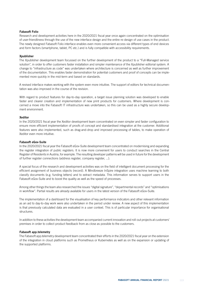# Fabasoft Folio

Research and development activities here in the 2020/2021 fiscal year once again concentrated on the optimisation of user-friendliness through the use of the new interface design and the entire re-design of use cases in the product. The newly designed Fabasoft Folio interface enables even more convenient access via different types of end devices and form factors (smartphone, tablet, PC etc.) and is fully compatible with accessibility requirements.

# Xpublisher

The Xpublisher development team focussed on the further development of the product to a "Full-Managed service solution", in order to offer customers faster installation and simpler maintenance of the Xpublisher editorial system. A change to "infrastructure as code" was undertaken where architecture is concerned as well as further improvement of the documentation. This enables faster demonstration for potential customers and proof of concepts can be implemented more quickly in the mid-term and based on standards.

A revised interface makes working with the system even more intuitive. The support of editors for technical documentation was also improved in the course of the revision.

With regard to product features for day-to-day operation, a target issue planning solution was developed to enable faster and clearer creation and implementation of new print products for customers. Where development is concerned a move into the Fabasoft IT infrastructure was undertaken, so this can be used as a highly secure development environment.

# Xeditor

In the 2020/2021 fiscal year the Xeditor development team concentrated on even simpler and faster configuration to ensure more efficient implementation of proofs of concept and standardised integration at the customer. Additional features were also implemented, such as drag-and-drop and improved processing of tables, to make operation of Xeditor even more intuitive.

# Fabasoft eGov-Suite

In the 2020/2021 fiscal year the Fabasoft eGov-Suite development team concentrated on modernising and expanding the register integration of public registers. It is now more convenient for users to conduct searches in the Central Register of Residents in Austria, for example. The resulting developer patterns will be used in future for the development of further register connections (address register, company register, ...).

A special focus of the research and development activities was on the field of intelligent document processing for the efficient assignment of business objects (record). A Mindbreeze InSpire integration uses machine learning to both classify documents (e.g. funding letters) and to extract metadata. This information serves to support users in the Fabasoft eGov-Suite and to boost the quality as well as the speed of processes.

Among other things the team also researched the issues "digital signature", "departmental records" and "optimisations in workflow". Partial results are already available for users in the latest version of the Fabasoft eGov-Suite.

The implementation of a dashboard for the visualisation of key performance indicators and other relevant information as an aid to day-to-day work were also undertaken in the period under review. A new aspect of this implementation is that previously calculated data are evaluated in a user context. This is of particular importance for organisational structures.

In addition to these activities the development team accompanied current innovation and roll-out projects at customers' premises in order to collect product feedback from as close as possible to the customers.

# Fabasoft app.telemetry

The Fabasoft app.telemetry development team concentrated their efforts in the 2020/2021 fiscal year on the extension of the integration in cloud platforms such as Prometheus or Kubernetes as well as on the expansion or updating of the supported platforms.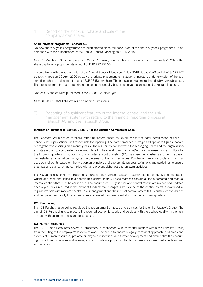# 4) Report on the stock, purchase and sale of the company's own shares

# Share buyback programme Fabasoft AG

No new share buyback programme has been started since the conclusion of the share buyback programme (in accordance with the authorisation of the Annual General Meeting on 6 July 2015).

As at 31 March 2020 the company held 277,257 treasury shares. This corresponds to approximately 2.52% of the share capital or a proportionate amount of EUR 277,257.00.

In compliance with the authorisation of the Annual General Meeting on 1 July 2019, Fabasoft AG sold all of its 277,257 treasury shares on 20 April 2020 by way of a private placement to institutional investors under exclusion of the subscription rights to a placement price of EUR 23.50 per share. The transaction was more than doubly oversubscribed. The proceeds from the sale strengthen the company's equity base and serve the announced corporate interests.

No treasury shares were purchased in the 2020/2021 fiscal year.

As at 31 March 2021 Fabasoft AG held no treasury shares.

5) Reporting of significant features of the internal control and the risk management system with regard to the financial reporting process at Fabasoft AG and the Fabasoft Group

# Information pursuant to Section 243a (2) of the Austrian Commercial Code

The Fabasoft Group has an extensive reporting system based on key figures for the early identification of risks. Finance is the organisational unit responsible for reporting. The data comprises strategic and operative figures that are put together for reporting on a monthly basis. The regular reviews between the Managing Board and the organisational units are used to coordinate the detailed plans for the overall plan, the target/actual comparison and an outlook for the following quarters. In addition to this an internal control system (ICS) has been established as follows: Fabasoft has installed an internal control system in the areas of Human Resources, Purchasing, Revenue Cycle and Tax that uses control points based on the two person principle and appropriate process definitions and guidelines to ensure that laws and standards are complied with and prevent dishonest and unlawful activities.

The ICS guidelines for Human Resources, Purchasing, Revenue Cycle and Tax have been thoroughly documented in writing and each one linked to a coordinated control matrix. These matrices contain all the automated and manual internal controls that must be carried out. The documents (ICS guideline and control matrix) are revised and updated once a year or as required in the event of fundamental changes. Observance of the control points is examined at regular intervals with random checks. Risk management and the internal control system (ICS) contain responsibilities and competencies, apply to all subsidiaries and are administered centrally from the Linz headquarters.

# ICS Purchasing

The ICS Purchasing guideline regulates the procurement of goods and services for the entire Fabasoft Group. The aim of ICS Purchasing is to procure the required economic goods and services with the desired quality, in the right amount, with optimum prices and to schedule.

# ICS Human Resources

The ICS Human Resources covers all processes in connection with personnel matters within the Fabasoft Group, from recruiting to the employee's last day at work. The aim is to ensure a legally compliant approach in all areas and aspects of human resources, promote employee qualifications and further development and ensure that the accounting procedures for salaries and non-wage labour costs are proper so that human resources are used effectively and economically.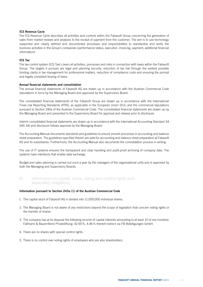# ICS Revenue Cycle

The ICS Revenue Cycle describes all activities and controls within the Fabasoft Group concerning the generation of sales from market reviews and analyses to the receipt of payment from the customer. The aim is to use technologysupported and clearly defined and documented processes and responsibilities to standardise and verify the business activities in the Group's companies (performance status, execution, invoicing, payment, additional financial information).

# ICS Tax

The tax control system (ICS Tax) covers all activities, processes and risks in connection with taxes within the Fabasoft Group. The targets it pursues are legal and planning security, reduction of tax risk through the earliest possible binding clarity in tax management for professional matters, reduction of compliance costs and ensuring the prompt and legally compliant levying of taxes.

# Annual financial statements and consolidation

The annual financial statements of Fabasoft AG are drawn up in accordance with the Austrian Commercial Code stipulations in force by the Managing Board and approved by the Supervisory Board.

The consolidated financial statements of the Fabasoft Group are drawn up in accordance with the International Finan-cial Reporting Standards (IFRS), as applicable in the European Union (EU), and the commercial stipulations pursuant to Section 245a of the Austrian Commercial Code. The consolidated financial statements are drawn up by the Managing Board and presented to the Supervisory Board for approval and release prior to disclosure.

Interim consolidated financial statements are drawn up in accordance with the International Accounting Standard 34 (IAS 34) and disclosure follows approval by the Managing Board.

The Accounting Manual documents standards and guidelines to ensure smooth processes in accounting and balance sheet preparation. The guidelines specified therein are valid for accounting and balance sheet preparation at Fabasoft AG and its subsidiaries. Furthermore, the Accounting Manual also documents the consolidation process in writing.

The use of IT systems ensures the transparent and clear handling and audit-proof archiving of company data. The systems have interfaces that enable data exchange.

Budget and sales planning is carried out once a year by the managers of the organisational units and is approved by both the Managing and Supervisory Boards.

6) Information on capital, share, voting and control rights and associated obligations

# Information pursuant to Section 243a (1) of the Austrian Commercial Code

- 1. The capital stock of Fabasoft AG is divided into 11,000,000 individual shares.
- 2. The Managing Board is not aware of any restrictions beyond the scope of legislation that concern voting rights or the transfer of shares.
- 3. The company has at its disposal the following records of capital interests amounting to at least 10 of one hundred: Fallmann & Bauernfeind Privatstiftung: 42.90%, 4.46% thereof indirect via FB Beteiligungen GmbH.
- 4. There are no shares with special control rights.
- 5. There is no control over voting rights of employees who are also shareholders.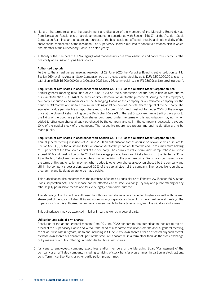- 6. None of the terms relating to the appointment and discharge of the members of the Managing Board deviate from legislation. Resolutions on article amendments in accordance with Section 146 (1) of the Austrian Stock Corporation Act – insofar the nature and purpose of the business is not affected - require a simple majority of the share capital represented at the resolution. The Supervisory Board is required to adhere to a rotation plan in which one member of the Supervisory Board is elected yearly.
- 7. Authority of the members of the Managing Board that does not arise from legislation and concerns in particular the possibility of issuing or buying back shares:

# Authorised capital:

Further to the annual general meeting resolution of 29 June 2020 the Managing Board is authorised, pursuant to Section 169 (1) of the Austrian Stock Corporation Act, to increase capital stock by up to EUR 5,500,000.00 to reach a total of up to EUR 16,500,000.00 by 2 October 2025 (entry 56, commercial register FN 98699x at Linz provincial court).

### Acquisition of own shares in accordance with Section 65 (1) (4) of the Austrian Stock Corporation Act:

Annual general meeting resolution of 29 June 2020 on the authorisation for the acquisition of own shares pursuant to Section 65 (1) (4) of the Austrian Stock Corporation Act for the purpose of issuing them to employees, company executives and members of the Managing Board of the company or an affiliated company for the period of 30 months and up to a maximum holding of 10 per cent of the total share capital of the company. The equivalent value permissible at repurchase must not exceed 10 % and must not be under 20 % of the average price at the close of Xetra trading on the Deutsche Börse AG of the last 5 stock exchange trading days prior to the fixing of the purchase price. Own shares purchased under the terms of this authorisation may not, when added to other own shares already purchased by the company and still in the company's possession, exceed 10 % of the capital stock of the company. The respective repurchase programme and its duration are to be made public.

#### Acquisition of own shares in accordance with Section 65 (1) (8) of the Austrian Stock Corporation Act:

Annual general meeting resolution of 29 June 2020 on authorisation for the acquisition of own shares pursuant to Section 65 (1) (8) of the Austrian Stock Corporation Act for the period of 30 months and up to a maximum holding of 10 per cent of the total share capital of the company. The equivalent value permissible at repurchase must not exceed 10% and must not be under 20% of the average price at the close of Xetra trading on the Deutsche Börse AG of the last 5 stock exchange trading days prior to the fixing of the purchase price. Own shares purchased under the terms of this authorisation may not, when added to other own shares already purchased by the company and still in the company's possession, exceed 10% of the capital stock of the company. The respective repurchase programme and its duration are to be made public.

This authorisation also encompasses the purchase of shares by subsidiaries of Fabasoft AG (Section 66 Austrian Stock Corporation Act). The purchase can be effected via the stock exchange, by way of a public offering or any other legally permissible means and for every legally permissible purpose.

The Managing Board is further authorised to withdraw own shares after an effected buyback as well as those own shares part of the stock of Fabasoft AG without requiring a separate resolution from the annual general meeting. The Supervisory Board is authorised to resolve any amendments to the articles arising from the withdrawal of shares.

This authorisation may be exercised in full or in part as well as in several parts.

#### Utilisation and sale of own shares:

Resolution of the annual general meeting from 29 June 2020 concerning the authorisation, subject to the approval of the Supervisory Board and without the need of a separate resolution from the annual general meeting, to sell or utilise within 5 years, up to and including 29 June 2025, own shares after an effected buyback as well as those own shares of Fabasoft AG part of the stock of Fabasoft AG in a form other than via the stock exchange or by means of a public offering, in particular to utilise own shares

(i) for issue to employees, company executives and/or members of the Managing Board/Management of the company or an affiliated company, including servicing of stock transfer programmes, in particular stock options, Long Term Incentive Plans or other participation programmes;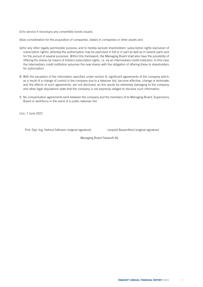(ii) to service if necessary any convertible bonds issued;

(iii)as consideration for the acquisition of companies, stakes in companies or other assets and

- (iv)for any other legally permissible purpose; and to hereby exclude shareholders' subscription rights (exclusion of subscription rights), whereby the authorisation may be exercised in full or in part as well as in several parts and for the pursuit of several purposes. Within this framework, the Managing Board shall also have the possibility of offering the shares by means of indirect subscription rights, i.e. via an intermediary credit institution. In this case the intermediary credit institution assumes the new shares with the obligation of offering these to shareholders for subscription.
- 8. With the exception of the information specified under section 9, significant agreements of the company which, as a result of a change of control in the company due to a takeover bid, become effective, change or terminate, and the effects of such agreements, are not disclosed, as this would be extremely damaging to the company, and other legal stipulations state that the company is not expressly obliged to disclose such information.
- 9. No compensation agreements exist between the company and the members of its Managing Board, Supervisory Board or workforce in the event of a public takeover bid.

Linz, 7 June 2021

Prof. Dipl.-Ing. Helmut Fallmann (original signature) Leopold Bauernfeind (original signature)

Managing Board Fabasoft AG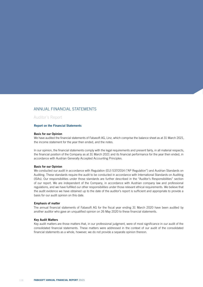# ANNUAL FINANCIAL STATEMENTS

# Auditor´s Report

# Report on the Financial Statements

#### Basis for our Opinion

We have audited the financial statements of Fabasoft AG, Linz, which comprise the balance sheet as at 31 March 2021, the income statement for the year then ended, and the notes.

In our opinion, the financial statements comply with the legal requirements and present fairly, in all material respects, the financial position of the Company as at 31 March 2021 and its financial performance for the year then ended, in accordance with Austrian Generally Accepted Accounting Principles.

# Basis for our Opinion

We conducted our audit in accordance with Regulation (EU) 537/2014 ("AP Regulation") and Austrian Standards on Auditing. These standards require the audit to be conducted in accordance with International Standards on Auditing (ISAs). Our responsibilities under those standards are further described in the "Auditor's Responsibilities" section of our report. We are independent of the Company, in accordance with Austrian company law and professional regulations, and we have fulfilled our other responsibilities under those relevant ethical requirements. We believe that the audit evidence we have obtained up to the date of the auditor's report is sufficient and appropriate to provide a basis for our audit opinion on this date.

#### Emphasis of matter

The annual financial statements of Fabasoft AG for the fiscal year ending 31 March 2020 have been audited by another auditor who gave an unqualified opinion on 26 May 2020 to these financial statements.

#### Key Audit Matters

Key audit matters are those matters that, in our professional judgment, were of most significance in our audit of the consolidated financial statements. These matters were addressed in the context of our audit of the consolidated financial statements as a whole, however, we do not provide a separate opinion thereon.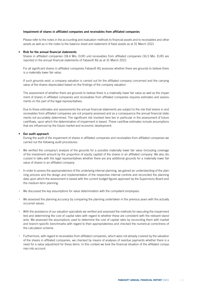# Impairment of shares in affiliated companies and receivables from affiliated companies

Please refer to the notes in the accounting and evaluation methods to financial assets and to receivables and other assets as well as in the notes to the balance sheet and statement of fixed assets as at 31 March 2021.

#### • Risk for the annual financial statements

Shares in affiliated companies (18.4 Mio. EUR) und receivables from affiliated companies (16.5 Mio. EUR) are reported in the annual financial statements of Fabasoft AG as at 31 March 2021.

For all significant shares in affiliated companies Fabasoft AG assesses whether there are grounds to believe there is a materially lower fair value.

If such grounds exist, a company valuation is carried out for the affiliated company concerned and the carrying value of the shares depreciated based on the findings of the company valuation.

The assessment of whether there are grounds to believe there is a materially lower fair value as well as the impairment of shares in affiliated companies and receivables from affiliated companies requires estimates and assessments on the part of the legal representatives.

Due to these estimates and assessments the annual financial statements are subject to the risk that shares in and receivables from affiliated companies are not properly assessed and as a consequence the annual financial statements not accurately determined. The significant risk involved here lies in particular in the assessment of future cashflows, upon which the determination of impairment is based. These cashflow estimates include assumptions that are influenced by the future market and economic development.

#### • Our audit approach

During the audit of the impairment of shares in affiliated companies and receivables from affiliated companies we carried out the following audit procedures:

- We verified the company's analysis of the grounds for a possible materially lower fair value (including coverage of the investment amount by the proportion of equity capital) of the shares in an affiliated company. We also discussed in talks with the legal representatives whether there are any additional grounds for a materially lower fair value of shares in an affiliated company.
- In order to assess the appropriateness of the underlying internal planning, we gained an understanding of the planning process and the design and implementation of the respective internal controls and reconciled the planning data upon which the assessment is based with the current budget figures approved by the Supervisory Board and the medium-term planning.
- We discussed the key assumptions for value determination with the competent employees.
- We assessed the planning accuracy by comparing the planning undertaken in the previous years with the actually occurred values.
- With the assistance of our valuation specialists we verified and assessed the methods for executing the impairment test and determining the cost of capital rates with regard to whether these are consistent with the relevant standards. We assessed the assumptions used to determine the cost of capital rates by reconciling them with market and branch-specific benchmarks with regard to their appropriateness and checked the numerical correctness of the calculation scheme.
- Furthermore, with regard to receivables from affiliated companies, which were not already covered by the valuation of the shares in affiliated companies, we checked by means of analyses of overdue payments whether there is a need for a value adjustment for these items. In this context we took the financial situation of the affiliated companies into account.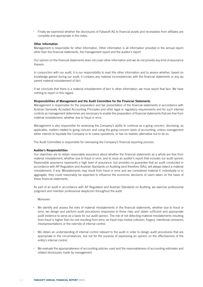• Finally we examined whether the disclosures of Fabasoft AG to financial assets and receivables from affiliates are complete and appropriate in the notes.

# Other Information

Management is responsible for other information. Other information is all information provided in the annual report, other than the financial statements, the management report and the auditor's report.

Our opinion on the financial statements does not cover other information and we do not provide any kind of assurance thereon.

In conjunction with our audit, it is our responsibility to read this other information and to assess whether, based on knowledge gained during our audit, it contains any material inconsistencies with the financial statements or any apparent material misstatement of fact.

If we conclude that there is a material misstatement of fact in other information, we must report that fact. We have nothing to report in this regard.

#### Responsibilities of Management and the Audit Committee for the Financial Statements

Management is responsible for the preparation and fair presentation of the financial statements in accordance with Austrian Generally Accepted Accounting Principles and other legal or regulatory requirements and for such internal controls as management determines are necessary to enable the preparation of financial statements that are free from material misstatement, whether due to fraud or error.

Management is also responsible for assessing the Company's ability to continue as a going concern, disclosing, as applicable, matters related to going concern and using the going concern basis of accounting, unless management either intends to liquidate the Company or to cease operations, or has no realistic alternative but to do so.

The Audit Committee is responsible for overseeing the Company's financial reporting process.

#### Auditor's Responsibilities

Our objectives are to obtain reasonable assurance about whether the financial statements as a whole are free from material misstatement, whether due to fraud or error, and to issue an auditor's report that includes our audit opinion. Reasonable assurance represents a high level of assurance, but provides no guarantee that an audit conducted in accordance with AP Regulation and Austrian Standards on Auditing (and therefore ISAs), will always detect a material misstatement, if any. Misstatements may result from fraud or error and are considered material if, individually or in aggregate, they could reasonably be expected to influence the economic decisions of users taken on the basis of these financial statements.

As part of an audit in accordance with AP Regulation and Austrian Standards on Auditing, we exercise professional judgment and maintain professional skepticism throughout the audit.

Moreover:

- We identify and assess the risks of material misstatements in the financial statements, whether due to fraud or error, we design and perform audit procedures responsive to those risks and obtain sufficient and appropriate audit evidence to serve as a basis for our audit opinion. The risk of not detecting material misstatements resulting from fraud is higher than for one resulting from error, as fraud may involve collusion, forgery, intentional omissions, misrepresentations or the override of internal control.
- We obtain an understanding of internal control relevant to the audit in order to design audit procedures that are appropriate in the circumstances, but not for the purpose of expressing an opinion on the effectiveness of the entity's internal control.
- We evaluate the appropriateness of accounting policies used and the reasonableness of accounting estimates and related disclosures made by management.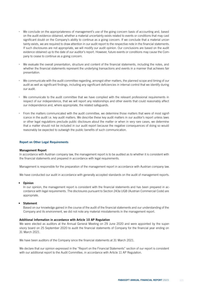- We conclude on the appropriateness of management's use of the going concern basis of accounting and, based on the audit evidence obtained, whether a material uncertainty exists related to events or conditions that may cast significant doubt on the Company's ability to continue as a going concern. If we conclude that a material uncertainty exists, we are required to draw attention in our audit report to the respective note in the financial statements. If such disclosures are not appropriate, we will modify our audit opinion. Our conclusions are based on the audit evidence obtained up to the date of our auditor's report. However, future events or conditions may cause the Company to cease to continue as a going concern.
- We evaluate the overall presentation, structure and content of the financial statements, including the notes, and whether the financial statements represent the underlying transactions and events in a manner that achieves fair presentation.
- We communicate with the audit committee regarding, amongst other matters, the planned scope and timing of our audit as well as significant findings, including any significant deficiencies in internal control that we identify during our audit.
- We communicate to the audit committee that we have complied with the relevant professional requirements in respect of our independence, that we will report any relationships and other events that could reasonably affect our independence and, where appropriate, the related safeguards.
- From the matters communicated with the audit committee, we determine those matters that were of most significance in the audit i.e. key audit matters. We describe these key audit matters in our auditor's report unless laws or other legal regulations preclude public disclosure about the matter or when in very rare cases, we determine that a matter should not be included in our audit report because the negative consequences of doing so would reasonably be expected to outweigh the public benefits of such communication.

# Report on Other Legal Requirements

#### Management Report

In accordance with Austrian company law, the management report is to be audited as to whether it is consistent with the financial statements and prepared in accordance with legal requirements.

Management is responsible for the preparation of the management report in accordance with Austrian company law.

We have conducted our audit in accordance with generally accepted standards on the audit of management reports.

#### **Opinion**

In our opinion, the management report is consistent with the financial statements and has been prepared in accordance with legal requirements. The disclosures pursuant to Section 243a UGB (Austrian Commercial Code) are appropriate.

# **Statement**

Based on our knowledge gained in the course of the audit of the financial statements and our understanding of the Company and its environment, we did not note any material misstatements in the management report.

#### Additional Information in accordance with Article 10 AP Regulation

We were elected as auditors at the Annual General Meeting on 29 June 2020 and were appointed by the supervisory board on 25 September 2020 to audit the financial statements of Company for the financial year ending on 31 March 2021.

We have been auditors of the Company since the financial statements at 31 March 2021.

We declare that our opinion expressed in the "Report on the Financial Statements" section of our report is consistent with our additional report to the Audit Committee, in accordance with Article 11 AP Regulation.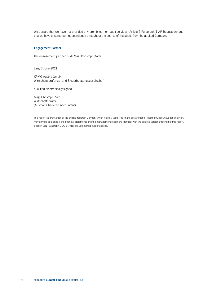We declare that we have not provided any prohibited non-audit services (Article 5 Paragraph 1 AP Regulation) and that we have ensured our independence throughout the course of the audit, from the audited Company.

# Engagement Partner

The engagement partner is Mr Mag. Christoph Karer.

Linz, 7 June 2021

KPMG Austria GmbH Wirtschaftsprüfungs- und Steuerberatungsgesellschaft

qualified electronically signed :

Mag. Christoph Karer Wirtschaftsprüfer (Austrian Chartered Accountant)

This report is a translation of the original report in German, which is solely valid. The financial statements, together with our auditor's opinion, may only be published if the financial statements and the management report are identical with the audited version attached to this report. Section 281 Paragraph 2 UGB (Austrian Commercial Code) applies.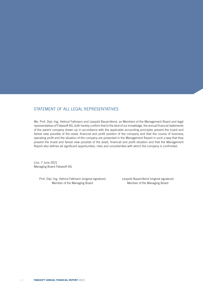# STATEMENT OF ALL LEGAL REPRESENTATIVES

We, Prof. Dipl.-Ing. Helmut Fallmann and Leopold Bauernfeind, as Members of the Management Board and legal representatives of Fabasoft AG, both hereby confirm that to the best of our knowledge, the annual financial statements of the parent company drawn up in accordance with the applicable accounting principles present the truest and fairest view possible of the asset, financial and profit position of the company and that the course of business, operating profit and the situation of the company are presented in the Management Report in such a way that they present the truest and fairest view possible of the asset, financial and profit situation and that the Management Report also defines all significant opportunities, risks and uncertainties with which the company is confronted.

Linz, 7 June 2021 Managing Board Fabasoft AG

> Prof. Dipl.-Ing. Helmut Fallmann (original signature) Leopold Bauernfeind (original signature) Member of the Managing Board Member of the Managing Board